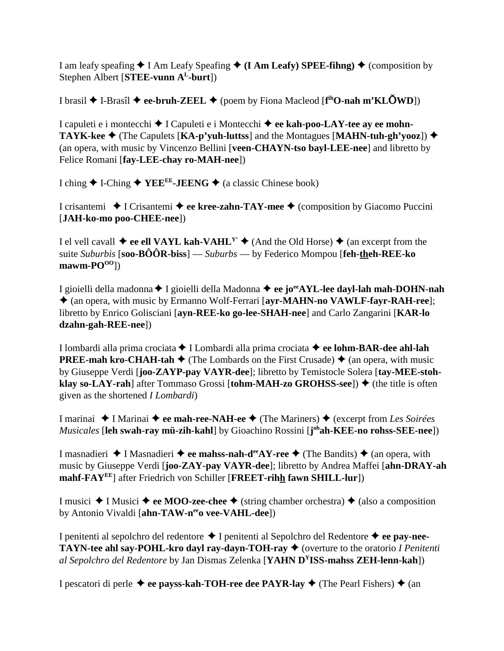I am leafy speafing  $\blacklozenge$  I Am Leafy Speafing  $\blacklozenge$  (I Am Leafy) SPEE-fihng)  $\blacklozenge$  (composition by Stephen Albert [**STEE-vunn AL-burt**])

I brasil I-Brasîl **ee-bruh-ZEEL** (poem by Fiona Macleod [**f ihO-nah m'KLWD**])

I capuleti e i montecchi I Capuleti e i Montecchi **ee kah-poo-LAY-tee ay ee mohn-TAYK-kee**  $\blacklozenge$  (The Capulets [**KA-p'yuh-luttss**] and the Montagues [**MAHN-tuh-gh'yooz**])  $\blacklozenge$ (an opera, with music by Vincenzo Bellini [**veen-CHAYN-tso bayl-LEE-nee**] and libretto by Felice Romani [**fay-LEE-chay ro-MAH-nee**])

I ching  $\triangle$  I-Ching  $\triangle$  YEE<sup>EE</sup>-JEENG  $\triangle$  (a classic Chinese book)

I crisantemi **→** I Crisantemi **→ ee kree-zahn-TAY-mee →** (composition by Giacomo Puccini [**JAH-ko-mo poo-CHEE-nee**])

I el vell cavall  $\triangleq$  **ee ell VAYL kah-VAHL<sup>Y'</sup>**  $\triangleq$  (And the Old Horse)  $\triangleq$  (an excerpt from the suite *Suburbis* [**soo-BÔÔR-biss**] — *Suburbs* — by Federico Mompou [**feh-theh-REE-ko**  $\text{mawm-PO}^{\text{OO}}$ ])

I gioielli della madonna ♦ I gioielli della Madonna ♦ ee jo<sup>ee</sup>AYL-lee dayl-lah mah-DOHN-nah (an opera, with music by Ermanno Wolf-Ferrari [**ayr-MAHN-no VAWLF-fayr-RAH-ree**]; libretto by Enrico Golisciani [**ayn-REE-ko go-lee-SHAH-nee**] and Carlo Zangarini [**KAR-lo dzahn-gah-REE-nee**])

I lombardi alla prima crociata ◆ I Lombardi alla prima crociata ◆ ee lohm-BAR-dee ahl-lah **PREE-mah kro-CHAH-tah**  $\blacklozenge$  (The Lombards on the First Crusade)  $\blacklozenge$  (an opera, with music by Giuseppe Verdi [**joo-ZAYP-pay VAYR-dee**]; libretto by Temistocle Solera [**tay-MEE-stohklay so-LAY-rah**] after Tommaso Grossi [**tohm-MAH-zo GROHSS-see**])  $\blacklozenge$  (the title is often given as the shortened *I Lombardi*)

I marinai I Marinai **ee mah-ree-NAH-ee** (The Mariners) (excerpt from *Les Soirées Musicales* [**leh swah-ray mü-zih-kahl**] by Gioachino Rossini [**j ohah-KEE-no rohss-SEE-nee**])

I masnadieri **→** I Masnadieri **→ ee mahss-nah-d<sup>ee</sup>AY-ree →** (The Bandits) → (an opera, with music by Giuseppe Verdi [**joo-ZAY-pay VAYR-dee**]; libretto by Andrea Maffei [**ahn-DRAY-ah mahf-FAYEE**] after Friedrich von Schiller [**FREET-rihh fawn SHILL-lur**])

I musici  $\triangle$  I Musici  $\triangle$  ee MOO-zee-chee  $\triangle$  (string chamber orchestra)  $\triangle$  (also a composition by Antonio Vivaldi [ahn-TAW-neeo vee-VAHL-dee])

I penitenti al sepolchro del redentore I penitenti al Sepolchro del Redentore **ee pay-nee-TAYN-tee ahl say-POHL-kro dayl ray-dayn-TOH-ray ♦** (overture to the oratorio *I Penitenti al Sepolchro del Redentore* by Jan Dismas Zelenka [**YAHN DYISS-mahss ZEH-lenn-kah**])

I pescatori di perle  $\triangle$  ee payss-kah-TOH-ree dee PAYR-lay  $\triangle$  (The Pearl Fishers)  $\triangle$  (an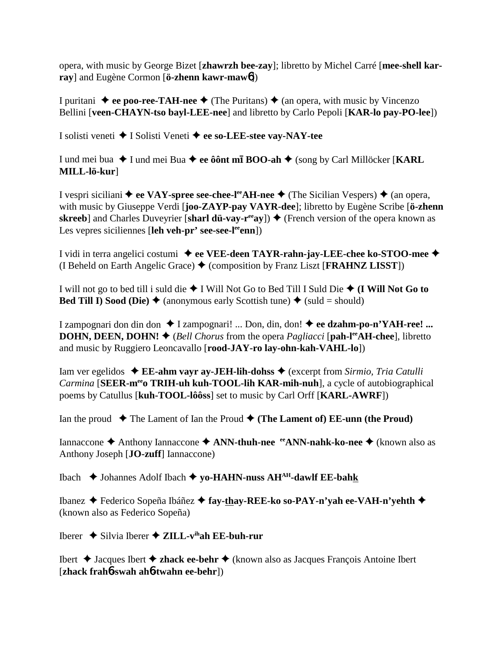opera, with music by George Bizet [**zhawrzh bee-zay**]; libretto by Michel Carré [**mee-shell karray**] and Eugène Cormon [**ö-zhenn kawr-maw**6])

I puritani  $\blacklozenge$  **ee poo-ree-TAH-nee**  $\blacklozenge$  (The Puritans)  $\blacklozenge$  (an opera, with music by Vincenzo Bellini [**veen-CHAYN-tso bayl-LEE-nee**] and libretto by Carlo Pepoli [**KAR-lo pay-PO-lee**])

I solisti veneti I Solisti Veneti  **ee so-LEE-stee vay-NAY-tee**

I und mei bua I und mei Bua **ee ôônt m BOO-ah** (song by Carl Millöcker [**KARL MILL-lö-kur**]

I vespri siciliani  $\triangle$  ee VAY-spree see-chee-l<sup>ee</sup>AH-nee  $\triangle$  (The Sicilian Vespers)  $\triangle$  (an opera, with music by Giuseppe Verdi [**joo-ZAYP-pay VAYR-dee**]; libretto by Eugène Scribe [**ö-zhenn skreeb**] and Charles Duveyrier [sharl dü-vay-r<sup>ee</sup>ay])  $\triangle$  (French version of the opera known as Les vepres siciliennes [leh veh-pr' see-see-l<sup>ee</sup>enn])

I vidi in terra angelici costumi **ee VEE-deen TAYR-rahn-jay-LEE-chee ko-STOO-mee** (I Beheld on Earth Angelic Grace) (composition by Franz Liszt [**FRAHNZ LISST**])

I will not go to bed till i suld die I Will Not Go to Bed Till I Suld Die **(I Will Not Go to Bed Till I) Sood (Die)**  $\triangleq$  (anonymous early Scottish tune)  $\triangleq$  (suld = should)

I zampognari don din don I zampognari! ... Don, din, don! **ee dzahm-po-n'YAH-ree! ... DOHN, DEEN, DOHN!**  $\blacklozenge$  (*Bell Chorus* from the opera *Pagliacci* [**pah-l<sup>ee</sup>AH-chee**], libretto and music by Ruggiero Leoncavallo [**rood-JAY-ro lay-ohn-kah-VAHL-lo**])

Iam ver egelidos **EE-ahm vayr ay-JEH-lih-dohss** (excerpt from *Sirmio, Tria Catulli Carmina* [SEER-m<sup>ee</sup>o TRIH-uh kuh-TOOL-lih KAR-mih-nuh], a cycle of autobiographical poems by Catullus [**kuh-TOOL-lôôss**] set to music by Carl Orff [**KARL-AWRF**])

Ian the proud  $\blacklozenge$  The Lament of Ian the Proud  $\blacklozenge$  (The Lament of) EE-unn (the Proud)

Iannaccone Anthony Iannaccone **ANN-thuh-nee eeANN-nahk-ko-nee** (known also as Anthony Joseph [**JO-zuff**] Iannaccone)

Ibach Johannes Adolf Ibach **yo-HAHN-nuss AHAH-dawlf EE-bahk**

Ibanez Federico Sopeña Ibáñez **fay-thay-REE-ko so-PAY-n'yah ee-VAH-n'yehth**  (known also as Federico Sopeña)

Iberer  $\triangle$  Silvia Iberer  $\triangle$  **ZILL-v<sup>ih</sup>ah EE-buh-rur** 

Ibert Jacques Ibert **zhack ee-behr** (known also as Jacques François Antoine Ibert [**zhack frah**6**-swah ah**6**-twahn ee-behr**])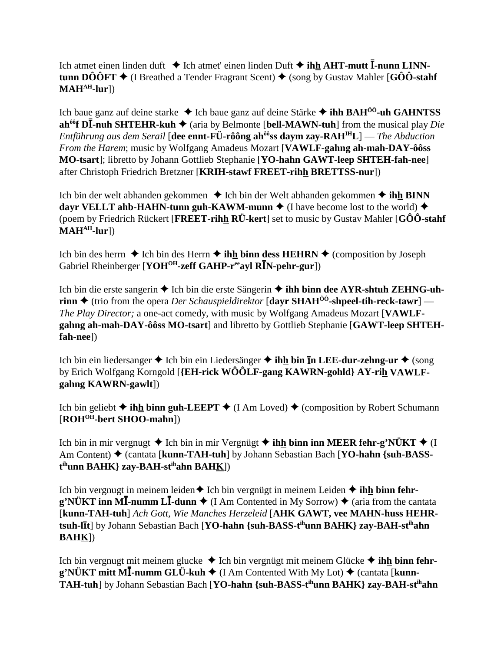Ich atmet einen linden duft  $\triangle$  Ich atmet' einen linden Duft  $\triangle$  ihh AHT-mutt  $\bar{I}$ -nunn LINNtunn DÔÔFT  $\blacklozenge$  (I Breathed a Tender Fragrant Scent)  $\blacklozenge$  (song by Gustav Mahler [GÔÔ-stahf  $MAH<sup>AH</sup>$ -lur])

Ich baue ganz auf deine starke  $\triangle$  Ich baue ganz auf deine Stärke  $\triangle$  ihh BAH<sup>00</sup>-uh GAHNTSS ah<sup> $\delta \hat{\sigma}$ </sup> **D**I-nuh SHTEHR-kuh  $\blacklozenge$  (aria by Belmonte [bell-MAWN-tuh] from the musical play *Die Entführung aus dem Serail* [dee ennt-FÜ-rôông ah<sup> $\delta \delta$ </sup>ss daym zay-RAH<sup>IH</sup>L] — *The Abduction* From the Harem; music by Wolfgang Amadeus Mozart [VAWLF-gahng ah-mah-DAY-ôôss] MO-tsart]; libretto by Johann Gottlieb Stephanie [YO-hahn GAWT-leep SHTEH-fah-nee] after Christoph Friedrich Bretzner [KRIH-stawf FREET-rihh BRETTSS-nur])

Ich bin der welt abhanden gekommen  $\triangle$  Ich bin der Welt abhanden gekommen  $\triangle$  ihh BINN dayr VELLT ahb-HAHN-tunn guh-KAWM-munn  $\triangle$  (I have become lost to the world)  $\triangle$ (poem by Friedrich Rückert [FREET-rihh RÜ-kert] set to music by Gustav Mahler [GÔÔ-stahf]  $MAH<sup>AH</sup>$ -lur])

Ich bin des herrn  $\triangle$  Ich bin des Herrn  $\triangle$  ihh binn dess HEHRN  $\triangle$  (composition by Joseph Gabriel Rheinberger [YOH<sup>OH</sup>-zeff GAHP-r<sup>ee</sup>ayl R<sup>I</sup>N-pehr-gur])

Ich bin die erste sangerin  $\triangle$  Ich bin die erste Sängerin  $\triangle$  ihh binn dee AYR-shtuh ZEHNG-uhrinn  $\triangle$  (trio from the opera *Der Schauspieldirektor* [dayr SHAH<sup> $\hat{0}$ 0<sup>-</sup>-shpeel-tih-reck-tawr] —</sup> The Play Director; a one-act comedy, with music by Wolfgang Amadeus Mozart [VAWLF-] gahng ah-mah-DAY-ôôss MO-tsart] and libretto by Gottlieb Stephanie [GAWT-leep SHTEHfah-nee])

Ich bin ein liedersanger  $\triangle$  Ich bin ein Liedersänger  $\triangle$  ihh bin In LEE-dur-zehng-ur  $\triangle$  (song by Erich Wolfgang Korngold [{EH-rick WOOLF-gang KAWRN-gohld} AY-rih VAWLFgahng KAWRN-gawlt])

Ich bin geliebt  $\triangle$  ihh binn guh-LEEPT  $\triangle$  (I Am Loved)  $\triangle$  (composition by Robert Schumann  $[ROH<sup>OH</sup>$ -bert SHOO-mahn])

Ich bin in mir vergnugt  $\triangle$  Ich bin in mir Vergnügt  $\triangleq$  ihh binn inn MEER fehr-g'NÜKT  $\triangleq$  (I Am Content) ♦ (cantata [kunn-TAH-tuh] by Johann Sebastian Bach [YO-hahn {suh-BASSt<sup>ih</sup>unn BAHK} zay-BAH-st<sup>ih</sup>ahn BAHK])

Ich bin vergnugt in meinem leiden $\triangleq$  Ich bin vergnügt in meinem Leiden  $\triangleq$  ihh binn fehr $g'NÜKT$  inn MI-numm LI-dunn  $\blacklozenge$  (I Am Contented in My Sorrow)  $\blacklozenge$  (aria from the cantata [kunn-TAH-tuh] Ach Gott, Wie Manches Herzeleid [AHK GAWT, vee MAHN-huss HEHRtsuh-lit] by Johann Sebastian Bach [YO-hahn {suh-BASS-t<sup>ih</sup>unn BAHK} zay-BAH-st<sup>ih</sup>ahn **BAHK**)

Ich bin vergnugt mit meinem glucke  $\triangleq$  Ich bin vergnügt mit meinem Glücke  $\triangleq$  ihh binn fehr- $\mathbf{g}^{\prime}$ NÜKT mitt MĪ-numm GLÜ-kuh  $\blacklozenge$  (I Am Contented With My Lot)  $\blacklozenge$  (cantata [kunn-TAH-tuh] by Johann Sebastian Bach [YO-hahn {suh-BASS-t<sup>ih</sup>unn BAHK} zay-BAH-st<sup>ih</sup>ahn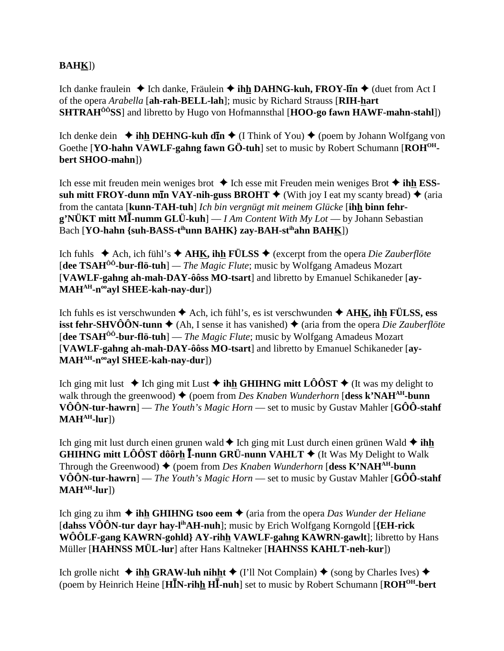# **BAHK**])

Ich danke fraulein **↓** Ich danke, Fräulein **↓ ihh DAHNG-kuh, FROY-lIn ↓** (duet from Act I of the opera *Arabella* [**ah-rah-BELL-lah**]; music by Richard Strauss [**RIH-hart SHTRAHÔÔSS**] and libretto by Hugo von Hofmannsthal [**HOO-go fawn HAWF-mahn-stahl**])

Ich denke dein  $\triangleq$  **ihh DEHNG-kuh dn**  $\triangleq$  (I Think of You)  $\triangleq$  (poem by Johann Wolfgang von Goethe **[YO-hahn VAWLF-gahng fawn GÖ-tuh**] set to music by Robert Schumann **[ROH<sup>OH</sup>bert SHOO-mahn**])

Ich esse mit freuden mein weniges brot **→** Ich esse mit Freuden mein weniges Brot **→ ihh ESSsuh mitt FROY-dunn m<b>I**n VAY-nih-guss BROHT  $\blacklozenge$  (With joy I eat my scanty bread)  $\blacklozenge$  (aria from the cantata [**kunn-TAH-tuh**] *Ich bin vergnügt mit meinem Glücke* [**ihh binn fehrg'NÜKT mitt MI-numm GLÜ-kuh**] — *I Am Content With My Lot* — by Johann Sebastian Bach [**YO-hahn {suh-BASS-t<sup>ih</sup>unn BAHK} zay-BAH-st<sup>ih</sup>ahn BAHK])** 

Ich fuhls  $\triangle$  Ach, ich fühl's  $\triangle$  AHK, ihh FÜLSS  $\triangle$  (excerpt from the opera *Die Zauberflöte* [**dee TSAHÔÔ-bur-flö-tuh**] *— The Magic Flute*; music by Wolfgang Amadeus Mozart [**VAWLF-gahng ah-mah-DAY-ôôss MO-tsart**] and libretto by Emanuel Schikaneder [**ay-MAHAH-nooayl SHEE-kah-nay-dur**])

Ich fuhls es ist verschwunden  $\triangle$  Ach, ich fühl's, es ist verschwunden  $\triangle$  AHK, ihh FÜLSS, ess **isst fehr-SHVÔÔN-tunn**  $\blacklozenge$  (Ah, I sense it has vanished)  $\blacklozenge$  (aria from the opera *Die Zauberflöte* [**dee TSAHÔÔ-bur-flö-tuh**] — *The Magic Flute*; music by Wolfgang Amadeus Mozart [**VAWLF-gahng ah-mah-DAY-ôôss MO-tsart**] and libretto by Emanuel Schikaneder [**ay-MAHAH-nooayl SHEE-kah-nay-dur**])

Ich ging mit lust  $\triangle$  Ich ging mit Lust  $\triangle$  ihh GHIHNG mitt LÔÔST  $\triangle$  (It was my delight to walk through the greenwood)  $\blacklozenge$  (poem from *Des Knaben Wunderhorn* [dess k'NAH<sup>AH</sup>-bunn **VÔÔN-tur-hawrn**] — *The Youth's Magic Horn* — set to music by Gustav Mahler [**GÔÔ-stahf MAHAH-lur**])

Ich ging mit lust durch einen grunen wald  $\blacklozenge$  Ich ging mit Lust durch einen grünen Wald  $\blacklozenge$  ihh **GHIHNG mitt LÔÔST dôôrh I-nunn GRÜ-nunn VAHLT**  $\blacklozenge$  (It Was My Delight to Walk Through the Greenwood)  $\blacklozenge$  (poem from *Des Knaben Wunderhorn* [dess K'NAH<sup>AH</sup>-bunn **VÔÔN-tur-hawrn**] — *The Youth's Magic Horn* — set to music by Gustav Mahler [**GÔÔ-stahf**  $MAH<sup>AH</sup>$ -lur])

Ich ging zu ihm  $\triangle$  **ihh GHIHNG tsoo eem**  $\triangle$  (aria from the opera *Das Wunder der Heliane* [**dahss VÔÔN-tur dayr hay-lihAH-nuh**]; music by Erich Wolfgang Korngold [**{EH-rick WÔÔLF-gang KAWRN-gohld} AY-rihh VAWLF-gahng KAWRN-gawlt**]; libretto by Hans Müller [**HAHNSS MÜL-lur**] after Hans Kaltneker [**HAHNSS KAHLT-neh-kur**])

Ich grolle nicht  $\triangleq$  **ihh GRAW-luh nihht**  $\triangleq$  (I'll Not Complain)  $\triangleq$  (song by Charles Ives)  $\triangleq$ (poem by Heinrich Heine [H**IN-rihh HI-nuh**] set to music by Robert Schumann [ROH<sup>OH</sup>-bert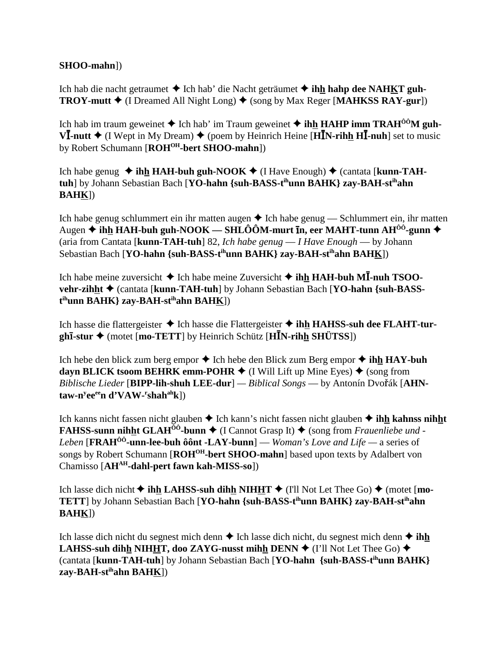#### **SHOO-mahn**])

Ich hab die nacht getraumet **→** Ich hab' die Nacht geträumet **→ ihh hahp dee NAHKT guh-TROY-mutt**  $\blacklozenge$  (I Dreamed All Night Long)  $\blacklozenge$  (song by Max Reger [**MAHKSS RAY-gur**])

Ich hab im traum geweinet  $\triangle$  Ich hab' im Traum geweinet  $\triangle$  ihh HAHP imm TRAH<sup>00</sup>M guh- $V\overline{\mathbf{I}}$ -nutt  $\blacklozenge$  (I Wept in My Dream)  $\blacklozenge$  (poem by Heinrich Heine [**HI**N-rihh **HI**-nuh] set to music by Robert Schumann [**ROHOH-bert SHOO-mahn**])

Ich habe genug  $\triangleleft$  **ihh HAH-buh guh-NOOK**  $\triangleleft$  (I Have Enough)  $\triangleleft$  (cantata [**kunn-TAHtuh**] by Johann Sebastian Bach [**YO-hahn {suh-BASS-tihunn BAHK} zay-BAH-stihahn BAHK**])

Ich habe genug schlummert ein ihr matten augen  $\triangle$  Ich habe genug — Schlummert ein, ihr matten Augen **ihh HAH-buh guh-NOOK — SHLÔÔM-murt n, eer MAHT-tunn AHÔÔ-gunn** (aria from Cantata [**kunn-TAH-tuh**] 82, *Ich habe genug* — *I Have Enough* — by Johann Sebastian Bach [**YO-hahn {suh-BASS-tihunn BAHK} zay-BAH-stihahn BAHK**])

Ich habe meine zuversicht ◆ Ich habe meine Zuversicht ◆ ihh HAH-buh MĪ-nuh TSOO**vehr-zihht ♦ (cantata [kunn-TAH-tuh] by Johann Sebastian Bach [YO-hahn {suh-BASSt ihunn BAHK} zay-BAH-stihahn BAHK**])

Ich hasse die flattergeister **→** Ich hasse die Flattergeister **→ ihh HAHSS-suh dee FLAHT-turghī-stur ◆** (motet [**mo-TETT**] by Heinrich Schütz [HIN-rihn SHÜTSS])

Ich hebe den blick zum berg empor  $\triangle$  Ich hebe den Blick zum Berg empor  $\triangle$  ihh HAY-buh **dayn BLICK tsoom BEHRK emm-POHR**  $\blacklozenge$  (I Will Lift up Mine Eyes)  $\blacklozenge$  (song from *Biblische Lieder* [BIPP-lih-shuh LEE-dur] — *Biblical Songs* — by Antonín Dvořák [AHN- ${\bf t}$ aw-n<sup>y</sup>ee<sup>ee</sup>n d'VAW-<sup>r</sup>shah<sup>ah</sup>k])

Ich kanns nicht fassen nicht glauben **→** Ich kann's nicht fassen nicht glauben **→ ih<u>h</u> kahnss nihht FAHSS-sunn nihht GLAH<sup>** $\delta\hat{o}$ **-bunn**  $\blacklozenge$  (I Cannot Grasp It)  $\blacklozenge$  (song from *Frauenliebe und -*</sup> *Leben* [**FRAHÔÔ-unn-lee-buh ôônt -LAY-bunn**] — *Woman's Love and Life —* a series of songs by Robert Schumann [**ROH<sup>OH</sup>-bert SHOO-mahn**] based upon texts by Adalbert von Chamisso [**AHAH-dahl-pert fawn kah-MISS-so**])

Ich lasse dich nicht  $\triangle$  **ihh LAHSS-suh dihh NIHHT**  $\triangle$  (I'll Not Let Thee Go)  $\triangle$  (motet [**mo**-**TETT**] by Johann Sebastian Bach [**YO-hahn {suh-BASS-tihunn BAHK} zay-BAH-stihahn BAHK**])

Ich lasse dich nicht du segnest mich denn  $\triangle$  Ich lasse dich nicht, du segnest mich denn  $\triangle$  ihh **LAHSS-suh dihh NIHHT, doo ZAYG-nusst mihh DENN**  $\blacklozenge$  (I'll Not Let Thee Go)  $\blacklozenge$ (cantata [**kunn-TAH-tuh**] by Johann Sebastian Bach [**YO-hahn {suh-BASS-tihunn BAHK} zay-BAH-stihahn BAHK**])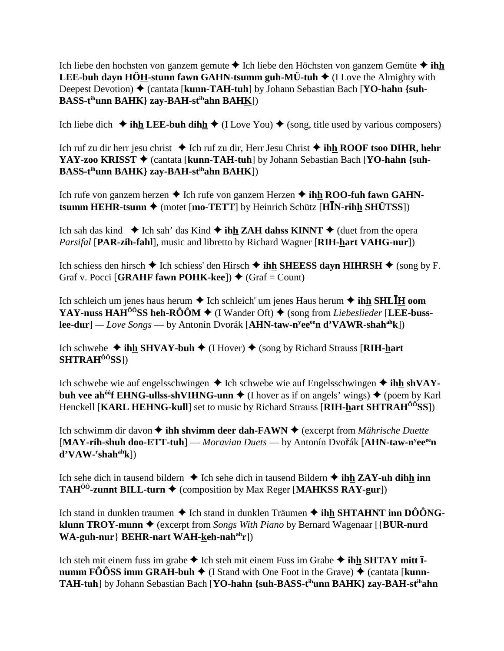Ich liebe den hochsten von ganzem gemute  $\triangle$  Ich liebe den Höchsten von ganzem Gemüte  $\triangle$  ihh **LEE-buh dayn HÖH-stunn fawn GAHN-tsumm guh-MÜ-tuh**  $\triangle$  (I Love the Almighty with Deepest Devotion) ♦ (cantata [**kunn-TAH-tuh**] by Johann Sebastian Bach [YO-hahn {suh-**BASS-tihunn BAHK} zay-BAH-stihahn BAHK**])

Ich liebe dich  $\triangle$  ihh LEE-buh dihh  $\triangle$  (I Love You)  $\triangle$  (song, title used by various composers)

Ich ruf zu dir herr jesu christ ◆ Ich ruf zu dir, Herr Jesu Christ ◆ ihh ROOF tsoo DIHR, hehr **YAY-zoo KRISST ♦** (cantata [kunn-TAH-tuh] by Johann Sebastian Bach [YO-hahn {suh-**BASS-tihunn BAHK} zay-BAH-stihahn BAHK**])

Ich rufe von ganzem herzen **→** Ich rufe von ganzem Herzen **→ ihh ROO-fuh fawn GAHN-** $\textbf{t}$ **summ HEHR-tsunn**  $\blacklozenge$  **(motet [mo-TETT]** by Heinrich Schütz [H**IN-rihh SHÜTSS**])

Ich sah das kind  $\blacklozenge$  Ich sah' das Kind  $\blacklozenge$  ihh ZAH dahss KINNT  $\blacklozenge$  (duet from the opera *Parsifal* [**PAR-zih-fahl**], music and libretto by Richard Wagner [**RIH-hart VAHG-nur**])

Ich schiess den hirsch  $\blacklozenge$  Ich schiess' den Hirsch  $\blacklozenge$  ihh SHEESS dayn HIHRSH  $\blacklozenge$  (song by F. Graf v. Pocci [**GRAHF fawn POHK-kee**])  $\blacklozenge$  (Graf = Count)

Ich schleich um jenes haus herum ♦ Ich schleich' um jenes Haus herum ♦ ih<u>h</u> SHLĪ<u>H</u> oom **YAY-nuss HAH<sup>** $\hat{O}$ **OSS heh-RO** $\hat{O}$ **M**  $\blacklozenge$  (I Wander Oft)  $\blacklozenge$  (song from *Liebeslieder* [**LEE-buss-**</sup> **lee-dur**] *— Love Songs* — by Antonín Dvorák [**AHN-taw-n<sup>y</sup>ee<sup>ee</sup>n d'VAWR-shah<sup>ah</sup>k**])

Ich schwebe  $\triangleq$  **ihh SHVAY-buh**  $\triangleq$  (I Hover)  $\triangleq$  (song by Richard Strauss [**RIH-hart SHTRAHÔÔSS**])

Ich schwebe wie auf engelsschwingen  $\triangle$  Ich schwebe wie auf Engelsschwingen  $\triangle$  ihh shVAY**buh vee ah<sup>ôô</sup>f EHNG-ullss-shVIHNG-unn**  $\blacklozenge$  (I hover as if on angels' wings)  $\blacklozenge$  (poem by Karl Henckell [**KARL HEHNG-kull**] set to music by Richard Strauss [**RIH-hart SHTRAHÔÔSS**])

Ich schwimm dir davon **↓ ihh shvimm deer dah-FAWN ◆** (excerpt from *Mährische Duette* [MAY-rih-shuh doo-ETT-tuh] — *Moravian Duets* — by Antonín Dvořák [AHN-taw-n<sup>y</sup>ee<sup>ee</sup>n **d'VAW-r shahahk**])

Ich sehe dich in tausend bildern  $\triangle$  Ich sehe dich in tausend Bildern  $\triangle$  ihh ZAY-uh dihh inn **TAH<sup>** $\hat{0}$ **<sup>0</sup>-zunnt BILL-turn**  $\blacklozenge$  (composition by Max Reger [**MAHKSS RAY-gur**])</sup>

Ich stand in dunklen traumen **→** Ich stand in dunklen Träumen → **ihh SHTAHNT inn DÔÔNGklunn TROY-munn ♦** (excerpt from *Songs With Piano* by Bernard Wagenaar [{**BUR-nurd WA-guh-nur**} **BEHR-nart WAH-keh-nah<sup>ah</sup>r**])

Ich steh mit einem fuss im grabe  $\triangle$  Ich steh mit einem Fuss im Grabe  $\triangle$  ihh SHTAY mitt **1 numm FÔÔSS imm GRAH-buh**  $\blacklozenge$  **(I Stand with One Foot in the Grave)**  $\blacklozenge$  **(cantata [<b>kunn-TAH-tuh**] by Johann Sebastian Bach [**YO-hahn {suh-BASS-tihunn BAHK} zay-BAH-stihahn**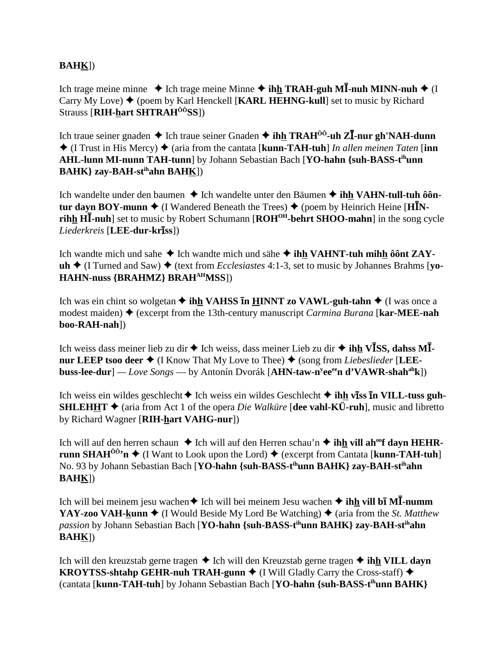# **BAHK**])

Ich trage meine minne ◆ Ich trage meine Minne ◆ ih<u>h</u> TRAH-guh M**I-nuh MINN-nuh ◆** (I Carry My Love)  $\blacklozenge$  (poem by Karl Henckell [**KARL HEHNG-kull**] set to music by Richard Strauss [**RIH-hart SHTRAHÔÔSS**])

Ich traue seiner gnaden ◆ Ich traue seiner Gnaden ◆ ih<u>h</u> TRAH<sup>ôô</sup>-uh ZĪ-nur gh'NAH-dunn  $\triangle$  (I Trust in His Mercy)  $\triangle$  (aria from the cantata [**kunn-TAH-tuh**] *In allen meinen Taten* [**inn AHL-lunn MI-nunn TAH-tunn**] by Johann Sebastian Bach [**YO-hahn {suh-BASS-tihunn BAHK} zay-BAH-stihahn BAHK**])

Ich wandelte under den baumen **→** Ich wandelte unter den Bäumen **→ ihh VAHN-tull-tuh ôôntur dayn BOY-munn**  $\blacklozenge$  **(I** Wandered Beneath the Trees)  $\blacklozenge$  (poem by Heinrich Heine [**H**IN**rihh HI-nuh**] set to music by Robert Schumann [**ROH<sup>OH</sup>-behrt SHOO-mahn**] in the song cycle *Liederkreis* [**LEE-dur-krss**])

Ich wandte mich und sahe **→** Ich wandte mich und sähe **→ ihh VAHNT-tuh mihh ôônt ZAY-** $\mathbf{u}$ **h**  $\blacklozenge$  (I Turned and Saw)  $\blacklozenge$  (text from *Ecclesiastes* 4:1-3, set to music by Johannes Brahms [vo-**HAHN-nuss {BRAHMZ} BRAHAHMSS**])

Ich was ein chint so wolgetan  $\triangle$  **ihh VAHSS n HINNT zo VAWL-guh-tahn**  $\triangle$  (I was once a modest maiden) (excerpt from the 13th-century manuscript *Carmina Burana* [**kar-MEE-nah boo-RAH-nah**])

Ich weiss dass meiner lieb zu dir ♦ Ich weiss, dass meiner Lieb zu dir ♦ **ih<u>h</u> VĪSS, dahss MĪnur LEEP tsoo deer**  $\triangleleft$  **(I Know That My Love to Thee)**  $\triangleq$  **(song from** *Liebeslieder* **[LEEbuss-lee-dur**] *— Love Songs* — by Antonín Dvorák [**AHN-taw-ny eeeen d'VAWR-shahahk**])

Ich weiss ein wildes geschlecht **→** Ich weiss ein wildes Geschlecht **→ ihh viss in VILL-tuss guh-SHLEHHT** ◆ (aria from Act 1 of the opera *Die Walküre* [dee vahl-KÜ-ruh], music and libretto by Richard Wagner [**RIH-hart VAHG-nur**])

Ich will auf den herren schaun ♦ Ich will auf den Herren schau'n ♦ ihh vill ah<sup>oo</sup>f dayn HEHR**runn SHAH<sup>** $\hat{0}$ **<sup>0</sup>'n**  $\blacklozenge$  (I Want to Look upon the Lord)  $\blacklozenge$  (excerpt from Cantata [**kunn-TAH-tuh**]</sup> No. 93 by Johann Sebastian Bach [**YO-hahn {suh-BASS-tihunn BAHK} zay-BAH-stihahn BAHK**])

Ich will bei meinem jesu wachen◆ Ich will bei meinem Jesu wachen ◆ ih<u>h</u> vill b**ī MĪ-numm YAY-zoo VAH-kunn**  $\triangleleft$  (I Would Beside My Lord Be Watching)  $\triangleleft$  (aria from the *St. Matthew passion* by Johann Sebastian Bach [**YO-hahn {suh-BASS-tihunn BAHK} zay-BAH-stihahn BAHK**])

Ich will den kreuzstab gerne tragen **→** Ich will den Kreuzstab gerne tragen **→ ihh VILL dayn KROYTSS-shtahp GEHR-nuh TRAH-gunn**  $\blacklozenge$  (I Will Gladly Carry the Cross-staff)  $\blacklozenge$ (cantata [**kunn-TAH-tuh**] by Johann Sebastian Bach [**YO-hahn {suh-BASS-tihunn BAHK}**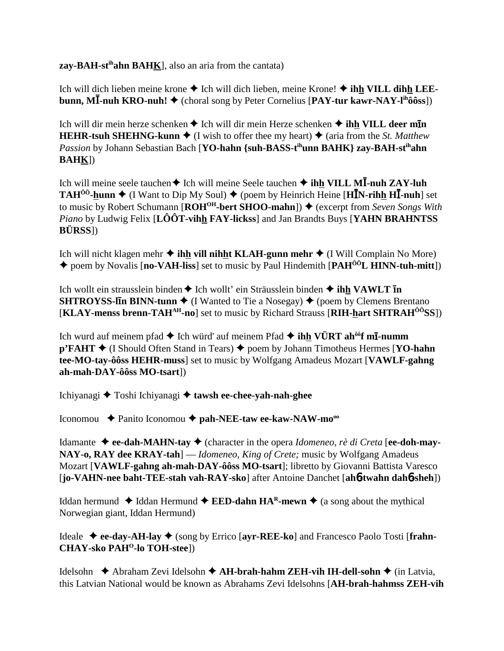**zay-BAH-stihahn BAHK**], also an aria from the cantata)

Ich will dich lieben meine krone **→** Ich will dich lieben, meine Krone! ◆ **ihh VILL dihh LEEbunn, MĪ-nuh KRO-nuh! ♦** (choral song by Peter Cornelius [PAY-tur kawr-NAY-l<sup>ih</sup>ôôss])

Ich will dir mein herze schenken  $\triangle$  Ich will dir mein Herze schenken  $\triangle$  ihh VILL deer m**In HEHR-tsuh SHEHNG-kunn**  $\blacklozenge$  (I wish to offer thee my heart)  $\blacklozenge$  (aria from the *St. Matthew Passion* by Johann Sebastian Bach [**YO-hahn {suh-BASS-tihunn BAHK} zay-BAH-stihahn BAHK**])

Ich will meine seele tauchen◆ Ich will meine Seele tauchen ◆ **ih<u>h</u> VILL MĪ-nuh ZAY-luh TAH<sup>ôô</sup>-hunn ♦** (I Want to Dip My Soul) ♦ (poem by Heinrich Heine [HIN-rihh HI-nuh] set to music by Robert Schumann [**ROH<sup>OH</sup>-bert SHOO-mahn**]) ♦ (excerpt from *Seven Songs With Piano* by Ludwig Felix [**LÔÔT-vihh FAY-lickss**] and Jan Brandts Buys [**YAHN BRAHNTSS BÜRSS**])

Ich will nicht klagen mehr **→ ihh vill nihht KLAH-gunn mehr →** (I Will Complain No More) ◆ poem by Novalis [**no-VAH-liss**] set to music by Paul Hindemith [**PAH<sup>ôô</sup>L HINN-tuh-mitt**])

Ich wollt ein strausslein binden **↑** Ich wollt' ein Sträusslein binden **↑ ihh VAWLT In SHTROYSS-IIn BINN-tunn**  $\blacklozenge$  (I Wanted to Tie a Nosegay)  $\blacklozenge$  (poem by Clemens Brentano [**KLAY-menss brenn-TAHAH-no**] set to music by Richard Strauss [**RIH-hart SHTRAHÔÔSS**])

Ich wurd auf meinem pfad  $\blacklozenge$  Ich würd' auf meinem Pfad  $\blacklozenge$  **ihh VÜRT ah<sup>ôô</sup>f mī-numm p'FAHT ←** (I Should Often Stand in Tears) ← poem by Johann Timotheus Hermes [**YO-hahn tee-MO-tay-ôôss HEHR-muss**] set to music by Wolfgang Amadeus Mozart [**VAWLF-gahng ah-mah-DAY-ôôss MO-tsart**])

Ichiyanagi Toshi Ichiyanagi **tawsh ee-chee-yah-nah-ghee**

Iconomou Panito Iconomou **pah-NEE-taw ee-kaw-NAW-mooo**

Idamante **ee-dah-MAHN-tay** (character in the opera *Idomeneo, rè di Creta* [**ee-doh-may-NAY-o, RAY dee KRAY-tah**] — *Idomeneo, King of Crete;* music by Wolfgang Amadeus Mozart [**VAWLF-gahng ah-mah-DAY-ôôss MO-tsart**]; libretto by Giovanni Battista Varesco [**jo-VAHN-nee baht-TEE-stah vah-RAY-sko**] after Antoine Danchet [**ah**6**-twahn dah**6**-sheh**])

Iddan hermund  $\blacklozenge$  Iddan Hermund  $\blacklozenge$  **EED-dahn HA<sup>R</sup>-mewn**  $\blacklozenge$  (a song about the mythical Norwegian giant, Iddan Hermund)

Ideale **ee-day-AH-lay** (song by Errico [**ayr-REE-ko**] and Francesco Paolo Tosti [**frahn-CHAY-sko PAH<sup>O</sup>-lo TOH-stee**])

Idelsohn **→** Abraham Zevi Idelsohn → **AH-brah-hahm ZEH-vih IH-dell-sohn** → (in Latvia, this Latvian National would be known as Abrahams Zevi Idelsohns [**AH-brah-hahmss ZEH-vih**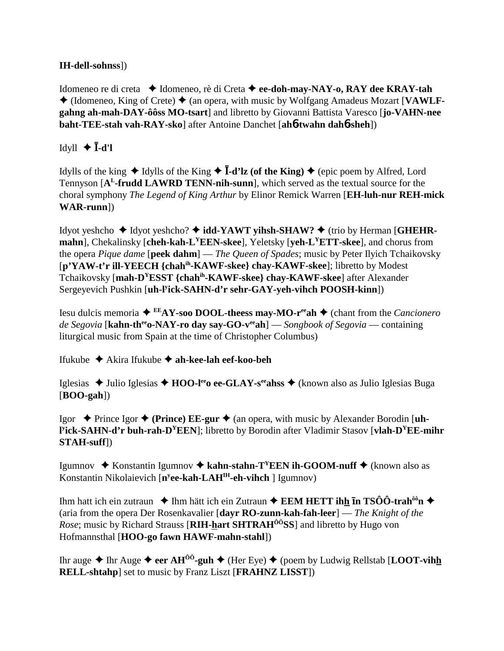### **IH-dell-sohnss]**)

Idomeneo re di creta → Idomeneo, rè di Creta → ee-doh-may-NAY-o, RAY dee KRAY-tah  $\triangle$  (Idomeneo, King of Crete)  $\triangle$  (an opera, with music by Wolfgang Amadeus Mozart [VAWLFgahng ah-mah-DAY-ôôss MO-tsart] and libretto by Giovanni Battista Varesco [jo-VAHN-nee] baht-TEE-stah vah-RAY-sko] after Antoine Danchet [ah6-twahn dah6-sheh])

# Idyll  $\blacklozenge$  **I**-d'l

Idylls of the king  $\triangle$  Idylls of the King  $\triangle$  **I-d'lz (of the King)**  $\triangle$  (epic poem by Alfred, Lord Tennyson [A<sup>L</sup>-frudd LAWRD TENN-nih-sunn], which served as the textual source for the choral symphony The Legend of King Arthur by Elinor Remick Warren [EH-luh-nur REH-mick  $WAR$ -runn])

Idyot yeshcho  $\triangleleft$  Idyot yeshcho?  $\triangleleft$  idd-YAWT yihsh-SHAW?  $\triangleleft$  (trio by Herman [GHEHRmahn], Chekalinsky [cheh-kah-L<sup>Y</sup>EEN-skee], Yeletsky [veh-L<sup>Y</sup>ETT-skee], and chorus from the opera *Pique dame* [peek dahm] — *The Queen of Spades*; music by Peter Ilyich Tchaikovsky [p'YAW-t'r ill-YEECH {chah<sup>ih</sup>-KAWF-skee} chay-KAWF-skee]; libretto by Modest Tchaikovsky [mah-D<sup>Y</sup>ESST {chah<sup>ih</sup>-KAWF-skee} chay-KAWF-skee] after Alexander Sergeyevich Pushkin [uh-Fick-SAHN-d'r sehr-GAY-yeh-vihch POOSH-kinn])

Iesu dulcis memoria  $\triangleq$ <sup>EE</sup>AY-soo DOOL-theess may-MO-r<sup>ee</sup>ah  $\triangleq$  (chant from the *Cancionero* de Segovia [kahn-th<sup>ee</sup>o-NAY-ro day say-GO-v<sup>ee</sup>ah] — Songbook of Segovia — containing liturgical music from Spain at the time of Christopher Columbus)

Ifukube  $\triangleq$  Akira Ifukube  $\triangleq$  ah-kee-lah eef-koo-beh

Iglesias  $\triangle$  Julio Iglesias  $\triangle$  HOO-I<sup>ee</sup> oee-GLAY-s<sup>ee</sup> ahs  $\triangle$  (known also as Julio Iglesias Buga  $[BOO-gah])$ 

Igor  $\triangle$  Prince Igor  $\triangle$  (Prince) EE-gur  $\triangle$  (an opera, with music by Alexander Borodin [uh-**Fick-SAHN-d'r buh-rah-D<sup>Y</sup>EEN**]; libretto by Borodin after Vladimir Stasov [vlah-D<sup>Y</sup>EE-mihr]  $STAH-suff$ )

Igumnov  $\triangle$  Konstantin Igumnov  $\triangle$  kahn-stahn-T<sup>Y</sup>EEN ih-GOOM-nuff  $\triangle$  (known also as Konstantin Nikolaievich  $[n^yee\text{-}kah\text{-}LAH^H\text{-}eh\text{-}vihch$  ] Igumnov)

Ihm hatt ich ein zutraun  $\triangleq$  Ihm hätt ich ein Zutraun  $\triangleq$  **EEM HETT ihh In TSÔÔ-trah**<sup>66</sup>**n**  $\triangleq$ (aria from the opera Der Rosenkavalier [dayr RO-zunn-kah-fah-leer]  $-$  The Knight of the *Rose*; music by Richard Strauss [RIH-hart SHTRAH<sup>00</sup>SS] and libretto by Hugo von Hofmannsthal [HOO-go fawn HAWF-mahn-stahl])

Ihr auge  $\triangle$  Ihr Auge  $\triangle$  eer AH<sup> $\hat{0}$ </sup>-guh  $\triangle$  (Her Eye)  $\triangle$  (poem by Ludwig Rellstab [LOOT-vihh **RELL-shtahp** set to music by Franz Liszt [FRAHNZ LISST])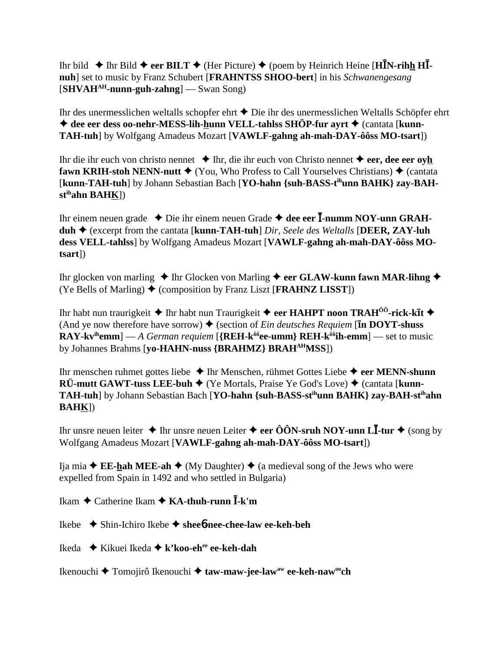Ihr bild  $\triangle$  Ihr Bild  $\triangle$  eer BILT  $\triangle$  (Her Picture)  $\triangle$  (poem by Heinrich Heine [H**I**N-rihh HII**nuh**] set to music by Franz Schubert [**FRAHNTSS SHOO-bert**] in his *Schwanengesang* [**SHVAHAH-nunn-guh-zahng**] — Swan Song)

Ihr des unermesslichen weltalls schopfer ehrt  $\blacklozenge$  Die ihr des unermesslichen Weltalls Schöpfer ehrt ◆ dee eer dess oo-nehr-MESS-lih-hunn VELL-tahlss SHÖP-fur ayrt ◆ (cantata [kunn-**TAH-tuh**] by Wolfgang Amadeus Mozart [**VAWLF-gahng ah-mah-DAY-ôôss MO-tsart**])

Ihr die ihr euch von christo nennet Ihr, die ihr euch von Christo nennet **eer, dee eer oyh fawn KRIH-stoh NENN-nutt**  $\blacklozenge$  (You, Who Profess to Call Yourselves Christians)  $\blacklozenge$  (cantata [kunn-TAH-tuh] by Johann Sebastian Bach [YO-hahn {suh-BASS-t<sup>ih</sup>unn BAHK} zay-BAH**stihahn BAHK**])

Ihr einem neuen grade ◆ Die ihr einem neuen Grade ◆ dee eer **I-numm NOY-unn GRAHduh** (excerpt from the cantata [**kunn-TAH-tuh**] *Dir, Seele des Weltalls* [**DEER, ZAY-luh dess VELL-tahlss**] by Wolfgang Amadeus Mozart [**VAWLF-gahng ah-mah-DAY-ôôss MOtsart**])

Ihr glocken von marling  $\triangle$  Ihr Glocken von Marling  $\triangle$  eer GLAW-kunn fawn MAR-lihng  $\triangle$ (Ye Bells of Marling)  $\blacklozenge$  (composition by Franz Liszt [**FRAHNZ LISST**])

Ihr habt nun traurigkeit  $\blacklozenge$  Ihr habt nun Traurigkeit  $\blacklozenge$  eer **HAHPT** noon **TRAH<sup>ôô</sup>-rick-kl̃t**  $\blacklozenge$ (And ye now therefore have sorrow)  $\blacklozenge$  (section of *Ein deutsches Requiem* [**In DOYT-shuss RAY-kv<sup>ih</sup>emm**] — *A German requiem* [{**REH-k<sup>ôô</sup>ee-umm} REH-k<sup>ôô</sup>ih-emm**] — set to music by Johannes Brahms [**yo-HAHN-nuss {BRAHMZ} BRAHAHMSS**])

Ihr menschen ruhmet gottes liebe **→** Ihr Menschen, rühmet Gottes Liebe → eer MENN-shunn **RÜ-mutt GAWT-tuss LEE-buh**  $\blacklozenge$  **(Ye Mortals, Praise Ye God's Love)**  $\blacklozenge$  **(cantata [<b>kunn-TAH-tuh**] by Johann Sebastian Bach [**YO-hahn {suh-BASS-stihunn BAHK} zay-BAH-stihahn BAHK**])

Ihr unsre neuen leiter  $\blacklozenge$  Ihr unsre neuen Leiter  $\blacklozenge$  **eer ÔÔN-sruh NOY-unn LĪ-tur**  $\blacklozenge$  (song by Wolfgang Amadeus Mozart [**VAWLF-gahng ah-mah-DAY-ôôss MO-tsart**])

Ija mia  $\blacklozenge$  **EE-hah MEE-ah**  $\blacklozenge$  (My Daughter)  $\blacklozenge$  (a medieval song of the Jews who were expelled from Spain in 1492 and who settled in Bulgaria)

Ikam ◆ Catherine Ikam ◆ KA-thuh-runn **Ī**-k'm

Ikebe Shin-Ichiro Ikebe **shee**6**-nee-chee-law ee-keh-beh**

Ikeda Kikuei Ikeda **k'koo-ehee ee-keh-dah**

Ikenouchi **→** Tomojirô Ikenouchi → taw-maw-jee-law<sup>aw</sup> ee-keh-naw<sup>oo</sup>ch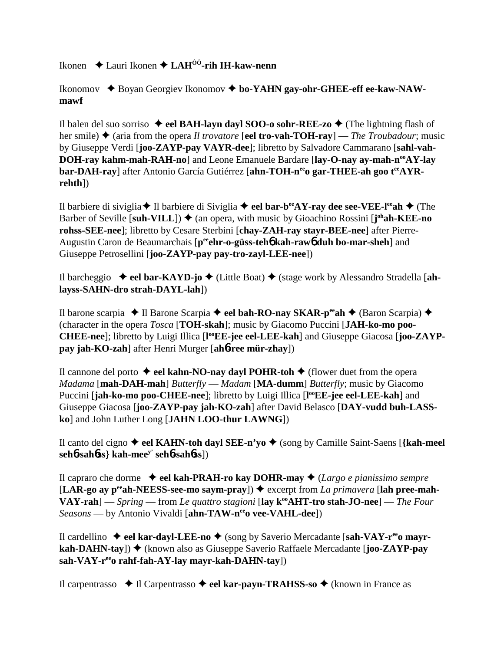Ikonen Lauri Ikonen **LAHÔÔ-rih IH-kaw-nenn**

Ikonomov ◆ Boyan Georgiev Ikonomov ◆ bo-YAHN gay-ohr-GHEE-eff ee-kaw-NAW**mawf**

Il balen del suo sorriso  $\triangleleft$  eel **BAH-layn dayl SOO-o sohr-REE-zo**  $\triangleleft$  (The lightning flash of her smile)  $\triangle$  (aria from the opera *Il trovatore* [**eel tro-vah-TOH-ray**] — *The Troubadour*; music by Giuseppe Verdi [**joo-ZAYP-pay VAYR-dee**]; libretto by Salvadore Cammarano [**sahl-vah-DOH-ray kahm-mah-RAH-no**] and Leone Emanuele Bardare [lay-O-nay ay-mah-n<sup>oo</sup>AY-lay bar-DAH-ray] after Antonio García Gutiérrez [ahn-TOH-neco gar-THEE-ah goo tea YR**rehth**])

Il barbiere di siviglia **→** Il barbiere di Siviglia **→ eel bar-b<sup>ee</sup>AY-ray dee see-VEE-l<sup>ee</sup>ah** → (The Barber of Seville [suh-VILL])  $\blacklozenge$  (an opera, with music by Gioachino Rossini [j<sup>oh</sup>ah-KEE-no **rohss-SEE-nee**]; libretto by Cesare Sterbini [**chay-ZAH-ray stayr-BEE-nee**] after Pierre-Augustin Caron de Beaumarchais [p<sup>ee</sup>ehr-o-güss-teh**o** kah-rawo duh bo-mar-sheh] and Giuseppe Petrosellini [**joo-ZAYP-pay pay-tro-zayl-LEE-nee**])

Il barcheggio  $\rightarrow$  **eel bar-KAYD-jo**  $\rightarrow$  (Little Boat)  $\rightarrow$  (stage work by Alessandro Stradella [ah**layss-SAHN-dro strah-DAYL-lah**])

Il barone scarpia **→ Il Barone Scarpia → eel bah-RO-nay SKAR-p<sup>ee</sup>ah → (Baron Scarpia) →** (character in the opera *Tosca* [**TOH-skah**]; music by Giacomo Puccini [**JAH-ko-mo poo-**CHEE-nee]; libretto by Luigi Illica [l<sup>oo</sup>EE-jee eel-LEE-kah] and Giuseppe Giacosa [joo-ZAYP**pay jah-KO-zah**] after Henri Murger [**ah**6**-ree mür-zhay**])

Il cannone del porto  $\triangle$  **eel kahn-NO-nay dayl POHR-toh**  $\triangle$  (flower duet from the opera *Madama* [**mah-DAH-mah**] *Butterfly* — *Madam* [**MA-dumm**] *Butterfly*; music by Giacomo Puccini [jah-ko-mo poo-CHEE-nee]; libretto by Luigi Illica [l<sup>oo</sup>EE-jee eel-LEE-kah] and Giuseppe Giacosa [**joo-ZAYP-pay jah-KO-zah**] after David Belasco [**DAY-vudd buh-LASSko**] and John Luther Long [**JAHN LOO-thur LAWNG**])

Il canto del cigno  $\triangle$  eel KAHN-toh dayl SEE-n'yo  $\triangle$  (song by Camille Saint-Saens [{kah-meel **seh**6**-sah**6**ss} kah-meey' seh**6**-sah**6**ss**])

Il capraro che dorme **eel kah-PRAH-ro kay DOHR-may** (*Largo e pianissimo sempre*  $[**LAR-go ay p<sup>ee</sup>ah-NEESS-see-mo saym-pray**]$   $\rightarrow$  excerpt from *La primavera* [lah pree-mah-**VAY-rah**] — *Spring* — from *Le quattro stagioni* [**lay kooAHT-tro stah-JO-nee**] — *The Four Seasons* — by Antonio Vivaldi [ahn-TAW-nee vee-VAHL-dee])

Il cardellino ◆ eel kar-dayl-LEE-no ◆ (song by Saverio Mercadante [sah-VAY-r<sup>ee</sup>o mayr**kah-DAHN-tay**]) ◆ (known also as Giuseppe Saverio Raffaele Mercadante [**joo-ZAYP-pay sah-VAY-reeo rahf-fah-AY-lay mayr-kah-DAHN-tay**])

Il carpentrasso Il Carpentrasso **eel kar-payn-TRAHSS-so** (known in France as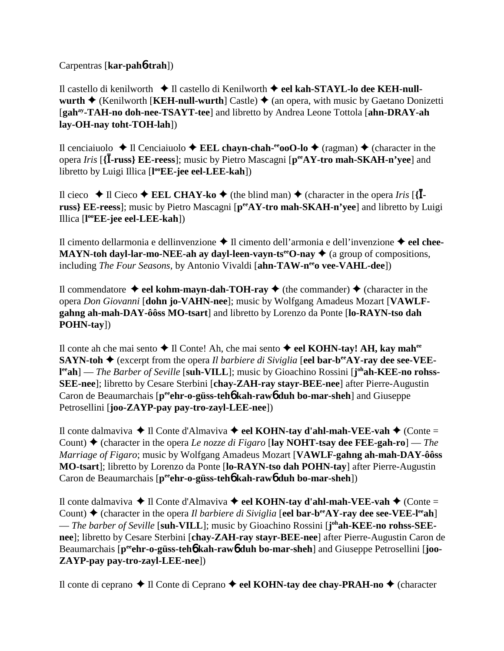Carpentras [**kar-pah**6**-trah**])

Il castello di kenilworth **→** Il castello di Kenilworth ◆ eel kah-STAYL-lo dee KEH-null**wurth**  $\triangle$  (Kenilworth [**KEH-null-wurth**] Castle)  $\triangle$  (an opera, with music by Gaetano Donizetti [**gahay-TAH-no doh-nee-TSAYT-tee**] and libretto by Andrea Leone Tottola [**ahn-DRAY-ah lay-OH-nay toht-TOH-lah**])

Il cenciaiuolo  $\triangle$  Il Cenciaiuolo  $\triangle$  **EEL chayn-chah-<sup>ee</sup>ooO-lo**  $\triangle$  (ragman)  $\triangle$  (character in the opera *Iris* [**{**-**-russ} EE-reess**]; music by Pietro Mascagni [**peeAY-tro mah-SKAH-n'yee**] and libretto by Luigi Illica [**l ooEE-jee eel-LEE-kah**])

Il cieco  $\blacklozenge$  Il Cieco  $\blacklozenge$  **EEL CHAY-ko**  $\blacklozenge$  (the blind man)  $\blacklozenge$  (character in the opera *Iris* [{**I**russ} **EE-reess**]; music by Pietro Mascagni [ $p^{ee}AY$ -tro mah-SKAH-n'yee] and libretto by Luigi Illica [**l ooEE-jee eel-LEE-kah**])

Il cimento dellarmonia e dellinvenzione **→** Il cimento dell'armonia e dell'invenzione → eel chee-**MAYN-toh dayl-lar-mo-NEE-ah ay dayl-leen-vayn-ts<sup>ee</sup>O-nay**  $\triangleq$  **(a group of compositions,** including *The Four Seasons*, by Antonio Vivaldi [**ahn-TAW-n<sup>ee</sup>o vee-VAHL-dee**])

Il commendatore  $\triangleleft$  eel kohm-mayn-dah-TOH-ray  $\triangleleft$  (the commander)  $\triangleleft$  (character in the opera *Don Giovanni* [**dohn jo-VAHN-nee**]; music by Wolfgang Amadeus Mozart [**VAWLFgahng ah-mah-DAY-ôôss MO-tsart**] and libretto by Lorenzo da Ponte [**lo-RAYN-tso dah POHN-tay**])

Il conte ah che mai sento Il Conte! Ah, che mai sento **eel KOHN-tay! AH, kay mahee SAYN-toh**  $\blacklozenge$  (excerpt from the opera *Il barbiere di Siviglia* [eel **bar-b<sup>ee</sup>AY-ray dee see-VEE**l<sup>ee</sup>ah] — *The Barber of Seville* [suh-VILL]; music by Gioachino Rossini [j<sup>oh</sup>ah-KEE-no rohss-**SEE-nee**]; libretto by Cesare Sterbini [**chay-ZAH-ray stayr-BEE-nee**] after Pierre-Augustin Caron de Beaumarchais [p<sup>ee</sup>ehr-o-güss-teh**6** kah-raw**6** duh bo-mar-sheh] and Giuseppe Petrosellini [**joo-ZAYP-pay pay-tro-zayl-LEE-nee**])

Il conte dalmaviva **→** Il Conte d'Almaviva **→ eel KOHN-tay d'ahl-mah-VEE-vah →** (Conte = Count) (character in the opera *Le nozze di Figaro* [**lay NOHT-tsay dee FEE-gah-ro**] — *The Marriage of Figaro*; music by Wolfgang Amadeus Mozart [**VAWLF-gahng ah-mah-DAY-ôôss MO-tsart**]; libretto by Lorenzo da Ponte [**lo-RAYN-tso dah POHN-tay**] after Pierre-Augustin Caron de Beaumarchais [p<sup>ee</sup>ehr-o-güss-teh**o** kah-rawo duh bo-mar-sheh])

Il conte dalmaviva **→** Il Conte d'Almaviva → eel KOHN-tay d'ahl-mah-VEE-vah → (Conte = Count)  $\triangle$  (character in the opera *Il barbiere di Siviglia* [eel bar-b<sup>ee</sup>AY-ray dee see-VEE-l<sup>ee</sup>ah] — *The barber of Seville* [suh-VILL]; music by Gioachino Rossini [j<sup>oh</sup>ah-KEE-no rohss-SEE**nee**]; libretto by Cesare Sterbini [**chay-ZAH-ray stayr-BEE-nee**] after Pierre-Augustin Caron de Beaumarchais [p<sup>ee</sup>ehr-o-güss-teh**6** kah-raw6 duh bo-mar-sheh] and Giuseppe Petrosellini [joo-**ZAYP-pay pay-tro-zayl-LEE-nee**])

Il conte di ceprano **→** Il Conte di Ceprano → eel KOHN-tay dee chay-PRAH-no → (character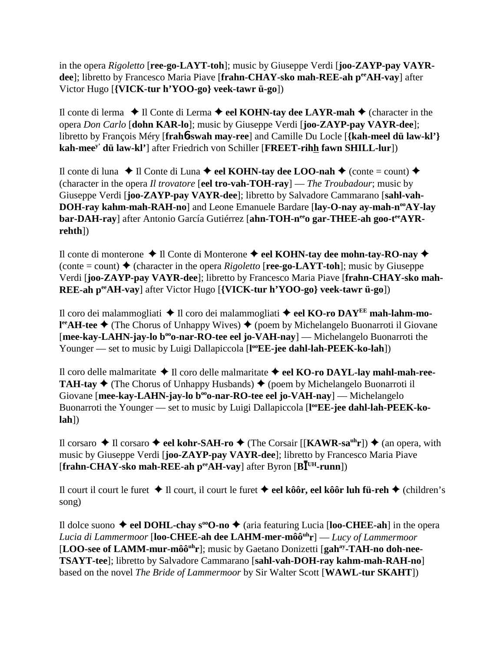in the opera *Rigoletto* [**ree-go-LAYT-toh**]; music by Giuseppe Verdi [**joo-ZAYP-pay VAYR**dee]; libretto by Francesco Maria Piave [frahn-CHAY-sko mah-REE-ah peeAH-vay] after Victor Hugo [**{VICK-tur h'YOO-go} veek-tawr ü-go**])

Il conte di lerma  $\triangle$  Il Conte di Lerma  $\triangle$  eel KOHN-tay dee LAYR-mah  $\triangle$  (character in the opera *Don Carlo* [**dohn KAR-lo**]; music by Giuseppe Verdi [**joo-ZAYP-pay VAYR-dee**]; libretto by François Méry [**frah**6**-swah may-ree**] and Camille Du Locle [**{kah-meel dü law-kl'} kah-meey' dü law-kl'**] after Friedrich von Schiller [**FREET-rihh fawn SHILL-lur**])

Il conte di luna  $\triangle$  Il Conte di Luna  $\triangle$  eel KOHN-tay dee LOO-nah  $\triangle$  (conte = count)  $\triangle$ (character in the opera *Il trovatore* [**eel tro-vah-TOH-ray**] — *The Troubadour*; music by Giuseppe Verdi [**joo-ZAYP-pay VAYR-dee**]; libretto by Salvadore Cammarano [**sahl-vah-DOH-ray kahm-mah-RAH-no**] and Leone Emanuele Bardare [lay-O-nay ay-mah-n<sup>oo</sup>AY-lay bar-DAH-ray] after Antonio García Gutiérrez [ahn-TOH-n<sup>ee</sup>o gar-THEE-ah goo-t<sup>ee</sup>AYR**rehth**])

Il conte di monterone **→** Il Conte di Monterone → eel KOHN-tay dee mohn-tay-RO-nay →  $(\text{conte} = \text{count}) \triangleq (\text{character in the opera *Rigoletto* [ree-go-LAYT-toh]; music by Giuseppe)$ Verdi [**joo-ZAYP-pay VAYR-dee**]; libretto by Francesco Maria Piave [**frahn-CHAY-sko mah-REE-ah peeAH-vay**] after Victor Hugo [**{VICK-tur h'YOO-go} veek-tawr ü-go**])

Il coro dei malammogliati Il coro dei malammogliati  **eel KO-ro DAYEE mah-lahm-mol<sup>ee</sup>AH-tee ◆** (The Chorus of Unhappy Wives) ◆ (poem by Michelangelo Buonarroti il Giovane [mee-kay-LAHN-jay-lo b<sup>oo</sup>o-nar-RO-tee eel jo-VAH-nay] — Michelangelo Buonarroti the Younger — set to music by Luigi Dallapiccola [l<sup>oo</sup>EE-jee dahl-lah-PEEK-ko-lah])

Il coro delle malmaritate **→** Il coro delle malmaritate → eel KO-ro DAYL-lay mahl-mah-ree-**TAH-tay**  $\blacklozenge$  (The Chorus of Unhappy Husbands)  $\blacklozenge$  (poem by Michelangelo Buonarroti il Giovane [mee-kay-LAHN-jay-lo b<sup>oo</sup>o-nar-RO-tee eel jo-VAH-nay] — Michelangelo Buonarroti the Younger — set to music by Luigi Dallapiccola [l<sup>oo</sup>EE-jee dahl-lah-PEEK-ko**lah**])

Il corsaro **→** Il corsaro → eel kohr-SAH-ro → (The Corsair [[KAWR-sa<sup>uh</sup>r]) → (an opera, with music by Giuseppe Verdi [**joo-ZAYP-pay VAYR-dee**]; libretto by Francesco Maria Piave [frahn-CHAY-sko mah-REE-ah peeAH-vay] after Byron [BI<sup>UH</sup>-runn])

Il court il court le furet Il court, il court le furet **eel kôôr, eel kôôr luh fü-reh** (children's song)

Il dolce suono  $\triangle$  eel DOHL-chay s<sup>oo</sup>O-no  $\triangle$  (aria featuring Lucia [loo-CHEE-ah] in the opera *Lucia di Lammermoor* [**loo-CHEE-ah dee LAHM-mer-môôuhr**] — *Lucy of Lammermoor* [LOO-see of LAMM-mur-môô<sup>uh</sup>r]; music by Gaetano Donizetti [gah<sup>ay</sup>-TAH-no doh-nee-**TSAYT-tee**]; libretto by Salvadore Cammarano [**sahl-vah-DOH-ray kahm-mah-RAH-no**] based on the novel *The Bride of Lammermoor* by Sir Walter Scott [**WAWL-tur SKAHT**])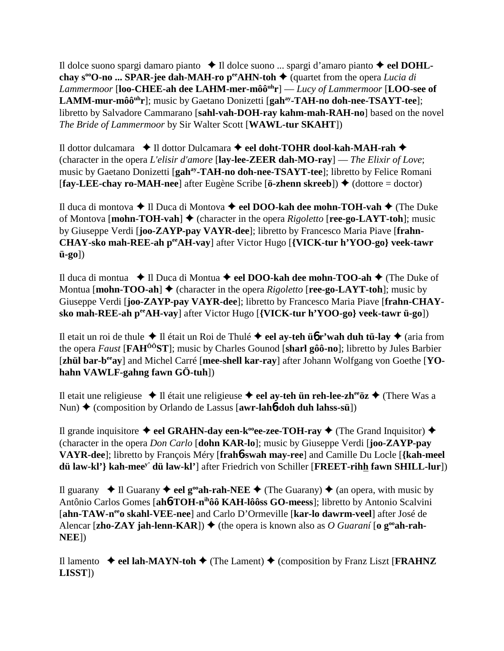Il dolce suono spargi damaro pianto Il dolce suono ... spargi d'amaro pianto **eel DOHLchay s<sup>oo</sup>O-no ... SPAR-jee dah-MAH-ro p<sup>ee</sup>AHN-toh**  $\blacklozenge$  **(quartet from the opera** *Lucia di Lammermoor* [**loo-CHEE-ah dee LAHM-mer-môôuhr**] — *Lucy of Lammermoor* [**LOO-see of LAMM-mur-môô<sup>uh</sup>r**]; music by Gaetano Donizetti [gah<sup>ay</sup>-TAH-no doh-nee-TSAYT-tee]; libretto by Salvadore Cammarano [**sahl-vah-DOH-ray kahm-mah-RAH-no**] based on the novel *The Bride of Lammermoor* by Sir Walter Scott [**WAWL-tur SKAHT**])

Il dottor dulcamara  $\triangle$  Il dottor Dulcamara **← eel doht-TOHR dool-kah-MAH-rah** ← (character in the opera *L'elisir d'amore* [**lay-lee-ZEER dah-MO-ray**] — *The Elixir of Love*; music by Gaetano Donizetti [**gahay-TAH-no doh-nee-TSAYT-tee**]; libretto by Felice Romani  $[\text{fay-LEE-} \text{chay ro-MAH-} \text{nee}]$  after Eugène Scribe  $[\text{ö-zhenn skreeb}]$   $\blacklozenge$  (dottore = doctor)

Il duca di montova Il Duca di Montova **eel DOO-kah dee mohn-TOH-vah** (The Duke of Montova [**mohn-TOH-vah**] ♦ (character in the opera *Rigoletto* [**ree-go-LAYT-toh**]; music by Giuseppe Verdi [**joo-ZAYP-pay VAYR-dee**]; libretto by Francesco Maria Piave [**frahn-CHAY-sko mah-REE-ah peeAH-vay**] after Victor Hugo [**{VICK-tur h'YOO-go} veek-tawr ü-go**])

Il duca di montua Il Duca di Montua **eel DOO-kah dee mohn-TOO-ah** (The Duke of Montua  $[\text{month}-\text{TOO-ah}] \triangleq (\text{character in the opera } Rigoletto [\text{ree-go-LAYT-toh}]$ ; music by Giuseppe Verdi [**joo-ZAYP-pay VAYR-dee**]; libretto by Francesco Maria Piave [**frahn-CHAYsko mah-REE-ah peeAH-vay**] after Victor Hugo [**{VICK-tur h'YOO-go} veek-tawr ü-go**])

Il etait un roi de thule **→** Il était un Roi de Thulé **→ eel ay-teh ü** $\mathbf{r}'$  **wah duh tü-lay** ◆ (aria from the opera *Faust* [**FAHÔÔST**]; music by Charles Gounod [**sharl gôô-no**]; libretto by Jules Barbier [zhül bar-b<sup>ee</sup>ay] and Michel Carré [mee-shell kar-ray] after Johann Wolfgang von Goethe [YO**hahn VAWLF-gahng fawn GÖ-tuh**])

Il etait une religieuse  $\triangle$  Il était une religieuse  $\triangle$  eel ay-teh ün reh-lee-zh<sup>ee</sup>öz  $\triangle$  (There Was a Nun) ◆ (composition by Orlando de Lassus [**awr-lah6-doh duh lahss-sü**])

Il grande inquisitore  $\triangleleft$  eel GRAHN-day een-k<sup>oo</sup>ee-zee-TOH-ray  $\triangleleft$  (The Grand Inquisitor)  $\triangleleft$ (character in the opera *Don Carlo* [**dohn KAR-lo**]; music by Giuseppe Verdi [**joo-ZAYP-pay VAYR-dee**]; libretto by François Méry [**frah**6**-swah may-ree**] and Camille Du Locle [**{kah-meel dü law-kl'} kah-meey' dü law-kl'**] after Friedrich von Schiller [**FREET-rihh fawn SHILL-lur**])

Il guarany  $\triangleleft$  Il Guarany  $\triangleleft$  eel g<sup>oo</sup>ah-rah-NEE  $\triangleleft$  (The Guarany)  $\triangleleft$  (an opera, with music by Antônio Carlos Gomes [**ah**6**-TOH-nihôô KAH-lôôss GO-meess**]; libretto by Antonio Scalvini [**ahn-TAW-neeo skahl-VEE-nee**] and Carlo D'Ormeville [**kar-lo dawrm-veel**] after José de Alencar [zho-ZAY jah-lenn-KAR])  $\blacklozenge$  (the opera is known also as *O Guaraní* [o  $g^{\omega}$ ah-rah-**NEE**])

Il lamento  $\blacklozenge$  **eel lah-MAYN-toh**  $\blacklozenge$  (The Lament)  $\blacklozenge$  (composition by Franz Liszt [**FRAHNZ LISST**])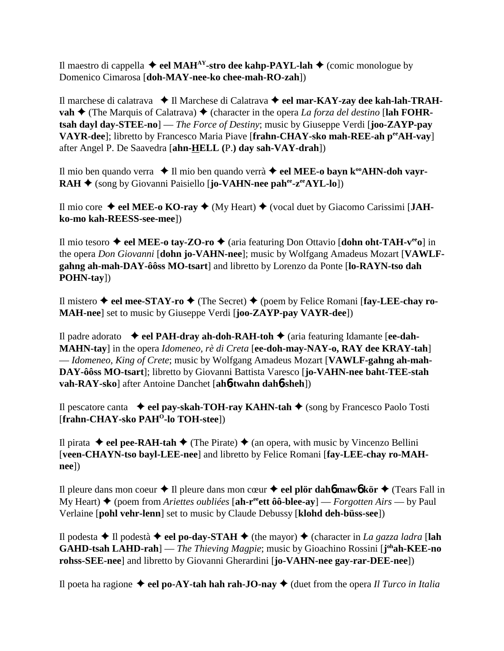Il maestro di cappella  $\triangleleft$  eel MAH<sup>AY</sup>-stro dee kahp-PAYL-lah  $\triangleleft$  (comic monologue by Domenico Cimarosa [**doh-MAY-nee-ko chee-mah-RO-zah**])

Il marchese di calatrava **→ Il Marchese di Calatrava → eel mar-KAY-zay dee kah-lah-TRAHvah**  $\triangle$  (The Marquis of Calatrava)  $\triangle$  (character in the opera *La forza del destino* [lah FOHR**tsah dayl day-STEE-no**] — *The Force of Destiny*; music by Giuseppe Verdi [**joo-ZAYP-pay VAYR-dee**]; libretto by Francesco Maria Piave [**frahn-CHAY-sko mah-REE-ah peeAH-vay**] after Angel P. De Saavedra [**ahn-HELL (**P.**) day sah-VAY-drah**])

Il mio ben quando verra ◆ Il mio ben quando verrà ◆ eel MEE-o bayn k<sup>oo</sup>AHN-doh vayr-**RAH ◆** (song by Giovanni Paisiello [**jo-VAHN-nee pah<sup>ee</sup>-z<sup>ee</sup>AYL-lo**])

Il mio core  $\blacklozenge$  eel MEE-o KO-ray  $\blacklozenge$  (My Heart)  $\blacklozenge$  (vocal duet by Giacomo Carissimi [JAH**ko-mo kah-REESS-see-mee**])

Il mio tesoro **eel MEE-o tay-ZO-ro** (aria featuring Don Ottavio [**dohn oht-TAH-veeo**] in the opera *Don Giovanni* [**dohn jo-VAHN-nee**]; music by Wolfgang Amadeus Mozart [**VAWLFgahng ah-mah-DAY-ôôss MO-tsart**] and libretto by Lorenzo da Ponte [**lo-RAYN-tso dah POHN-tay**])

Il mistero  $\triangle$  eel mee-STAY-ro  $\triangle$  (The Secret)  $\triangle$  (poem by Felice Romani [fay-LEE-chay ro-**MAH-nee**] set to music by Giuseppe Verdi [**joo-ZAYP-pay VAYR-dee**])

Il padre adorato  $\rightarrow$  **eel PAH-dray ah-doh-RAH-toh**  $\rightarrow$  (aria featuring Idamante [**ee-dah-MAHN-tay**] in the opera *Idomeneo, rè di Creta* [**ee-doh-may-NAY-o, RAY dee KRAY-tah**] — *Idomeneo, King of Crete*; music by Wolfgang Amadeus Mozart [**VAWLF-gahng ah-mah-DAY-ôôss MO-tsart**]; libretto by Giovanni Battista Varesco [**jo-VAHN-nee baht-TEE-stah vah-RAY-sko**] after Antoine Danchet [**ah**6**-twahn dah**6**-sheh**])

Il pescatore canta **eel pay-skah-TOH-ray KAHN-tah** (song by Francesco Paolo Tosti [**frahn-CHAY-sko PAH<sup>O</sup>-lo TOH-stee**])

Il pirata  $\blacklozenge$  **eel pee-RAH-tah**  $\blacklozenge$  (The Pirate)  $\blacklozenge$  (an opera, with music by Vincenzo Bellini [**veen-CHAYN-tso bayl-LEE-nee**] and libretto by Felice Romani [**fay-LEE-chay ro-MAHnee**])

Il pleure dans mon coeur  $\triangle$  Il pleure dans mon cœur  $\triangle$  **eel plör dah6** maw6 kör  $\triangle$  (Tears Fall in My Heart) (poem from *Ariettes oubliées* [**ah-reeett ôô-blee-ay**] — *Forgotten Airs* — by Paul Verlaine [**pohl vehr-lenn**] set to music by Claude Debussy [**klohd deh-büss-see**])

Il podesta **→** Il podestà **→ eel po-day-STAH** ◆ (the mayor) ◆ (character in *La gazza ladra* [lah **GAHD-tsah LAHD-rah**] — *The Thieving Magpie*; music by Gioachino Rossini [**j ohah-KEE-no rohss-SEE-nee**] and libretto by Giovanni Gherardini [**jo-VAHN-nee gay-rar-DEE-nee**])

Il poeta ha ragione  $\triangleleft$  eel po-AY-tah hah rah-JO-nay  $\triangleleft$  (duet from the opera *Il Turco in Italia*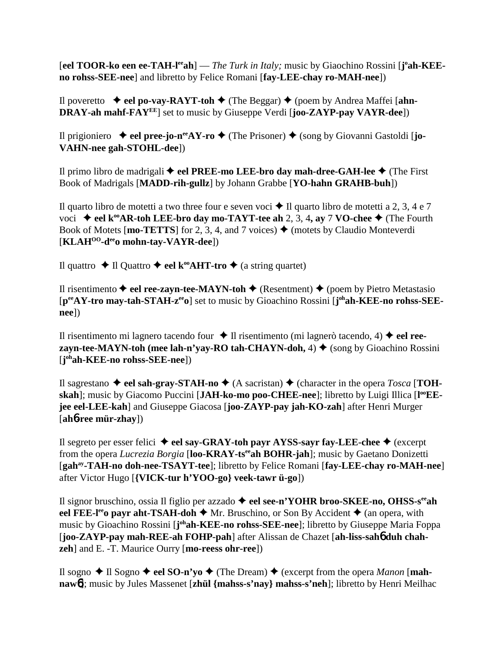[eel TOOR-ko een ee-TAH-l<sup>ee</sup>ah] — *The Turk in Italy;* music by Giaochino Rossini [j°ah-KEE**no rohss-SEE-nee**] and libretto by Felice Romani [**fay-LEE-chay ro-MAH-nee**])

Il poveretto  $\rightarrow$  eel po-vay-RAYT-toh  $\rightarrow$  (The Beggar)  $\rightarrow$  (poem by Andrea Maffei [ahn-**DRAY-ah mahf-FAYEE**] set to music by Giuseppe Verdi [**joo-ZAYP-pay VAYR-dee**])

Il prigioniero  $\rightarrow$  **eel pree-jo-n<sup>ee</sup>AY-ro**  $\rightarrow$  (The Prisoner)  $\rightarrow$  (song by Giovanni Gastoldi [**jo-VAHN-nee gah-STOHL-dee**])

Il primo libro de madrigali ◆ eel PREE-mo LEE-bro day mah-dree-GAH-lee ◆ (The First Book of Madrigals [**MADD-rih-gullz**] by Johann Grabbe [**YO-hahn GRAHB-buh**])

Il quarto libro de motetti a two three four e seven voci  $\triangle$  Il quarto libro de motetti a 2, 3, 4 e 7 voci **→ eel k<sup>oo</sup>AR-toh LEE-bro day mo-TAYT-tee ah 2, 3, 4, ay 7 VO-chee ◆ (The Fourth** Book of Motets [mo-TETTS] for 2, 3, 4, and 7 voices)  $\triangle$  (motets by Claudio Monteverdi [**KLAHOO-deeo mohn-tay-VAYR-dee**])

Il quattro **→** Il Quattro **→ eel k<sup>oo</sup>AHT-tro →** (a string quartet)

Il risentimento  $\blacklozenge$  eel ree-zayn-tee-MAYN-toh  $\blacklozenge$  (Resentment)  $\blacklozenge$  (poem by Pietro Metastasio [p<sup>ee</sup>AY-tro may-tah-STAH-z<sup>ee</sup>o] set to music by Gioachino Rossini [j<sup>oh</sup>ah-KEE-no rohss-SEE**nee**])

Il risentimento mi lagnero tacendo four  $\blacklozenge$  Il risentimento (mi lagnerò tacendo, 4)  $\blacklozenge$  **eel reezayn-tee-MAYN-toh (mee lah-n'yay-RO tah-CHAYN-doh,**  $4$ )  $\blacklozenge$  (song by Gioachino Rossini) [**j ohah-KEE-no rohss-SEE-nee**])

Il sagrestano  $\triangleleft$  eel sah-gray-STAH-no  $\triangleleft$  (A sacristan)  $\triangleleft$  (character in the opera *Tosca* [TOHskah]; music by Giacomo Puccini [JAH-ko-mo poo-CHEE-nee]; libretto by Luigi Illica [l<sup>oo</sup>EE**jee eel-LEE-kah**] and Giuseppe Giacosa [**joo-ZAYP-pay jah-KO-zah**] after Henri Murger [**ah**6**-ree mür-zhay**])

Il segreto per esser felici **eel say-GRAY-toh payr AYSS-sayr fay-LEE-chee** (excerpt from the opera *Lucrezia Borgia* [**loo-KRAY-tseeah BOHR-jah**]; music by Gaetano Donizetti [**gahay-TAH-no doh-nee-TSAYT-tee**]; libretto by Felice Romani [**fay-LEE-chay ro-MAH-nee**] after Victor Hugo [**{VICK-tur h'YOO-go} veek-tawr ü-go**])

Il signor bruschino, ossia Il figlio per azzado **eel see-n'YOHR broo-SKEE-no, OHSS-seeah eel FEE-l<sup>ee</sup> payr aht-TSAH-doh**  $\blacklozenge$  Mr. Bruschino, or Son By Accident  $\blacklozenge$  (an opera, with music by Gioachino Rossini [**j**<sup>oh</sup>**ah-KEE-no rohss-SEE-nee**]; libretto by Giuseppe Maria Foppa [**joo-ZAYP-pay mah-REE-ah FOHP-pah**] after Alissan de Chazet [**ah-liss-sah**6 **duh chahzeh**] and E. -T. Maurice Ourry [**mo-reess ohr-ree**])

Il sogno  $\triangle$  Il Sogno  $\triangle$  eel SO-n'yo  $\triangle$  (The Dream)  $\triangle$  (excerpt from the opera *Manon* [**mahnaw**6]; music by Jules Massenet [**zhül {mahss-s'nay} mahss-s'neh**]; libretto by Henri Meilhac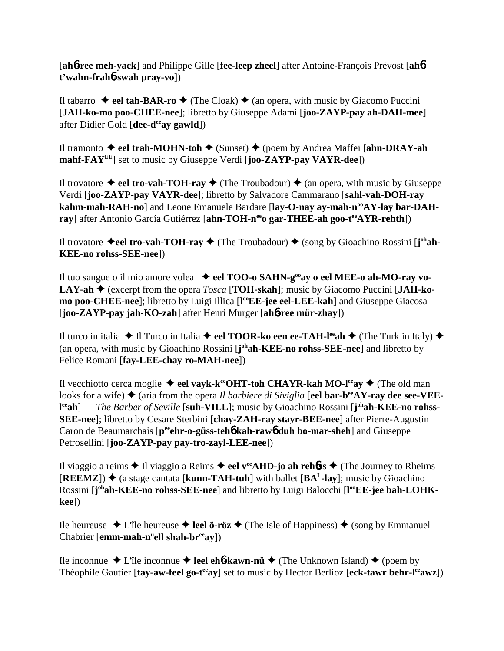[**ah**6**-ree meh-yack**] and Philippe Gille [**fee-leep zheel**] after Antoine-François Prévost [**ah**6 **t'wahn-frah**6**-swah pray-vo**])

Il tabarro  $\rightarrow$  eel tah-BAR-ro  $\rightarrow$  (The Cloak)  $\rightarrow$  (an opera, with music by Giacomo Puccini [**JAH-ko-mo poo-CHEE-nee**]; libretto by Giuseppe Adami [**joo-ZAYP-pay ah-DAH-mee**] after Didier Gold [**dee-deeay gawld**])

Il tramonto **eel trah-MOHN-toh** (Sunset) (poem by Andrea Maffei [**ahn-DRAY-ah mahf-FAYEE**] set to music by Giuseppe Verdi [**joo-ZAYP-pay VAYR-dee**])

Il trovatore  $\triangleleft$  eel tro-vah-TOH-ray  $\triangleleft$  (The Troubadour)  $\triangleleft$  (an opera, with music by Giuseppe Verdi [**joo-ZAYP-pay VAYR-dee**]; libretto by Salvadore Cammarano [**sahl-vah-DOH-ray** kahm-mah-RAH-no] and Leone Emanuele Bardare [lay-O-nay ay-mah-n<sup>oo</sup>AY-lay bar-DAH**ray**] after Antonio García Gutiérrez [ahn-TOH-n<sup>ee</sup>o gar-THEE-ah goo-t<sup>ee</sup>AYR-rehth])

Il trovatore ◆eel tro-vah-TOH-ray ◆ (The Troubadour) ◆ (song by Gioachino Rossini [j<sup>oh</sup>ah-**KEE-no rohss-SEE-nee**])

Il tuo sangue o il mio amore volea **eel TOO-o SAHN-gooay o eel MEE-o ah-MO-ray vo-LAY-ah ♦** (excerpt from the opera *Tosca* [**TOH-skah**]; music by Giacomo Puccini [JAH-ko**mo poo-CHEE-nee**]; libretto by Luigi Illica [l<sup>oo</sup>**EE-jee eel-LEE-kah**] and Giuseppe Giacosa [**joo-ZAYP-pay jah-KO-zah**] after Henri Murger [**ah**6**-ree mür-zhay**])

Il turco in italia  $\blacklozenge$  Il Turco in Italia  $\blacklozenge$  eel **TOOR-ko een ee-TAH-l<sup>ee</sup>ah**  $\blacklozenge$  (The Turk in Italy)  $\blacklozenge$ (an opera, with music by Gioachino Rossini [**j ohah-KEE-no rohss-SEE-nee**] and libretto by Felice Romani [**fay-LEE-chay ro-MAH-nee**])

Il vecchiotto cerca moglie ◆ eel vayk-k<sup>ee</sup>OHT-toh CHAYR-kah MO-l<sup>ee</sup>ay ◆ (The old man looks for a wife) ♦ (aria from the opera *Il barbiere di Siviglia* [eel bar-b<sup>ee</sup>AY-ray dee see-VEEl<sup>ee</sup>ah] — *The Barber of Seville* [suh-VILL]; music by Gioachino Rossini [j<sup>oh</sup>ah-KEE-no rohss-**SEE-nee**]; libretto by Cesare Sterbini [**chay-ZAH-ray stayr-BEE-nee**] after Pierre-Augustin Caron de Beaumarchais [p<sup>ee</sup>ehr-o-güss-teh**6** kah-raw**6** duh bo-mar-sheh] and Giuseppe Petrosellini [**joo-ZAYP-pay pay-tro-zayl-LEE-nee**])

Il viaggio a reims  $\triangle$  Il viaggio a Reims  $\triangle$  **eel v<sup>ee</sup>AHD-jo ah rehoss**  $\triangle$  (The Journey to Rheims  $[REEMZ]$ )  $\blacklozenge$  (a stage cantata [**kunn-TAH-tuh**] with ballet  $[BA<sup>L</sup>-lay]$ ; music by Gioachino Rossini [j<sup>oh</sup>ah-KEE-no rohss-SEE-nee] and libretto by Luigi Balocchi [l<sup>oo</sup>EE-jee bah-LOHK**kee**])

Ile heureuse  $\triangle$  L'île heureuse  $\triangle$  **leel ö-röz**  $\triangle$  (The Isle of Happiness)  $\triangle$  (song by Emmanuel Chabrier [**emm-mah-n<sup>ü</sup>ell shah-br<sup>ee</sup>ay**])

Ile inconnue  $\triangle$  L'île inconnue  $\triangle$  **leel eh<sup>6</sup>-kawn-nü**  $\triangle$  (The Unknown Island)  $\triangle$  (poem by Théophile Gautier [tay-aw-feel go-t<sup>ee</sup>ay] set to music by Hector Berlioz [eck-tawr behr-l<sup>ee</sup>awz])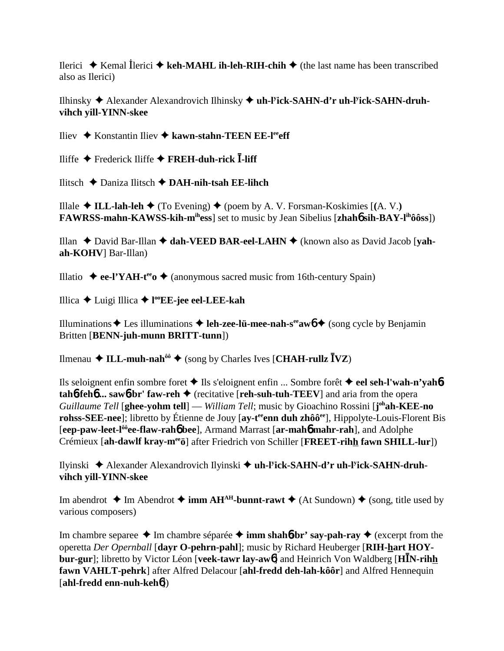Ilerici  $\triangle$  Kemal Ilerici  $\triangle$  keh-MAHL ih-leh-RIH-chih  $\triangle$  (the last name has been transcribed also as Ilerici)

Ilhinsky  $\triangle$  Alexander Alexandrovich Ilhinsky  $\triangle$  uh-Fick-SAHN-d'r uh-Fick-SAHN-druhvihch yill-YINN-skee

Iliev ◆ Konstantin Iliev ◆ kawn-stahn-TEEN EE-leeff

Iliffe ◆ Frederick Iliffe ◆ FREH-duh-rick  $\overline{I}$ -liff

Ilitsch ◆ Daniza Ilitsch ◆ DAH-nih-tsah EE-lihch

Illale ◆ ILL-lah-leh ◆ (To Evening) ◆ (poem by A. V. Forsman-Koskimies [(A. V.) FAWRSS-mahn-KAWSS-kih-m<sup>ih</sup>ess] set to music by Jean Sibelius [zhah**ó sih-BAY-l<sup>ih</sup>ôôss**])

Illan  $\triangle$  David Bar-Illan  $\triangle$  dah-VEED BAR-eel-LAHN  $\triangle$  (known also as David Jacob [vahah-KOHV] Bar-Illan)

Illatio ◆ ee-l'YAH-t<sup>ee</sup> o◆ (anonymous sacred music from 16th-century Spain)

Illica ← Luigi Illica ← l<sup>oo</sup>EE-jee eel-LEE-kah

Illuminations  $\triangle$  Les illuminations  $\triangle$  leh-zee-lü-mee-nah-s<sup>ee</sup> aw  $\triangle$  (song cycle by Benjamin Britten [BENN-juh-munn BRITT-tunn])

Ilmenau  $\triangleleft$  ILL-muh-nah<sup>ôô</sup>  $\triangleleft$  (song by Charles Ives [CHAH-rullz  $\bar{I}VZ$ )

Ils seloignent enfin sombre foret ◆ Ils s'eloignent enfin ... Sombre forêt ◆ eel seh-l'wah-n'yah6 $tahb$ -feh $b$  ... saw $b$ -br' faw-reh  $\triangleq$  (recitative [reh-suh-tuh-TEEV] and aria from the opera Guillaume Tell [ghee-yohm tell] — William Tell; music by Gioachino Rossini [johah-KEE-no rohss-SEE-nee]; libretto by Étienne de Jouy [ay-t<sup>ee</sup>enn duh zhôô<sup>ee</sup>], Hippolyte-Louis-Florent Bis [eep-paw-leet-l<sup>ôô</sup>ee-flaw-raho bee], Armand Marrast [ar-maho mahr-rah], and Adolphe Crémieux [ah-dawlf kray-mero] after Friedrich von Schiller [FREET-rihh fawn SHILL-lur])

Ilyinski ◆ Alexander Alexandrovich Ilyinski ◆ uh-l<sup>y</sup>ick-SAHN-d'r uh-l<sup>y</sup>ick-SAHN-druhvihch yill-YINN-skee

Im abendrot  $\triangleq$  Im Abendrot  $\triangleq$  imm AH<sup>AH</sup>-bunnt-rawt  $\triangleq$  (At Sundown)  $\triangleq$  (song, title used by various composers)

Im chambre separee  $\triangle$  Im chambre séparée  $\triangle$  imm shah**ó-br' say-pah-ray**  $\triangle$  (excerpt from the operetta Der Opernball [dayr O-pehrn-pahl]; music by Richard Heuberger [RIH-hart HOY**bur-gur**]; libretto by Victor Léon [veek-tawr lay-aw<sup>6</sup>] and Heinrich Von Waldberg [HIN-rihh] fawn VAHLT-pehrk] after Alfred Delacour [ahl-fredd deh-lah-kôôr] and Alfred Hennequin [ahl-fredd enn-nuh-keh $6$ ])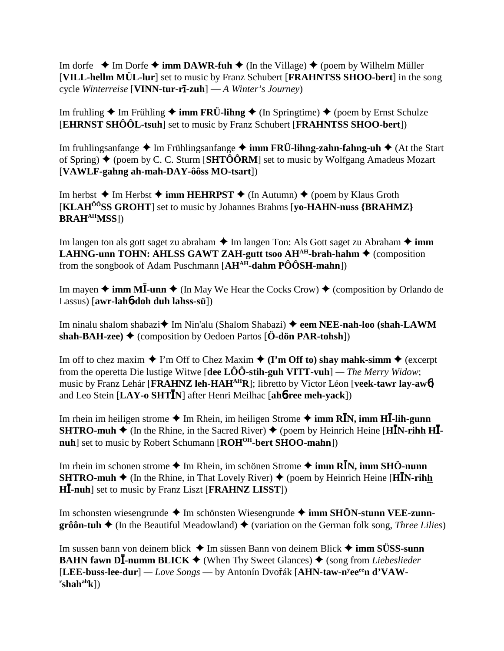Im dorfe  $\triangle$  Im Dorfe  $\triangle$  **imm DAWR-fuh**  $\triangle$  (In the Village)  $\triangle$  (poem by Wilhelm Müller [**VILL-hellm MÜL-lur**] set to music by Franz Schubert [**FRAHNTSS SHOO-bert**] in the song cycle *Winterreise* [**VINN-tur-r-zuh**] — *A Winter's Journey*)

Im fruhling  $\triangle$  Im Frühling  $\triangle$  **imm FRÜ-lihng**  $\triangle$  (In Springtime)  $\triangle$  (poem by Ernst Schulze [**EHRNST SHÔÔL-tsuh**] set to music by Franz Schubert [**FRAHNTSS SHOO-bert**])

Im fruhlingsanfange ◆ Im Frühlingsanfange ◆ **imm FRÜ-lihng-zahn-fahng-uh** ◆ (At the Start of Spring)  $\blacklozenge$  (poem by C. C. Sturm [**SHTÔÔRM**] set to music by Wolfgang Amadeus Mozart [**VAWLF-gahng ah-mah-DAY-ôôss MO-tsart**])

Im herbst  $\triangle$  Im Herbst  $\triangle$  **imm HEHRPST**  $\triangle$  (In Autumn)  $\triangle$  (poem by Klaus Groth [**KLAHÔÔSS GROHT**] set to music by Johannes Brahms [**yo-HAHN-nuss {BRAHMZ} BRAHAHMSS**])

Im langen ton als gott saget zu abraham **→** Im langen Ton: Als Gott saget zu Abraham ◆ **imm LAHNG-unn TOHN: AHLSS GAWT ZAH-gutt tsoo AH<sup>AH</sup>-brah-hahm**  $\triangle$  **(composition** from the songbook of Adam Puschmann [**AHAH-dahm PÔÔSH-mahn**])

Im mayen  $\triangleq$  **imm MI-unn**  $\triangleq$  (In May We Hear the Cocks Crow)  $\triangleq$  (composition by Orlando de Lassus) [**awr-lah**6**-doh duh lahss-sü**])

Im ninalu shalom shabazi **↓** Im Nin'alu (Shalom Shabazi) ◆ eem NEE-nah-loo (shah-LAWM **shah-BAH-zee)**  $\blacklozenge$  (composition by Oedoen Partos  $[\ddot{\textbf{O}}\textbf{-d}\ddot{\textbf{o}}\textbf{n}$  **PAR-tohsh**))

Im off to chez maxim  $\blacklozenge$  I'm Off to Chez Maxim  $\blacklozenge$  (I'm Off to) shay mahk-simm  $\blacklozenge$  (excerpt from the operetta Die lustige Witwe [**dee LÔÔ-stih-guh VITT-vuh**] *— The Merry Widow*; music by Franz Lehár [**FRAHNZ** leh-HAH<sup>AH</sup>R]; libretto by Victor Léon [**veek-tawr** lay-aw<sup>6</sup>] and Leo Stein [LAY-o SHTIN] after Henri Meilhac [ah**6-ree meh-yack**])

Im rhein im heiligen strome  $\triangleq$  Im Rhein, im heiligen Strome  $\triangleq$  imm R**I**N, imm H**I-lih-gunn SHTRO-muh**  $\blacklozenge$  (In the Rhine, in the Sacred River)  $\blacklozenge$  (poem by Heinrich Heine [**H**IN-rihh **H**Inuh] set to music by Robert Schumann [ROH<sup>OH</sup>-bert SHOO-mahn])

Im rhein im schonen strome ◆ Im Rhein, im schönen Strome ◆ **imm RĪN, imm SHÖ-nunn SHTRO-muh**  $\blacklozenge$  **(In the Rhine, in That Lovely River)**  $\blacklozenge$  **(poem by Heinrich Heine [HIN-rihh H**-**-nuh**] set to music by Franz Liszt [**FRAHNZ LISST**])

Im schonsten wiesengrunde ◆ Im schönsten Wiesengrunde ◆ **imm SHÖN-stunn VEE-zunngrôôn-tuh**  $\triangleleft$  (In the Beautiful Meadowland)  $\triangleleft$  (variation on the German folk song, *Three Lilies*)

Im sussen bann von deinem blick  $\triangle$  Im süssen Bann von deinem Blick  $\triangle$  **imm SÜSS-sunn BAHN fawn DĪ-numm BLICK ♦** (When Thy Sweet Glances) ♦ (song from *Liebeslieder* [**LEE-buss-lee-dur**] *— Love Songs* — by Antonín Dvoák [**AHN-taw-ny eeeen d'VAW-**  $\text{r}_\text{shah}^{\text{ah}}$ k])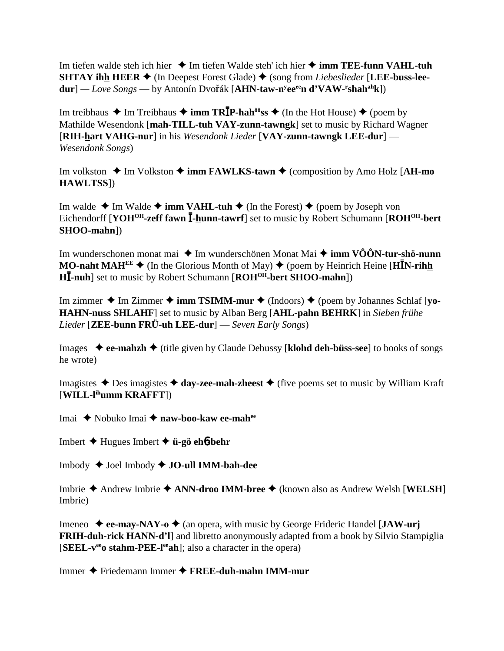Im tiefen walde steh ich hier Im tiefen Walde steh' ich hier **imm TEE-funn VAHL-tuh SHTAY ihh HEER**  $\blacklozenge$  (In Deepest Forest Glade)  $\blacklozenge$  (song from *Liebeslieder* [LEE-buss-lee**dur**] — *Love Songs* — by Antonín Dvořák [**AHN-taw-n<sup>y</sup>ee<sup>ee</sup>n d'VAW-'shah<sup>ah</sup>k**])

Im treibhaus ◆ Im Treibhaus ◆ **imm TRĪP-hah<sup>ôô</sup>ss** ◆ (In the Hot House) ◆ (poem by Mathilde Wesendonk [**mah-TILL-tuh VAY-zunn-tawngk**] set to music by Richard Wagner [**RIH-hart VAHG-nur**] in his *Wesendonk Lieder* [**VAY-zunn-tawngk LEE-dur**] — *Wesendonk Songs*)

Im volkston  $\triangle$  Im Volkston  $\triangle$  **imm FAWLKS-tawn**  $\triangle$  (composition by Amo Holz [**AH-mo HAWLTSS**])

Im walde  $\triangle$  Im Walde  $\triangle$  **imm VAHL-tuh**  $\triangle$  (In the Forest)  $\triangle$  (poem by Joseph von Eichendorff [**YOH<sup>OH</sup>-zeff fawn I-hunn-tawrf**] set to music by Robert Schumann [**ROH<sup>OH</sup>-bert SHOO-mahn**])

Im wunderschonen monat mai  $\triangleq$  Im wunderschönen Monat Mai  $\triangleq$  **imm VÔÔN-tur-shö-nunn MO-naht MAH<sup>EE</sup>**  $\blacklozenge$  (In the Glorious Month of May)  $\blacklozenge$  (poem by Heinrich Heine [HIN-rihh **H**-**-nuh**] set to music by Robert Schumann [**ROHOH-bert SHOO-mahn**])

Im zimmer  $\triangle$  Im Zimmer  $\triangle$  **imm TSIMM-mur**  $\triangle$  (Indoors)  $\triangle$  (poem by Johannes Schlaf [yo-**HAHN-nuss SHLAHF**] set to music by Alban Berg [**AHL-pahn BEHRK**] in *Sieben frühe Lieder* [**ZEE-bunn FRÜ-uh LEE-dur**] — *Seven Early Songs*)

Images **ee-mahzh** (title given by Claude Debussy [**klohd deh-büss-see**] to books of songs he wrote)

Imagistes  $\triangle$  Des imagistes  $\triangle$  day-zee-mah-zheest  $\triangle$  (five poems set to music by William Kraft [**WILL-lihumm KRAFFT**])

Imai Nobuko Imai **naw-boo-kaw ee-mahee**

Imbert Hugues Imbert **ü-gö eh**6**-behr**

Imbody Joel Imbody **JO-ull IMM-bah-dee**

Imbrie Andrew Imbrie **ANN-droo IMM-bree** (known also as Andrew Welsh [**WELSH**] Imbrie)

Imeneo  $\blacklozenge$  **ee-may-NAY-o**  $\blacklozenge$  (an opera, with music by George Frideric Handel [**JAW-urj FRIH-duh-rick HANN-d'l**] and libretto anonymously adapted from a book by Silvio Stampiglia **[SEEL-v<sup>ee</sup>o stahm-PEE-l<sup>ee</sup>ah**]; also a character in the opera)

Immer Friedemann Immer **FREE-duh-mahn IMM-mur**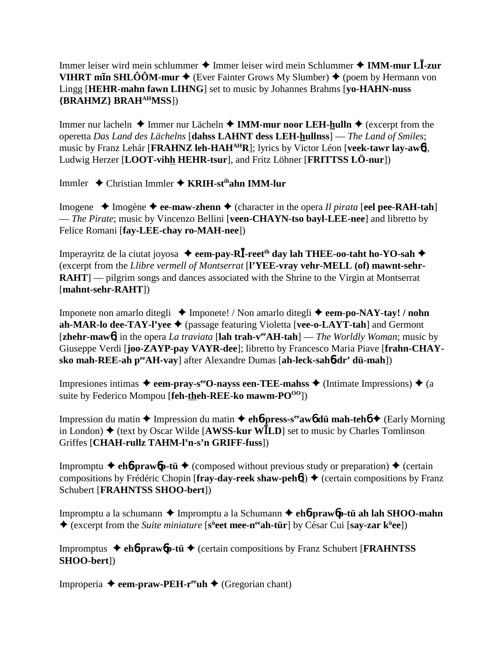Immer leiser wird mein schlummer ◆ Immer leiser wird mein Schlummer ◆ IMM-mur LĪ-zur **VIHRT m<b>In SHLÔÔM-mur**  $\blacklozenge$  (Ever Fainter Grows My Slumber)  $\blacklozenge$  (poem by Hermann von Lingg [**HEHR-mahn fawn LIHNG**] set to music by Johannes Brahms [**yo-HAHN-nuss {BRAHMZ} BRAHAHMSS**])

Immer nur lacheln **↓** Immer nur Lächeln **→ IMM-mur noor LEH-hulln ◆** (excerpt from the operetta *Das Land des Lächelns* [**dahss LAHNT dess LEH-hullnss**] — *The Land of Smiles*; music by Franz Lehár [**FRAHNZ leh-HAHAHR**]; lyrics by Victor Léon [**veek-tawr lay-aw**6], Ludwig Herzer [**LOOT-vihh HEHR-tsur**], and Fritz Löhner [**FRITTSS LÖ-nur**])

Immler Christian Immler **KRIH-stihahn IMM-lur**

Imogene  $\triangle$  Imogène  $\triangle$  **ee-maw-zhenn**  $\triangle$  (character in the opera *Il pirata* [**eel pee-RAH-tah**] — *The Pirate*; music by Vincenzo Bellini [**veen-CHAYN-tso bayl-LEE-nee**] and libretto by Felice Romani [**fay-LEE-chay ro-MAH-nee**])

Imperayritz de la ciutat joyosa  $\triangleq$  **eem-pay-R**I-reet<sup>th</sup> day lah THEE-oo-taht ho-YO-sah  $\triangleq$ (excerpt from the *Llibre vermell of Montserrat* [**l'YEE-vray vehr-MELL (of) mawnt-sehr-RAHT**] — pilgrim songs and dances associated with the Shrine to the Virgin at Montserrat [**mahnt-sehr-RAHT**])

Imponete non amarlo ditegli  $\triangle$  Imponete! / Non amarlo ditegli  $\triangle$  **eem-po-NAY-tay! / nohn ah-MAR-lo dee-TAY-l'yee** (passage featuring Violetta [**vee-o-LAYT-tah**] and Germont [**zhehr-maw**6] in the opera *La traviata* [**lah trah-veeAH-tah**] — *The Worldly Woman*; music by Giuseppe Verdi [**joo-ZAYP-pay VAYR-dee**]; libretto by Francesco Maria Piave [**frahn-CHAYsko mah-REE-ah peeAH-vay**] after Alexandre Dumas [**ah-leck-sah**6**-dr' dü-mah**])

Impresiones intimas  $\triangleq$  eem-pray-s<sup>ee</sup>O-nayss een-TEE-mahss  $\triangleq$  (Intimate Impressions)  $\triangleq$  (a suite by Federico Mompou [**feh-theh-REE-ko mawm-PO**<sup>00</sup>])

Impression du matin Impression du matin **eh**6**-press-seeaw**6 **dü mah-teh**6 (Early Morning in London)  $\triangle$  (text by Oscar Wilde [AWSS-kur W $\overline{\text{L}}$ D] set to music by Charles Tomlinson Griffes [**CHAH-rullz TAHM-l'n-s'n GRIFF-fuss**])

Impromptu  $\blacklozenge$  **eh6-praw6p-tü**  $\blacklozenge$  (composed without previous study or preparation)  $\blacklozenge$  (certain compositions by Frédéric Chopin [fray-day-reek shaw-peh**6**])  $\blacklozenge$  (certain compositions by Franz Schubert [**FRAHNTSS SHOO-bert**])

Impromptu a la schumann Impromptu a la Schumann  **eh**6**-praw**6**p-tü ah lah SHOO-mahn** ◆ (excerpt from the *Suite miniature* [s<sup>ü</sup>eet mee-n<sup>ee</sup>ah-tür] by César Cui [say-zar k<sup>ü</sup>ee])

Impromptus **eh**6**-praw**6**p-tü** (certain compositions by Franz Schubert [**FRAHNTSS SHOO-bert**])

Improperia  $\triangleq$  **eem-praw-PEH-r<sup>ee</sup>uh**  $\triangleq$  (Gregorian chant)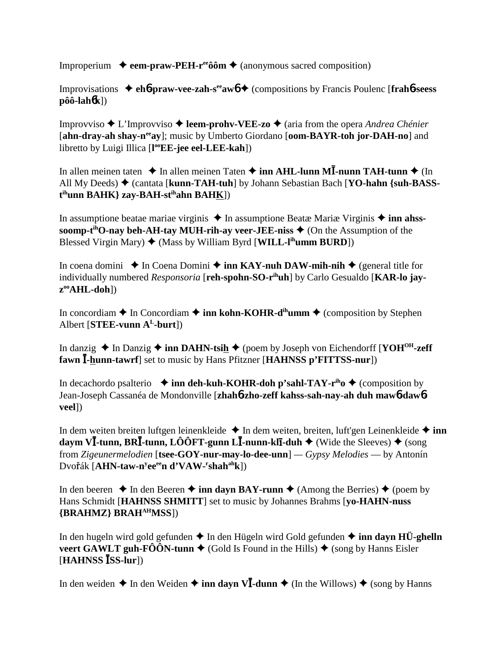Improperium  $\rightarrow$  eem-praw-PEH-r<sup>ee</sup>ôôm  $\rightarrow$  (anonymous sacred composition)

Improvisations  $\triangle$  eh6-praw-vee-zah-s<sup>ee</sup> aw<sub>0</sub>  $\triangle$  (compositions by Francis Poulenc [frah6-seess]  $p\hat{o}\hat{o}$ -lah $\hat{o}$ k])

Improvviso  $\triangle$  L'Improvviso  $\triangle$  leem-prohv-VEE-zo  $\triangle$  (aria from the opera Andrea Chénier [ahn-dray-ah shay-n<sup>ee</sup>ay]; music by Umberto Giordano [oom-BAYR-toh jor-DAH-no] and libretto by Luigi Illica [l<sup>oo</sup>EE-jee eel-LEE-kah])

In allen meinen taten  $\triangle$  In allen meinen Taten  $\triangle$  inn AHL-lunn MI-nunn TAH-tunn  $\triangle$  (In All My Deeds)  $\triangle$  (cantata [kunn-TAH-tuh] by Johann Sebastian Bach [YO-hahn {suh-BASS- $\mathbf{t}^{\text{ih}}$ unn BAHK} zav-BAH-s $\mathbf{t}^{\text{ih}}$ ahn BAHK])

In assumptione beatae mariae virginis  $\triangle$  In assumptione Beatae Mariae Virginis  $\triangle$  inn ahsssoomp-t<sup>ih</sup>O-nay beh-AH-tay MUH-rih-ay veer-JEE-niss  $\triangle$  (On the Assumption of the Blessed Virgin Mary)  $\blacklozenge$  (Mass by William Byrd [WILL-I<sup>th</sup>umm BURD])

In coena domini  $\triangle$  In Coena Domini  $\triangle$  inn KAY-nuh DAW-mih-nih  $\triangle$  (general title for individually numbered *Responsoria* [reh-spohn-SO-r<sup>ih</sup>uh] by Carlo Gesualdo [KAR-lo jay $z^{\text{oo}}\text{AHL-doh}$ ])

In concordiam  $\triangle$  In Concordiam  $\triangle$  inn kohn-KOHR-d<sup>ih</sup>umm  $\triangle$  (composition by Stephen Albert [ $STEE$ -vunn  $A<sup>L</sup>$ -burt])

In danzig  $\triangle$  In Danzig  $\triangle$  inn DAHN-tsih  $\triangle$  (poem by Joseph von Eichendorff [YOH<sup>OH</sup>-zeff] fawn I-hunn-tawrf] set to music by Hans Pfitzner [HAHNSS p'FITTSS-nur])

In decachordo psalterio  $\triangleq$  inn deh-kuh-KOHR-doh p'sahl-TAY-r<sup>ih</sup>o  $\triangleq$  (composition by Jean-Joseph Cassanéa de Mondonville [zhahó-zho-zeff kahss-sah-nav-ah duh mawó-dawóveel])

In dem weiten breiten luftgen leinenkleide  $\triangle$  In dem weiten, breiten, luft'gen Leinenkleide  $\triangle$  inn daym VI-tunn, BRI-tunn, LÔÔFT-gunn LI-nunn-klI-duh  $\blacklozenge$  (Wide the Sleeves)  $\blacklozenge$  (song from Zigeunermelodien [tsee-GOY-nur-may-lo-dee-unn] —  $Gypsy$  Melodies — by Antonín Dvořák [AHN-taw-n<sup>y</sup>ee<sup>ee</sup>n d'VAW-'shah<sup>ah</sup>k])

In den beeren  $\triangle$  In den Beeren  $\triangle$  inn davn BAY-runn  $\triangle$  (Among the Berries)  $\triangle$  (poem by Hans Schmidt [HAHNSS SHMITT] set to music by Johannes Brahms [yo-HAHN-nuss] {BRAHMZ} BRAH<sup>AH</sup>MSS])

In den hugeln wird gold gefunden  $\triangle$  In den Hügeln wird Gold gefunden  $\triangle$  inn dayn HÜ-ghelln veert GAWLT guh-FÔÔN-tunn  $\triangle$  (Gold Is Found in the Hills)  $\triangle$  (song by Hanns Eisler)  $[HAHNSS \overline{I}SS-lur]$ 

In den weiden  $\triangle$  In den Weiden  $\triangle$  inn davn V**I**-dunn  $\triangle$  (In the Willows)  $\triangle$  (song by Hanns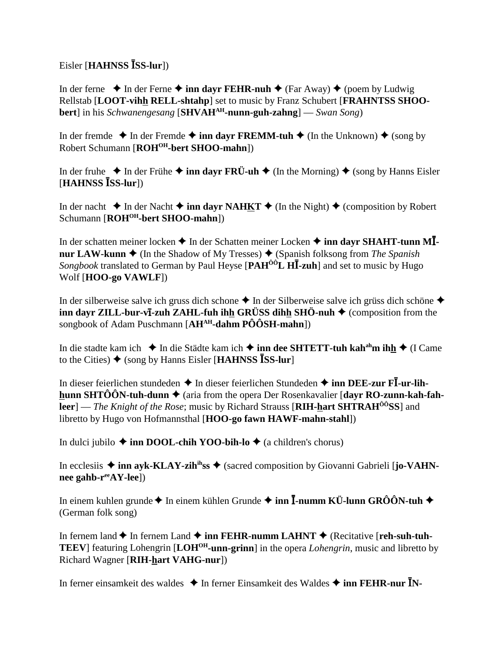$Eisler$  [**HAHNSS ISS-lur**])

In der ferne  $\triangle$  In der Ferne  $\triangle$  **inn dayr FEHR-nuh**  $\triangle$  (Far Away)  $\triangle$  (poem by Ludwig Rellstab [**LOOT-vihh RELL-shtahp**] set to music by Franz Schubert [**FRAHNTSS SHOObert**] in his *Schwanengesang* [**SHVAHAH-nunn-guh-zahng**] — *Swan Song*)

In der fremde  $\triangle$  In der Fremde  $\triangle$  inn dayr FREMM-tuh  $\triangle$  (In the Unknown)  $\triangle$  (song by Robert Schumann [**ROHOH-bert SHOO-mahn**])

In der fruhe  $\triangle$  In der Frühe  $\triangle$  **inn dayr FRÜ-uh**  $\triangle$  (In the Morning)  $\triangle$  (song by Hanns Eisler [HAHNSS **ISS-lur**])

In der nacht  $\triangle$  In der Nacht  $\triangle$  **inn dayr NAHKT**  $\triangle$  (In the Night)  $\triangle$  (composition by Robert Schumann [ROH<sup>OH</sup>-bert SHOO-mahn])

In der schatten meiner locken  $\blacklozenge$  In der Schatten meiner Locken  $\blacklozenge$  **inn dayr SHAHT-tunn MĪnur LAW-kunn**  $\triangle$  (In the Shadow of My Tresses)  $\triangle$  (Spanish folksong from *The Spanish* Songbook translated to German by Paul Heyse [PAH<sup>00</sup>L HI-zuh] and set to music by Hugo Wolf [**HOO-go VAWLF**])

In der silberweise salve ich gruss dich schone  $\triangle$  In der Silberweise salve ich grüss dich schöne  $\triangle$ **inn dayr ZILL-bur-vī-zuh ZAHL-fuh ihh GRÜSS dihh SHÖ-nuh ♦** (composition from the songbook of Adam Puschmann [**AHAH-dahm PÔÔSH-mahn**])

In die stadte kam ich **↓** In die Städte kam ich **→ inn dee SHTETT-tuh kah<sup>ah</sup>m ih<u>h</u> ◆** (I Came to the Cities) ♦ (song by Hanns Eisler [HAHNSS **ISS-lur**]

In dieser feierlichen stundeden ◆ In dieser feierlichen Stundeden ◆ inn DEE-zur FI-ur-lih**hunn SHTÔÔN-tuh-dunn ♦** (aria from the opera Der Rosenkavalier [**dayr RO-zunn-kah-fahleer**] — *The Knight of the Rose*; music by Richard Strauss [**RIH-hart SHTRAH<sup>00</sup>SS**] and libretto by Hugo von Hofmannsthal [**HOO-go fawn HAWF-mahn-stahl**])

In dulci jubilo  $\triangle$  inn DOOL-chih YOO-bih-lo  $\triangle$  (a children's chorus)

In ecclesiis  $\triangle$  inn ayk-KLAY-zih<sup>ih</sup>ss  $\triangle$  (sacred composition by Giovanni Gabrieli [**jo-VAHN**nee gahb-r<sup>ee</sup>AY-lee])

In einem kuhlen grunde ◆ In einem kühlen Grunde ◆ **inn Ī-numm KÜ-lunn GRÔÔN-tuh ◆** (German folk song)

In fernem land  $\triangle$  In fernem Land  $\triangle$  inn FEHR-numm LAHNT  $\triangle$  (Recitative [reh-suh-tuh-**TEEV**] featuring Lohengrin [**LOHOH-unn-grinn**] in the opera *Lohengrin*, music and libretto by Richard Wagner [**RIH-hart VAHG-nur**])

In ferner einsamkeit des waldes ◆ In ferner Einsamkeit des Waldes ◆ inn FEHR-nur **I**N-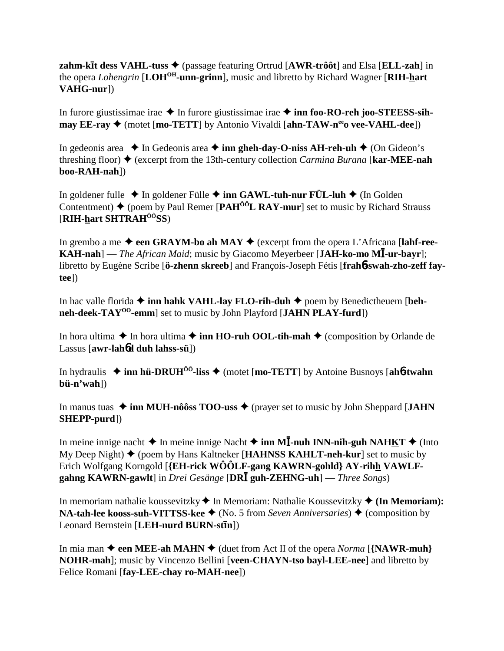zahm-kīt dess VAHL-tuss  $\triangle$  (passage featuring Ortrud [AWR-trôôt] and Elsa [ELL-zah] in the opera *Lohengrin* [LOH<sup>OH</sup>-unn-grinn], music and libretto by Richard Wagner [RIH-hart] VAHG-nur])

In furore giustissimae irae  $\triangle$  In furore giustissimae irae  $\triangle$  inn foo-RO-reh joo-STEESS-sih- $\text{may } EE\text{-}ray \blacklozenge$  (motet [mo-TETT] by Antonio Vivaldi [ahn-TAW-n<sup>ee</sup>o vee-VAHL-dee])

In gedeonis area  $\triangle$  In Gedeonis area  $\triangle$  inn gheh-day-O-niss AH-reh-uh  $\triangle$  (On Gideon's threshing floor)  $\blacklozenge$  (excerpt from the 13th-century collection *Carmina Burana* [**kar-MEE-nah**] boo-RAH-nah])

In goldener fulle  $\triangle$  In goldener Fülle  $\triangle$  inn GAWL-tuh-nur FÜL-luh  $\triangle$  (In Golden Contentment)  $\blacklozenge$  (poem by Paul Remer [PAH<sup> $00$ </sup>L RAY-mur] set to music by Richard Strauss [RIH-hart SHTRAH $\hat{O}$ <sup> $\hat{O}$ </sup>SS)

In grembo a me  $\triangle$  een GRAYM-bo ah MAY  $\triangle$  (excerpt from the opera L'Africana [lahf-ree-**KAH-nah**] — *The African Maid*; music by Giacomo Meyerbeer [JAH-ko-mo M $\overline{I}$ -ur-bayr]; libretto by Eugène Scribe [ö-zhenn skreeb] and François-Joseph Fétis [frahb-swah-zho-zeff fay $tee$ ])

In hac valle florida  $\triangle$  inn hahk VAHL-lay FLO-rih-duh  $\triangle$  poem by Benedictheuem [behneh-deek-TAY<sup>00</sup>-emm] set to music by John Playford [JAHN PLAY-furd])

In hora ultima  $\triangle$  In hora ultima  $\triangle$  inn HO-ruh OOL-tih-mah  $\triangle$  (composition by Orlande de Lassus [awr-lahod duh lahss-sü])

In hydraulis  $\triangleq$  inn hü-DRUH<sup>00</sup>-liss  $\triangleq$  (motet [mo-TETT] by Antoine Busnovs [ah6-twahn  $b\ddot{u}$ -n'wah])

In manus tuas  $\triangleq$  inn MUH-nôôss TOO-uss  $\triangleq$  (prayer set to music by John Sheppard [JAHN]  $SHEPP-purd$ )

In meine innige nacht  $\triangle$  In meine innige Nacht  $\triangle$  inn MI-nuh INN-nih-guh NAHKT  $\triangle$  (Into  $My Deep Night$  (poem by Hans Kaltneker [HAHNSS KAHLT-neh-kur] set to music by Erich Wolfgang Korngold [{EH-rick WOOLF-gang KAWRN-gohld} AY-rihh VAWLFgahng KAWRN-gawlt] in Drei Gesänge [DRI guh-ZEHNG-uh] — Three Songs)

In memoriam nathalie koussevitzky  $\blacklozenge$  In Memoriam: Nathalie Koussevitzky  $\blacklozenge$  (In Memoriam): **NA-tah-lee kooss-suh-VITTSS-kee**  $\blacklozenge$  (No. 5 from Seven Anniversaries)  $\blacklozenge$  (composition by Leonard Bernstein [LEH-nurd BURN-stin])

In mia man  $\triangle$  een MEE-ah MAHN  $\triangle$  (duet from Act II of the opera *Norma* [{NAWR-muh} NOHR-mah]; music by Vincenzo Bellini [veen-CHAYN-tso bayl-LEE-nee] and libretto by Felice Romani [fav-LEE-chav ro-MAH-nee])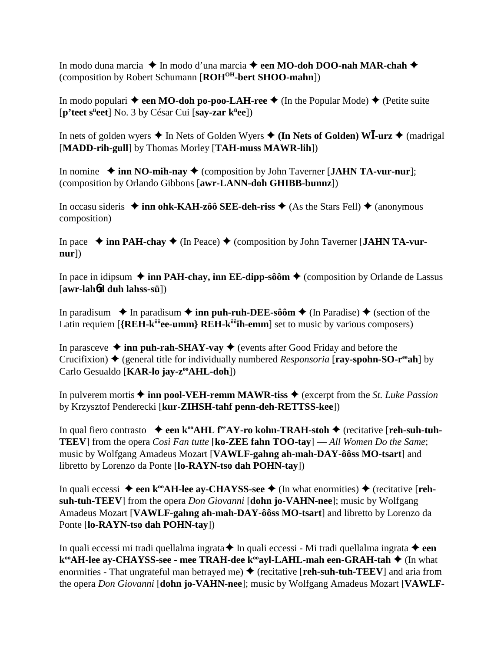In modo duna marcia ◆ In modo d'una marcia ◆ een MO-doh DOO-nah MAR-chah ◆ (composition by Robert Schumann [**ROHOH-bert SHOO-mahn**])

In modo populari  $\triangle$  een MO-doh po-poo-LAH-ree  $\triangle$  (In the Popular Mode)  $\triangle$  (Petite suite [p'teet s<sup>ü</sup>eet] No. 3 by César Cui [say-zar k<sup>ü</sup>ee])

In nets of golden wyers  $\triangleleft$  In Nets of Golden Wyers  $\triangleleft$  (In Nets of Golden) WI-urz  $\triangleq$  (madrigal [**MADD-rih-gull**] by Thomas Morley [**TAH-muss MAWR-lih**])

In nomine  $\triangle$  inn NO-mih-nay  $\triangle$  (composition by John Taverner [**JAHN TA-vur-nur**]; (composition by Orlando Gibbons [**awr-LANN-doh GHIBB-bunnz**])

In occasu sideris  $\triangle$  inn ohk-KAH-zôô SEE-deh-riss  $\triangle$  (As the Stars Fell)  $\triangle$  (anonymous composition)

In pace  $\rightarrow$  inn PAH-chay  $\rightarrow$  (In Peace)  $\rightarrow$  (composition by John Taverner [**JAHN TA-vurnur**])

In pace in idipsum  $\triangleq$  inn PAH-chay, inn EE-dipp-sôôm  $\triangleq$  (composition by Orlande de Lassus [**awr-lah**6**d duh lahss-sü**])

In paradisum  $\rightarrow$  In paradisum  $\rightarrow$  **inn puh-ruh-DEE-sôôm**  $\rightarrow$  (In Paradise)  $\rightarrow$  (section of the Latin requiem [{REH-k<sup>ôô</sup>ee-umm} REH-k<sup>ôô</sup>ih-emm] set to music by various composers)

In parasceve  $\triangle$  inn puh-rah-SHAY-vay  $\triangle$  (events after Good Friday and before the Crucifixion) ♦ (general title for individually numbered *Responsoria* [**ray-spohn-SO-r<sup>ee</sup>ah**] by Carlo Gesualdo [**KAR-lo jay-z<sup>oo</sup>AHL-doh**])

In pulverem mortis  $\triangle$  inn pool-VEH-remm MAWR-tiss  $\triangle$  (excerpt from the *St. Luke Passion* by Krzysztof Penderecki [**kur-ZIHSH-tahf penn-deh-RETTSS-kee**])

In qual fiero contrasto  $\rightarrow$  een k<sup>oo</sup>AHL f<sup>ee</sup>AY-ro kohn-TRAH-stoh  $\rightarrow$  (recitative [reh-suh-tuh-**TEEV**] from the opera *Così Fan tutte* [**ko-ZEE fahn TOO-tay**] — *All Women Do the Same*; music by Wolfgang Amadeus Mozart [**VAWLF-gahng ah-mah-DAY-ôôss MO-tsart**] and libretto by Lorenzo da Ponte [**lo-RAYN-tso dah POHN-tay**])

In quali eccessi  $\blacklozenge$  **een k<sup>oo</sup>AH-lee ay-CHAYSS-see**  $\blacklozenge$  (In what enormities)  $\blacklozenge$  (recitative [**rehsuh-tuh-TEEV**] from the opera *Don Giovanni* [**dohn jo-VAHN-nee**]; music by Wolfgang Amadeus Mozart [**VAWLF-gahng ah-mah-DAY-ôôss MO-tsart**] and libretto by Lorenzo da Ponte [**lo-RAYN-tso dah POHN-tay**])

In quali eccessi mi tradi quellalma ingrata  $\triangle$  In quali eccessi - Mi tradi quellalma ingrata  $\triangle$  een **k<sup>∞</sup>AH-lee ay-CHAYSS-see - mee TRAH-dee k<sup>∞</sup>ayl-LAHL-mah een-GRAH-tah ◆ (In what** enormities - That ungrateful man betrayed me)  $\blacklozenge$  (recitative [**reh-suh-tuh-TEEV**] and aria from the opera *Don Giovanni* [**dohn jo-VAHN-nee**]; music by Wolfgang Amadeus Mozart [**VAWLF-**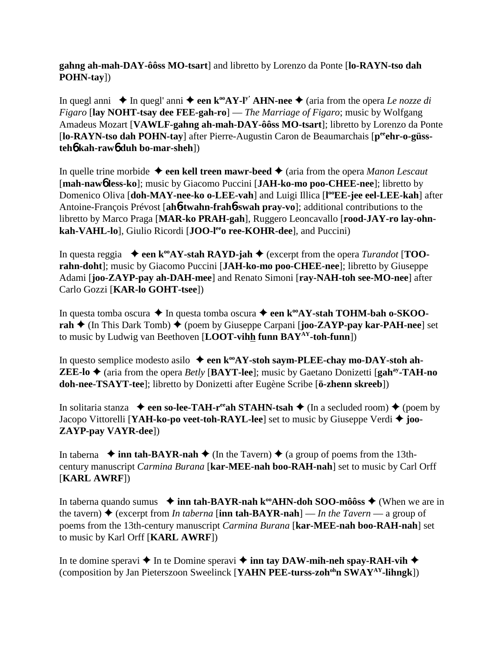**gahng ah-mah-DAY-ôôss MO-tsart**] and libretto by Lorenzo da Ponte [**lo-RAYN-tso dah POHN-tay**])

In quegl anni  $\bullet$  In quegl' anni  $\bullet$  **een k<sup>oo</sup>AY-l<sup>y'</sup> AHN-nee**  $\bullet$  (aria from the opera *Le nozze di Figaro* [**lay NOHT-tsay dee FEE-gah-ro**] — *The Marriage of Figaro*; music by Wolfgang Amadeus Mozart [**VAWLF-gahng ah-mah-DAY-ôôss MO-tsart**]; libretto by Lorenzo da Ponte [lo-RAYN-tso dah POHN-tay] after Pierre-Augustin Caron de Beaumarchais [p<sup>ee</sup>ehr-o-güss**teh**6 **kah-raw**6 **duh bo-mar-sheh**])

In quelle trine morbide  $\triangle$  een kell treen mawr-beed  $\triangle$  (aria from the opera *Manon Lescaut* [**mah-naw**6 **less-ko**]; music by Giacomo Puccini [**JAH-ko-mo poo-CHEE-nee**]; libretto by Domenico Oliva [**doh-MAY-nee-ko o-LEE-vah**] and Luigi Illica [**l ooEE-jee eel-LEE-kah**] after Antoine-François Prévost [**ah**6**-twahn-frah**6**-swah pray-vo**]; additional contributions to the libretto by Marco Praga [**MAR-ko PRAH-gah**], Ruggero Leoncavallo [**rood-JAY-ro lay-ohn**kah-VAHL-lo], Giulio Ricordi [JOO-le<sup>e</sup>o ree-KOHR-dee], and Puccini)

In questa reggia  $\bullet$  een  $k^{\omega}AY$ -stah RAYD-jah  $\bullet$  (excerpt from the opera *Turandot* [**TOOrahn-doht**]; music by Giacomo Puccini [**JAH-ko-mo poo-CHEE-nee**]; libretto by Giuseppe Adami [**joo-ZAYP-pay ah-DAH-mee**] and Renato Simoni [**ray-NAH-toh see-MO-nee**] after Carlo Gozzi [**KAR-lo GOHT-tsee**])

In questa tomba oscura **→** In questa tomba oscura → een k<sup>oo</sup>AY-stah TOHM-bah o-SKOO**rah ♦** (In This Dark Tomb) ♦ (poem by Giuseppe Carpani [**joo-ZAYP-pay kar-PAH-nee**] set to music by Ludwig van Beethoven [**LOOT-vihh funn BAYAY-toh-funn**])

In questo semplice modesto asilo  $\triangleq$  een  $k^{\omega}AY$ -stoh saym-PLEE-chay mo-DAY-stoh ah-**ZEE-lo**  $\triangle$  (aria from the opera *Betly* [BAYT-lee]; music by Gaetano Donizetti [gah<sup>ay</sup>-TAH-no **doh-nee-TSAYT-tee**]; libretto by Donizetti after Eugène Scribe [**ö-zhenn skreeb**])

In solitaria stanza  $\rightarrow$  een so-lee-TAH-r<sup>ee</sup>ah STAHN-tsah  $\rightarrow$  (In a secluded room)  $\rightarrow$  (poem by Jacopo Vittorelli [**YAH-ko-po veet-toh-RAYL-lee**] set to music by Giuseppe Verdi **joo-ZAYP-pay VAYR-dee**])

In taberna  $\rightarrow$  **inn tah-BAYR-nah**  $\rightarrow$  (In the Tavern)  $\rightarrow$  (a group of poems from the 13thcentury manuscript *Carmina Burana* [**kar-MEE-nah boo-RAH-nah**] set to music by Carl Orff [**KARL AWRF**])

In taberna quando sumus  $\rightarrow$  inn tah-BAYR-nah k<sup>oo</sup>AHN-doh SOO-môôss  $\rightarrow$  (When we are in the tavern)  $\triangle$  (excerpt from *In taberna* [**inn tah-BAYR-nah**] — *In the Tavern* — a group of poems from the 13th-century manuscript *Carmina Burana* [**kar-MEE-nah boo-RAH-nah**] set to music by Karl Orff [**KARL AWRF**])

In te domine speravi  $\triangle$  In te Domine speravi  $\triangle$  inn tay DAW-mih-neh spay-RAH-vih  $\triangle$ (composition by Jan Pieterszoon Sweelinck [**YAHN PEE-turss-zohohn SWAYAY-lihngk**])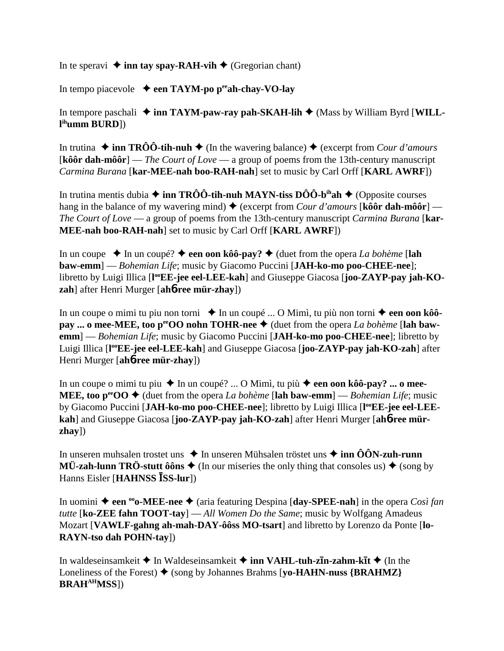In te speravi  $\triangle$  inn tay spay-RAH-vih  $\triangle$  (Gregorian chant)

In tempo piacevole **een TAYM-po peeah-chay-VO-lay**

In tempore paschali  $\triangleq$  inn TAYM-paw-ray pah-SKAH-lih  $\triangleq$  (Mass by William Byrd [WILL**l ihumm BURD**])

In trutina  $\triangle$  inn TRÔÔ-tih-nuh  $\triangle$  (In the wavering balance)  $\triangle$  (excerpt from *Cour d'amours* [**kôôr dah-môôr**] — *The Court of Love* — a group of poems from the 13th-century manuscript *Carmina Burana* [**kar-MEE-nah boo-RAH-nah**] set to music by Carl Orff [**KARL AWRF**])

In trutina mentis dubia  $\triangleq$  inn TRÔÔ-tih-nuh MAYN-tiss DÔÔ-b<sup>ih</sup>ah  $\triangleq$  (Opposite courses hang in the balance of my wavering mind)  $\triangle$  (excerpt from *Cour d'amours* [kôô**r dah-môôr**] — *The Court of Love* — a group of poems from the 13th-century manuscript *Carmina Burana* [**kar-MEE-nah boo-RAH-nah**] set to music by Carl Orff [**KARL AWRF**])

In un coupe  $\blacklozenge$  In un coupé?  $\blacklozenge$  **een oon kôô-pay?**  $\blacklozenge$  (duet from the opera *La bohème* [**lah baw-emm**] — *Bohemian Life*; music by Giacomo Puccini [**JAH-ko-mo poo-CHEE-nee**]; libretto by Luigi Illica [l<sup>oo</sup>EE-jee eel-LEE-kah] and Giuseppe Giacosa [joo-ZAYP-pay jah-KO**zah**] after Henri Murger [**ah**6**-ree mür-zhay**])

In un coupe o mimi tu piu non torni ◆ In un coupé ... O Mimì, tu più non torni ◆ een oon kôô**pay ... o mee-MEE, too p<sup>ec</sup>OO nohn TOHR-nee**  $\blacklozenge$  (duet from the opera *La bohème* [lah baw**emm**] — *Bohemian Life*; music by Giacomo Puccini [**JAH-ko-mo poo-CHEE-nee**]; libretto by Luigi Illica [**l ooEE-jee eel-LEE-kah**] and Giuseppe Giacosa [**joo-ZAYP-pay jah-KO-zah**] after Henri Murger [**ah**6**-ree mür-zhay**])

In un coupe o mimi tu piu In un coupé? ... O Mimì, tu più **een oon kôô-pay? ... o mee-MEE, too p<sup>ee</sup>OO**  $\blacklozenge$  (duet from the opera *La bohème* [lah baw-emm] — *Bohemian Life*; music by Giacomo Puccini [JAH-ko-mo poo-CHEE-nee]; libretto by Luigi Illica [l<sup>oo</sup>EE-jee eel-LEE**kah**] and Giuseppe Giacosa [**joo-ZAYP-pay jah-KO-zah**] after Henri Murger [**ah**6**-ree mürzhay**])

In unseren muhsalen trostet uns **→** In unseren Mühsalen tröstet uns **→ inn ÔÔN-zuh-runn MÜ-zah-lunn TRÖ-stutt ôôns**  $\triangleq$  (In our miseries the only thing that consoles us)  $\triangleq$  (song by Hanns Eisler [**HAHNSS ISS-lur**])

In uomini  **een ooo-MEE-nee** (aria featuring Despina [**day-SPEE-nah**] in the opera *Così fan tutte* [**ko-ZEE fahn TOOT-tay**] — *All Women Do the Same*; music by Wolfgang Amadeus Mozart [**VAWLF-gahng ah-mah-DAY-ôôss MO-tsart**] and libretto by Lorenzo da Ponte [**lo-RAYN-tso dah POHN-tay**])

In waldeseinsamkeit  $\triangle$  In Waldeseinsamkeit  $\triangle$  inn VAHL-tuh-z**In-zahm-kIt**  $\triangle$  (In the Loneliness of the Forest)  $\blacklozenge$  (song by Johannes Brahms [**vo-HAHN-nuss** {**BRAHMZ**} **BRAHAHMSS**])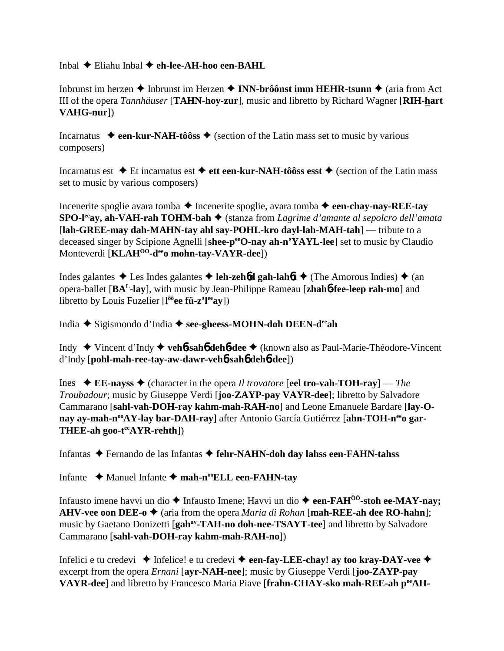Inbal  $\triangle$  Eliahu Inbal  $\triangle$  eh-lee-AH-hoo een-BAHL

Inbrunst im herzen  $\triangle$  Inbrunst im Herzen  $\triangle$  INN-brôônst imm HEHR-tsunn  $\triangle$  (aria from Act III of the opera *Tannhäuser* [TAHN-hoy-zur], music and libretto by Richard Wagner [RIH-hart] VAHG-nurl)

Incarnatus  $\triangle$  een-kur-NAH-tôôss  $\triangle$  (section of the Latin mass set to music by various composers)

Incarnatus est  $\triangle$  Et incarnatus est  $\triangle$  ett een-kur-NAH-tôôss esst  $\triangle$  (section of the Latin mass set to music by various composers)

Incenerite spoglie avara tomba  $\triangle$  Incenerite spoglie, avara tomba  $\triangle$  een-chay-nay-REE-tay  $SPO-I<sup>ee</sup>av$ , ah-VAH-rah TOHM-bah  $\blacklozenge$  (stanza from *Lagrime d'amante al sepolcro dell'amata* [lah-GREE-may dah-MAHN-tay ahl say-POHL-kro dayl-lah-MAH-tah] — tribute to a deceased singer by Scipione Agnelli [shee-p<sup>ee</sup>O-nay ah-n'YAYL-lee] set to music by Claudio Monteverdi [KLAH<sup>00</sup>-d<sup>ee</sup>o mohn-tay-VAYR-dee])

Indes galantes  $\triangle$  Les Indes galantes  $\triangle$  leh-zehod gah-lahot  $\triangle$  (The Amorous Indies)  $\triangle$  (an opera-ballet [BA<sup>L</sup>-lay], with music by Jean-Philippe Rameau [zhahb-fee-leep rah-mo] and libretto by Louis Fuzelier  $[1^{\hat{o}\hat{o}}$ ee fü-z'l<sup>ee</sup>av])

India  $\triangle$  Sigismondo d'India  $\triangle$  see-gheess-MOHN-doh DEEN-d<sup>ee</sup>ah

Indy  $\blacklozenge$  Vincent d'Indy  $\blacklozenge$  veh**<sup>6</sup>-sah<sup>6</sup> deh<sup>6</sup>-dee**  $\blacklozenge$  (known also as Paul-Marie-Théodore-Vincent d'Indy [pohl-mah-ree-tay-aw-dawr-veh<sup>6</sup>-saho deh<sup>6</sup>-dee])

Ines  $\div$  EE-nayss  $\div$  (character in the opera *Il trovatore* [eel tro-vah-TOH-ray] — The *Troubadour*; music by Giuseppe Verdi [joo-ZAYP-pay VAYR-dee]; libretto by Salvadore Cammarano [sahl-vah-DOH-ray kahm-mah-RAH-no] and Leone Emanuele Bardare [lay-Onay ay-mah-n<sup>oo</sup>AY-lay bar-DAH-ray] after Antonio García Gutiérrez [ahn-TOH-n<sup>ee</sup>o gar-THEE-ah goo- $t^{ee}$ AYR-rehth])

Infantas ◆ Fernando de las Infantas ◆ fehr-NAHN-doh day lahss een-FAHN-tahss

Infante  $\triangle$  Manuel Infante  $\triangle$  mah-n<sup>oo</sup>ELL een-FAHN-tay

Infausto imene havvi un dio  $\triangle$  Infausto Imene; Havvi un dio  $\triangle$  een-FAH<sup> $\hat{0}$ 0-stoh ee-MAY-nav;</sup> AHV-vee oon DEE-o  $\triangleq$  (aria from the opera *Maria di Rohan* [mah-REE-ah dee RO-hahn]; music by Gaetano Donizetti [gah<sup>ay</sup>-TAH-no doh-nee-TSAYT-tee] and libretto by Salvadore Cammarano [sahl-vah-DOH-ray kahm-mah-RAH-no])

Infelici e tu credevi  $\bullet$  Infelice! e tu credevi  $\bullet$  een-fay-LEE-chay! ay too kray-DAY-vee  $\bullet$ excerpt from the opera *Ernani* [ayr-NAH-nee]; music by Giuseppe Verdi [joo-ZAYP-pay VAYR-dee] and libretto by Francesco Maria Piave [frahn-CHAY-sko mah-REE-ah peeAH-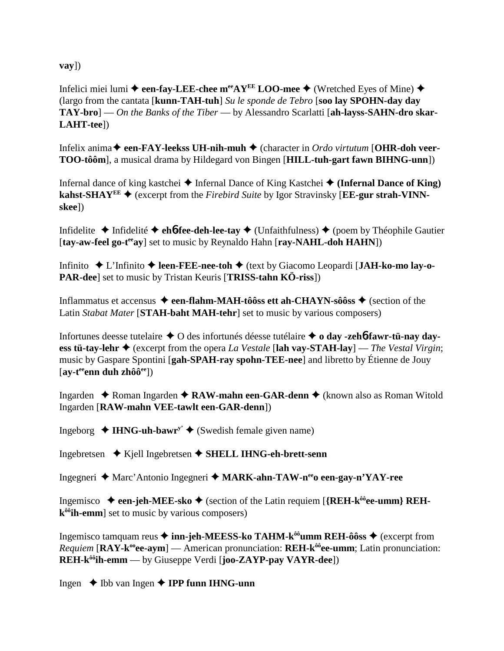$\mathbf{vay}$ ])

Infelici miei lumi  $\triangle$  een-fay-LEE-chee m<sup>ee</sup>AY<sup>EE</sup> LOO-mee  $\triangle$  (Wretched Eyes of Mine)  $\triangle$ (largo from the cantata [kunn-TAH-tuh] Su le sponde de Tebro [soo lay SPOHN-day day  $TAY-bro$ ] — On the Banks of the Tiber — by Alessandro Scarlatti [ah-layss-SAHN-dro skar-LAHT-tee])

Infelix anima  $\blacklozenge$  een-FAY-leekss UH-nih-muh  $\blacklozenge$  (character in Ordo virtutum [OHR-doh veer-TOO-tôôm], a musical drama by Hildegard von Bingen [HILL-tuh-gart fawn BIHNG-unn])

Infernal dance of king kastchei  $\triangle$  Infernal Dance of King Kastchei  $\triangle$  (Infernal Dance of King) kahst-SHAY<sup>EE</sup>  $\blacklozenge$  (excerpt from the *Firebird Suite* by Igor Stravinsky [**EE-gur strah-VINN**skee])

Infidelite  $\triangle$  Infidelité  $\triangle$  ehb-fee-deh-lee-tay  $\triangle$  (Unfaithfulness)  $\triangle$  (poem by Théophile Gautier [tay-aw-feel go-t<sup>ee</sup>ay] set to music by Reynaldo Hahn [ray-NAHL-doh HAHN])

Infinito  $\triangle$  L'Infinito  $\triangle$  leen-FEE-nee-toh  $\triangle$  (text by Giacomo Leopardi [JAH-ko-mo lay-o-**PAR-dee**] set to music by Tristan Keuris [TRISS-tahn KÖ-riss])

Inflammatus et accensus  $\triangleq$  een-flahm-MAH-tôôss ett ah-CHAYN-sôôss  $\triangleq$  (section of the Latin Stabat Mater [STAH-baht MAH-tehr] set to music by various composers)

Infortunes deesse tutelaire  $\triangle$  O des infortunés déesse tutélaire  $\triangle$  o day -zeho-fawr-tü-nay dayess tü-tay-lehr  $\triangle$  (excerpt from the opera *La Vestale* [lah vay-STAH-lay] — The Vestal Virgin; music by Gaspare Spontini [gah-SPAH-ray spohn-TEE-nee] and libretto by Étienne de Jouy  $[av-t^{ee}$ enn duh zhôô $e^{ee}$ ])

Ingarden  $\triangle$  Roman Ingarden  $\triangle$  RAW-mahn een-GAR-denn  $\triangle$  (known also as Roman Witold Ingarden [RAW-mahn VEE-tawlt een-GAR-denn])

Ingeborg  $\triangleleft$  IHNG-uh-bawr<sup>y'</sup>  $\triangleleft$  (Swedish female given name)

Ingebretsen  $\triangle$  Kjell Ingebretsen  $\triangle$  SHELL IHNG-eh-brett-senn

Ingegneri ♦ Marc'Antonio Ingegneri ♦ MARK-ahn-TAW-n<sup>ee</sup>o een-gay-n'YAY-ree

Ingemisco  $\triangle$  een-jeh-MEE-sko  $\triangle$  (section of the Latin requiem [{REH-k<sup>ôô</sup>ee-umm} REHk<sup>ôô</sup>ih-emm] set to music by various composers)

Ingemisco tamquam reus  $\triangleq$  inn-jeh-MEESS-ko TAHM-k<sup>ôô</sup>umm REH-ôôss  $\triangleq$  (excerpt from *Requiem* [RAY- $k^{\omega}$ ee-aym] — American pronunciation: REH- $k^{\hat{\omega}}$ ee-umm; Latin pronunciation:  $REH-k^{\hat{o}\hat{o}}$ ih-emm — by Giuseppe Verdi [joo-ZAYP-pay VAYR-dee])

Ingen  $\blacklozenge$  Ibb van Ingen  $\blacklozenge$  IPP funn IHNG-unn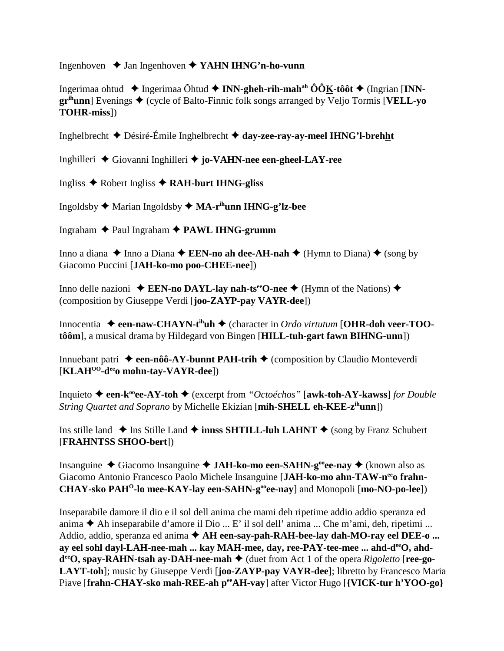Ingenhoven Jan Ingenhoven **YAHN IHNG'n-ho-vunn**

Ingerimaa ohtud Ingerimaa Õhtud **INN-gheh-rih-mahah ÔÔK-tôôt** (Ingrian [**INNgr<sup>ih</sup>unn**] Evenings ♦ (cycle of Balto-Finnic folk songs arranged by Veljo Tormis [**VELL-yo TOHR-miss**])

Inghelbrecht Désiré-Émile Inghelbrecht **day-zee-ray-ay-meel IHNG'l-brehht**

Inghilleri Giovanni Inghilleri **jo-VAHN-nee een-gheel-LAY-ree**

Ingliss Robert Ingliss **RAH-burt IHNG-gliss**

Ingoldsby Marian Ingoldsby **MA-rihunn IHNG-g'lz-bee**

Ingraham Paul Ingraham **PAWL IHNG-grumm**

Inno a diana  $\triangle$  Inno a Diana  $\triangle$  **EEN-no ah dee-AH-nah**  $\triangle$  (Hymn to Diana)  $\triangle$  (song by Giacomo Puccini [**JAH-ko-mo poo-CHEE-nee**])

Inno delle nazioni **↓ EEN-no DAYL-lay nah-ts<sup>ee</sup>O-nee ◆** (Hymn of the Nations) ◆ (composition by Giuseppe Verdi [**joo-ZAYP-pay VAYR-dee**])

Innocentia ◆ een-naw-CHAYN-t<sup>ih</sup>uh ◆ (character in *Ordo virtutum* [OHR-doh veer-TOO**tôôm**], a musical drama by Hildegard von Bingen [**HILL-tuh-gart fawn BIHNG-unn**])

Innuebant patri  $\triangle$  een-nôô-AY-bunnt PAH-trih  $\triangle$  (composition by Claudio Monteverdi [**KLAHOO-deeo mohn-tay-VAYR-dee**])

Inquieto **een-kooee-AY-toh** (excerpt from *"Octoéchos"* [**awk-toh-AY-kawss**] *for Double String Quartet and Soprano* by Michelle Ekizian [**mih-SHELL eh-KEE-zihunn**])

Ins stille land  $\triangle$  Ins Stille Land  $\triangle$  innss SHTILL-luh LAHNT  $\triangle$  (song by Franz Schubert [**FRAHNTSS SHOO-bert**])

Insanguine Giacomo Insanguine **JAH-ko-mo een-SAHN-gooee-nay** (known also as Giacomo Antonio Francesco Paolo Michele Insanguine [JAH-ko-mo ahn-TAW-n<sup>ee</sup>o frahn-**CHAY-sko PAHO-lo mee-KAY-lay een-SAHN-gooee-nay**] and Monopoli [**mo-NO-po-lee**])

Inseparabile damore il dio e il sol dell anima che mami deh ripetime addio addio speranza ed anima  $\blacklozenge$  Ah inseparabile d'amore il Dio ... E' il sol dell' anima ... Che m'ami, deh, ripetimi ... Addio, addio, speranza ed anima  $\triangle$  AH een-say-pah-RAH-bee-lay dah-MO-ray eel DEE-o ... ay eel sohl dayl-LAH-nee-mah ... kay MAH-mee, day, ree-PAY-tee-mee ... ahd-deeO, ahd**d<sup>ee</sup>O, spay-RAHN-tsah ay-DAH-nee-mah ♦** (duet from Act 1 of the opera *Rigoletto* [**ree-go-LAYT-toh**]; music by Giuseppe Verdi [**joo-ZAYP-pay VAYR-dee**]; libretto by Francesco Maria Piave [frahn-CHAY-sko mah-REE-ah peeAH-vay] after Victor Hugo [{VICK-tur h'YOO-go}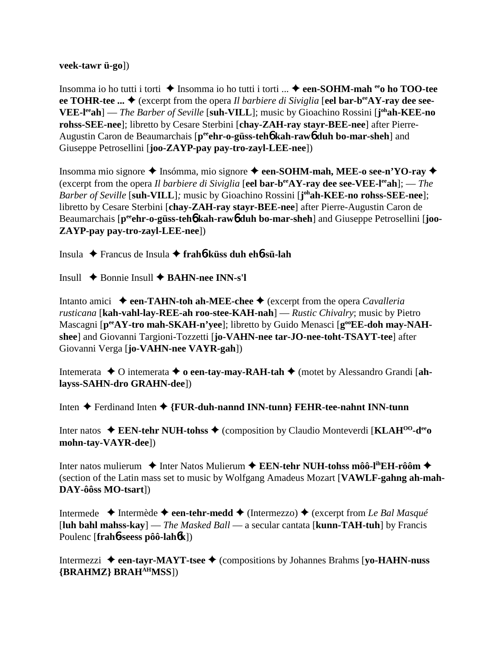**veek-tawr ü-go**])

Insomma io ho tutti i torti **→** Insomma io ho tutti i torti ... **→ een-SOHM-mah <sup>ee</sup>o ho TOO-tee** ee TOHR-tee ...  $\blacklozenge$  (excerpt from the opera *Il barbiere di Siviglia* [eel bar-b<sup>ee</sup>AY-ray dee see-**VEE-leeah**] — *The Barber of Seville* [**suh-VILL**]; music by Gioachino Rossini [**j ohah-KEE-no rohss-SEE-nee**]; libretto by Cesare Sterbini [**chay-ZAH-ray stayr-BEE-nee**] after Pierre-Augustin Caron de Beaumarchais [p<sup>ee</sup>ehr-o-güss-teh**o** kah-rawo duh bo-mar-sheh] and Giuseppe Petrosellini [**joo-ZAYP-pay pay-tro-zayl-LEE-nee**])

Insomma mio signore ◆ Insómma, mio signore ◆ een-SOHM-mah, MEE-o see-n'YO-ray ◆ (excerpt from the opera *Il barbiere di Siviglia* [**eel bar-beeAY-ray dee see-VEE-leeah**]; — *The Barber of Seville* [**suh-VILL**]*;* music by Gioachino Rossini [**j ohah-KEE-no rohss-SEE-nee**]; libretto by Cesare Sterbini [**chay-ZAH-ray stayr-BEE-nee**] after Pierre-Augustin Caron de Beaumarchais [p<sup>ee</sup>ehr-o-güss-teh**6** kah-raw<sub>0</sub> duh bo-mar-sheh] and Giuseppe Petrosellini [joo-**ZAYP-pay pay-tro-zayl-LEE-nee**])

Insula Francus de Insula **frah**6**-küss duh eh**6**-sü-lah**

Insull Bonnie Insull **BAHN-nee INN-s'l**

Intanto amici  $\rightarrow$  een-TAHN-toh ah-MEE-chee  $\rightarrow$  (excerpt from the opera *Cavalleria rusticana* [**kah-vahl-lay-REE-ah roo-stee-KAH-nah**] — *Rustic Chivalry*; music by Pietro Mascagni [p<sup>ee</sup>AY-tro mah-SKAH-n'yee]; libretto by Guido Menasci [g<sup>oo</sup>EE-doh may-NAH**shee**] and Giovanni Targioni-Tozzetti [**jo-VAHN-nee tar-JO-nee-toht-TSAYT-tee**] after Giovanni Verga [**jo-VAHN-nee VAYR-gah**])

Intemerata  $\triangle$  O intemerata  $\triangle$  o een-tay-may-RAH-tah  $\triangle$  (motet by Alessandro Grandi [ah**layss-SAHN-dro GRAHN-dee**])

Inten Ferdinand Inten **{FUR-duh-nannd INN-tunn} FEHR-tee-nahnt INN-tunn**

Inter natos **EEN-tehr NUH-tohss** (composition by Claudio Monteverdi [**KLAHOO-deeo mohn-tay-VAYR-dee**])

Inter natos mulierum 
inter natos mulierum 
inter natos mulierum 
inter natos mulierum 
inter natos mulierum 
inter natos mulierum 
inter natos mulierum 
inter natos mulierum 
inter natos mulierum 
inter natos mulierum 
i (section of the Latin mass set to music by Wolfgang Amadeus Mozart [**VAWLF-gahng ah-mah-DAY-ôôss MO-tsart**])

Intermede **→** Intermède ← een-tehr-medd ← (Intermezzo) ← (excerpt from *Le Bal Masqué* [**luh bahl mahss-kay**] — *The Masked Ball* — a secular cantata [**kunn-TAH-tuh**] by Francis Poulenc [**frah**6**-seess pôô-lah**6**k**])

Intermezzi **een-tayr-MAYT-tsee** (compositions by Johannes Brahms [**yo-HAHN-nuss {BRAHMZ} BRAHAHMSS**])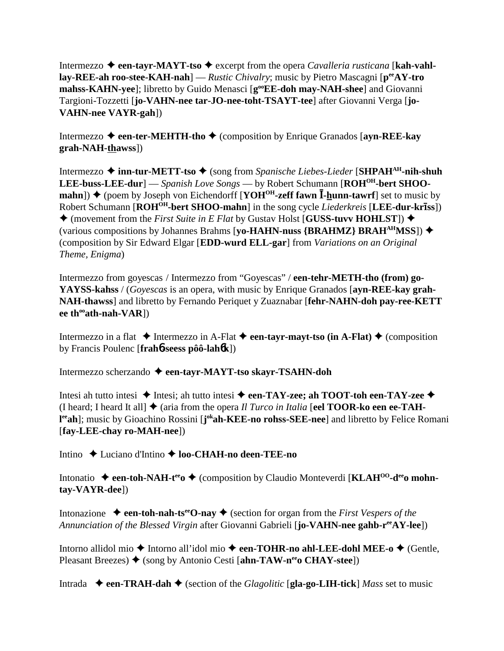Intermezzo **→ een-tayr-MAYT-tso →** excerpt from the opera *Cavalleria rusticana* [**kah-vahllay-REE-ah roo-stee-KAH-nah**] — *Rustic Chivalry*; music by Pietro Mascagni [**peeAY-tro** mahss-KAHN-yee]; libretto by Guido Menasci [g<sup>oo</sup>EE-doh may-NAH-shee] and Giovanni Targioni-Tozzetti [**jo-VAHN-nee tar-JO-nee-toht-TSAYT-tee**] after Giovanni Verga [**jo-VAHN-nee VAYR-gah**])

Intermezzo  $\triangle$  een-ter-MEHTH-tho  $\triangle$  (composition by Enrique Granados [ayn-REE-kay **grah-NAH-thawss**])

Intermezzo **inn-tur-METT-tso** (song from *Spanische Liebes-Lieder* [**SHPAHAH-nih-shuh LEE-buss-LEE-dur**] — *Spanish Love Songs* — by Robert Schumann [**ROHOH-bert SHOOmahn**]) ♦ (poem by Joseph von Eichendorff [**YOH<sup>OH</sup>-zeff fawn I-hunn-tawrf**] set to music by Robert Schumann [**ROHOH-bert SHOO-mahn**] in the song cycle *Liederkreis* [**LEE-dur-krss**])  $\triangle$  (movement from the *First Suite in E Flat* by Gustav Holst [**GUSS-tuvv HOHLST**])  $\triangle$ (various compositions by Johannes Brahms [**yo-HAHN-nuss {BRAHMZ} BRAHAHMSS**]) (composition by Sir Edward Elgar [**EDD-wurd ELL-gar**] from *Variations on an Original Theme, Enigma*)

Intermezzo from goyescas / Intermezzo from "Goyescas" / **een-tehr-METH-tho (from) go-YAYSS-kahss** / (*Goyescas* is an opera, with music by Enrique Granados [**ayn-REE-kay grah-NAH-thawss**] and libretto by Fernando Periquet y Zuaznabar [**fehr-NAHN-doh pay-ree-KETT**  $ee$  th<sup>oo</sup>ath-nah-VAR])

Intermezzo in a flat  $\triangle$  Intermezzo in A-Flat  $\triangle$  een-tayr-mayt-tso (in A-Flat)  $\triangle$  (composition by Francis Poulenc [**frah**6**-seess pôô-lah**6**k**])

Intermezzo scherzando **een-tayr-MAYT-tso skayr-TSAHN-doh**

Intesi ah tutto intesi  $\triangle$  Intesi; ah tutto intesi  $\triangle$  een-TAY-zee; ah TOOT-toh een-TAY-zee  $\triangle$ (I heard; I heard It all  $\blacklozenge$  (aria from the opera *Il Turco in Italia* [eel **TOOR-ko een ee-TAHl eeah**]; music by Gioachino Rossini [**j okah-KEE-no rohss-SEE-nee**] and libretto by Felice Romani [**fay-LEE-chay ro-MAH-nee**])

Intino ◆ Luciano d'Intino ◆ **loo-CHAH-no deen-TEE-no** 

Intonatio **→ een-toh-NAH-t<sup>ee</sup>o →** (composition by Claudio Monteverdi [**KLAH<sup>00</sup>-d<sup>ee</sup>o mohntay-VAYR-dee**])

Intonazione  $\triangle$  **een-toh-nah-ts<sup>ee</sup>O-nay**  $\triangle$  (section for organ from the *First Vespers of the Annunciation of the Blessed Virgin* after Giovanni Gabrieli [**jo-VAHN-nee gahb-r<sup>ee</sup>AY-lee**])

Intorno allidol mio ◆ Intorno all'idol mio ◆ een-TOHR-no ahl-LEE-dohl MEE-o ◆ (Gentle, Pleasant Breezes)  $\blacklozenge$  (song by Antonio Cesti [ahn-TAW-n<sup>ee</sup>o CHAY-stee])

Intrada  $\blacklozenge$  **een-TRAH-dah**  $\blacklozenge$  (section of the *Glagolitic* [**gla-go-LIH-tick**] *Mass* set to music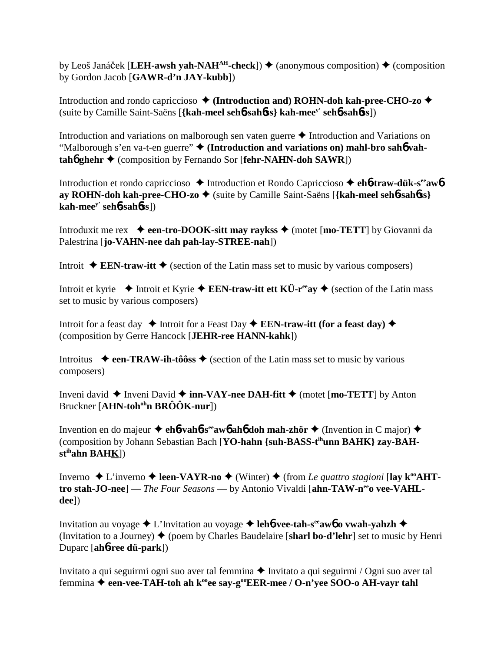by Leoš Janáček [LEH-awsh yah-NAH<sup>AH</sup>-check])  $\triangleq$  (anonymous composition)  $\triangleq$  (composition by Gordon Jacob [GAWR-d'n JAY-kubb])

Introduction and rondo capriccioso  $\triangleleft$  (Introduction and) ROHN-doh kah-pree-CHO-zo  $\triangleleft$ (suite by Camille Saint-Saëns [{kah-meel sehb-sahbss} kah-mee<sup>y'</sup> sehb-sahbss])

Introduction and variations on malborough sen vaten guerre  $\triangle$  Introduction and Variations on "Malborough s'en va-t-en guerre" + (Introduction and variations on) mahl-bro sahó vah $tah\dot{\phi}$  ghehr  $\dot{\phi}$  (composition by Fernando Sor [fehr-NAHN-doh SAWR])

Introduction et rondo capriccioso  $\triangle$  Introduction et Rondo Capriccioso  $\triangle$  eh6-traw-dük-s<sup>ee</sup>aw6 av ROHN-doh kah-pree-CHO-zo ♦ (suite by Camille Saint-Saëns [{kah-meel sehb-sahbss}  $kah-mee<sup>y</sup>$  seh $b$ -sah $b$ ss $\vert$ )

Introduxit me rex  $\bullet$  een-tro-DOOK-sitt may raykss  $\bullet$  (motet [mo-TETT] by Giovanni da Palestrina [jo-VAHN-nee dah pah-lay-STREE-nah])

Introit  $\triangle$  EEN-traw-itt  $\triangle$  (section of the Latin mass set to music by various composers)

Introit et kyrie  $\triangle$  Introit et Kyrie  $\triangle$  EEN-traw-itt ett KÜ-r<sup>ee</sup>ay  $\triangle$  (section of the Latin mass set to music by various composers)

Introit for a feast day  $\triangle$  Introit for a Feast Day  $\triangle$  EEN-traw-itt (for a feast day)  $\triangle$ (composition by Gerre Hancock [JEHR-ree HANN-kahk])

Introitus  $\rightarrow$  een-TRAW-ih-tôôss  $\rightarrow$  (section of the Latin mass set to music by various composers)

Inveni david  $\triangle$  Inveni David  $\triangle$  inn-VAY-nee DAH-fitt  $\triangle$  (motet [mo-TETT] by Anton Bruckner [AHN-toh<sup>oh</sup>n BRÔÔK-nur])

Invention en do majeur  $\triangle$  eh**6-vah6-s<sup>ee</sup>aw6 ah6 doh mah-zhör**  $\triangle$  (Invention in C major)  $\triangle$ (composition by Johann Sebastian Bach [YO-hahn {suh-BASS-t<sup>ih</sup>unn BAHK} zay-BAH $st<sup>ih</sup>ahn BAHK$ ])

Inverno  $\triangle$  L'inverno  $\triangle$  leen-VAYR-no  $\triangle$  (Winter)  $\triangle$  (from Le quattro stagioni [lay k<sup>oo</sup>AHTtro stah-JO-nee] — The Four Seasons — by Antonio Vivaldi [ahn-TAW-nee vee-VAHLdeel)

Invitation au voyage  $\triangle$  L'Invitation au voyage  $\triangle$  lehb-vee-tah-s<sup>ee</sup> awb o vwah-yahzh  $\triangle$ (Invitation to a Journey)  $\blacklozenge$  (poem by Charles Baudelaire [sharl bo-d'lehr] set to music by Henri Duparc [ah**o-ree dü-park**])

Invitato a qui seguirmi ogni suo aver tal femmina ◆ Invitato a qui seguirmi / Ogni suo aver tal femmina ◆ een-vee-TAH-toh ah k<sup>oo</sup>ee say-g<sup>oo</sup>EER-mee / O-n'yee SOO-o AH-vayr tahl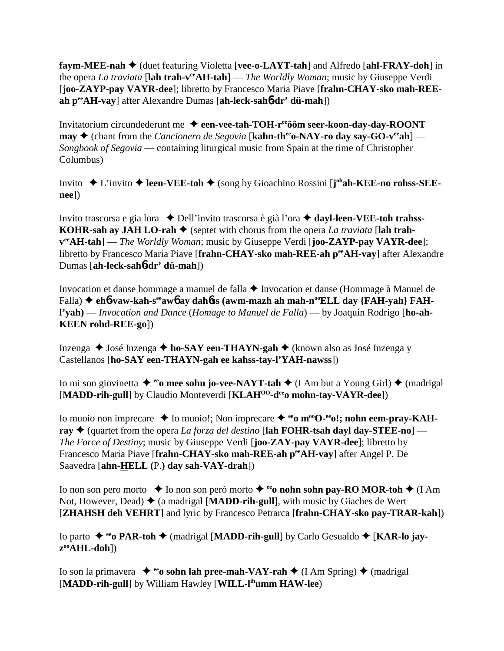**faym-MEE-nah** (duet featuring Violetta [**vee-o-LAYT-tah**] and Alfredo [**ahl-FRAY-doh**] in the opera *La traviata* [**lah trah-veeAH-tah**] — *The Worldly Woman*; music by Giuseppe Verdi [**joo-ZAYP-pay VAYR-dee**]; libretto by Francesco Maria Piave [**frahn-CHAY-sko mah-REEah peeAH-vay**] after Alexandre Dumas [**ah-leck-sah**6**-dr' dü-mah**])

Invitatorium circundederunt me **een-vee-tah-TOH-reeôôm seer-koon-day-day-ROONT may**  $\triangle$  (chant from the *Cancionero de Segovia* [**kahn-th<sup>ee</sup>o-NAY-ro day say-GO-v<sup>ee</sup>ah**] — *Songbook of Segovia* — containing liturgical music from Spain at the time of Christopher Columbus)

Invito ◆ L'invito ◆ leen-VEE-toh ◆ (song by Gioachino Rossini [**j**<sup>oh</sup>ah-KEE-no rohss-SEE**nee**])

Invito trascorsa e gia lora Dell'invito trascorsa è già l'ora **dayl-leen-VEE-toh trahss-KOHR-sah ay JAH LO-rah ♦** (septet with chorus from the opera *La traviata* [lah trah**veeAH-tah**] — *The Worldly Woman*; music by Giuseppe Verdi [**joo-ZAYP-pay VAYR-dee**]; libretto by Francesco Maria Piave [**frahn-CHAY-sko mah-REE-ah peeAH-vay**] after Alexandre Dumas [**ah-leck-sah**6**-dr' dü-mah**])

Invocation et danse hommage a manuel de falla Invocation et danse (Hommage à Manuel de Falla) ♦ eh**6**-vaw-kah-s<sup>ee</sup>aw**6** ay dah6ss (awm-mazh ah mah-n<sup>oo</sup>ELL day {FAH-yah} FAH**l'yah)** — *Invocation and Dance* (*Homage to Manuel de Falla*) — by Joaquín Rodrigo [**ho-ah-KEEN rohd-REE-go**])

Inzenga José Inzenga **ho-SAY een-THAYN-gah** (known also as José Inzenga y Castellanos [**ho-SAY een-THAYN-gah ee kahss-tay-l'YAH-nawss**])

Io mi son giovinetta  $\triangleq$ <sup>ee</sup>o mee sohn jo-vee-NAYT-tah  $\triangleq$  (I Am but a Young Girl)  $\triangleq$  (madrigal [MADD-rih-gull] by Claudio Monteverdi [KLAH<sup>OO</sup>-d<sup>ee</sup>o mohn-tay-VAYR-dee])

Io muoio non imprecare  $\triangle$  Io muoio!; Non imprecare  $\triangle$  <sup>ee</sup> m<sup>oo</sup>O-<sup>ee</sup> o!; nohn eem-pray-KAH**ray ♦** (quartet from the opera *La forza del destino* [lah **FOHR-tsah dayl day-STEE-no**] — *The Force of Destiny*; music by Giuseppe Verdi [**joo-ZAY-pay VAYR-dee**]; libretto by Francesco Maria Piave [**frahn-CHAY-sko mah-REE-ah peeAH-vay**] after Angel P. De Saavedra [**ahn-HELL (**P.**) day sah-VAY-drah**])

Io non son pero morto  $\rightarrow$  Io non son però morto  $\rightarrow$  <sup>ee</sup>o nohn sohn pay-RO MOR-toh  $\rightarrow$  (I Am Not, However, Dead)  $\triangleq$  (a madrigal [MADD-rih-gull], with music by Giaches de Wert [**ZHAHSH deh VEHRT**] and lyric by Francesco Petrarca [**frahn-CHAY-sko pay-TRAR-kah**])

Io parto ◆ <sup>ee</sup> **PAR-toh ◆** (madrigal [MADD-rih-gull] by Carlo Gesualdo ◆ [KAR-lo jay**zooAHL-doh**])

Io son la primavera  $\bullet$ <sup>ee</sup>o sohn lah pree-mah-VAY-rah  $\bullet$  (I Am Spring)  $\bullet$  (madrigal [**MADD-rih-gull**] by William Hawley [**WILL-lihumm HAW-lee**)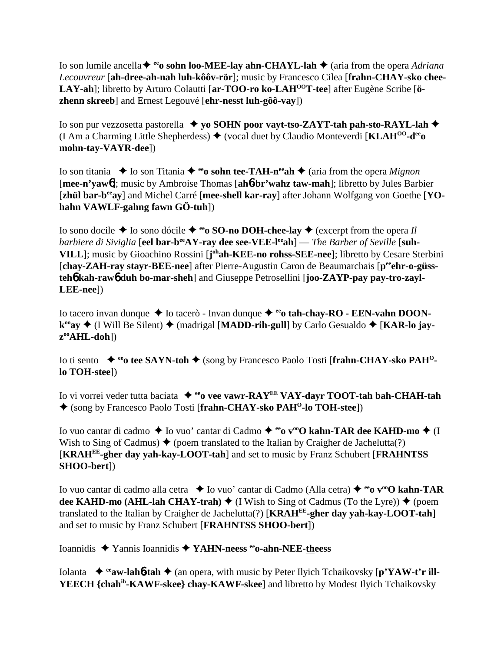Io son lumile ancella <sup>↓</sup> <sup>ee</sup>o sohn loo-MEE-lay ahn-CHAYL-lah ◆ (aria from the opera *Adriana Lecouvreur* [**ah-dree-ah-nah luh-kôôv-rör**]; music by Francesco Cilea [**frahn-CHAY-sko chee-**LAY-ah]; libretto by Arturo Colautti [ar-TOO-ro ko-LAH<sup>00</sup>T-tee] after Eugène Scribe [ö**zhenn skreeb**] and Ernest Legouvé [**ehr-nesst luh-gôô-vay**])

Io son pur vezzosetta pastorella  **yo SOHN poor vayt-tso-ZAYT-tah pah-sto-RAYL-lah** (I Am a Charming Little Shepherdess)  $\blacklozenge$  (vocal duet by Claudio Monteverdi [**KLAH<sup>00</sup>-d<sup>ee</sup>o**] **mohn-tay-VAYR-dee**])

Io son titania  $\bullet$  Io son Titania  $\bullet$  <sup>ee</sup>o sohn tee-TAH-n<sup>ee</sup>ah  $\bullet$  (aria from the opera *Mignon* [**mee-n'yaw**6]; music by Ambroise Thomas [**ah**6**-br'wahz taw-mah**]; libretto by Jules Barbier [zhül bar-b<sup>ee</sup>ay] and Michel Carré [mee-shell kar-ray] after Johann Wolfgang von Goethe [YO**hahn VAWLF-gahng fawn GÖ-tuh**])

Io sono docile  $\triangle$  Io sono dócile  $\triangle$  <sup>ee</sup>o SO-no DOH-chee-lay  $\triangle$  (excerpt from the opera *Il barbiere di Siviglia* [eel bar-b<sup>ee</sup>AY-ray dee see-VEE-l<sup>ee</sup>ah] — *The Barber of Seville* [suh-**VILL**]; music by Gioachino Rossini [**j ohah-KEE-no rohss-SEE-nee**]; libretto by Cesare Sterbini [chay-ZAH-ray stayr-BEE-nee] after Pierre-Augustin Caron de Beaumarchais [p<sup>ee</sup>ehr-o-güss**teh**6 **kah-raw**6 **duh bo-mar-sheh**] and Giuseppe Petrosellini [**joo-ZAYP-pay pay-tro-zayl-LEE-nee**])

Io tacero invan dunque ◆ Io tacerò - Invan dunque ◆ <sup>ee</sup>o tah-chay-RO - EEN-vahn DOON**k<sup>oo</sup>ay ♦ (I Will Be Silent) ♦ (madrigal [MADD-rih-gull] by Carlo Gesualdo ♦ [KAR-lo jayzooAHL-doh**])

Io ti sento **→ <sup>ee</sup>o tee SAYN-toh →** (song by Francesco Paolo Tosti [frahn-CHAY-sko PAH<sup>O</sup>**lo TOH-stee**])

Io vi vorrei veder tutta baciata **→ <sup>ee</sup>o vee vawr-RAY<sup>EE</sup> VAY-dayr TOOT-tah bah-CHAH-tah** (song by Francesco Paolo Tosti [**frahn-CHAY-sko PAHO-lo TOH-stee**])

Io vuo cantar di cadmo ◆ Io vuo' cantar di Cadmo ◆ <sup>ee</sup>o v<sup>oo</sup>O kahn-TAR dee KAHD-mo ◆ (I Wish to Sing of Cadmus)  $\blacklozenge$  (poem translated to the Italian by Craigher de Jachelutta(?) [**KRAHEE-gher day yah-kay-LOOT-tah**] and set to music by Franz Schubert [**FRAHNTSS SHOO-bert**])

Io vuo cantar di cadmo alla cetra **↓** Io vuo' cantar di Cadmo (Alla cetra) ♦ <sup>ee</sup>o v<sup>oo</sup>O kahn-TAR **dee KAHD-mo (AHL-lah CHAY-trah)**  $\blacklozenge$  (I Wish to Sing of Cadmus (To the Lyre))  $\blacklozenge$  (poem translated to the Italian by Craigher de Jachelutta(?) [**KRAHEE-gher day yah-kay-LOOT-tah**] and set to music by Franz Schubert [**FRAHNTSS SHOO-bert**])

Ioannidis Yannis Ioannidis **YAHN-neess eeo-ahn-NEE-theess**

Iolanta ◆ <sup>ee</sup>**aw-lah<sup>6</sup>-tah ◆** (an opera, with music by Peter Ilyich Tchaikovsky [p'YAW-t'r ill-**YEECH {chahih-KAWF-skee} chay-KAWF-skee**] and libretto by Modest Ilyich Tchaikovsky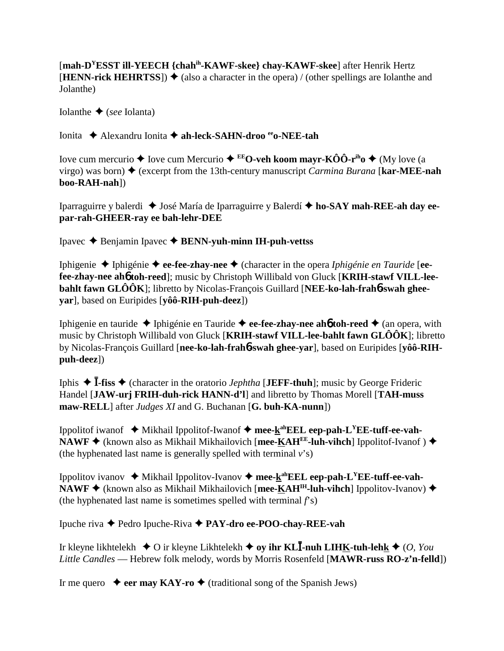[**mah-DYESST ill-YEECH {chahih-KAWF-skee} chay-KAWF-skee**] after Henrik Hertz  $[HENN\text{-}rick HEHRTSS]$   $\blacklozenge$  (also a character in the opera) / (other spellings are Iolanthe and Jolanthe)

Iolanthe  $\triangle$  (*see* Iolanta)

Ionita Alexandru Ionita **ah-leck-SAHN-droo eeo-NEE-tah**

Iove cum mercurio  $\triangle$  Iove cum Mercurio  $\triangle$  **EEO-veh koom mayr-KÔÔ-r<sup>ih</sup>o**  $\triangle$  (My love (a virgo) was born) (excerpt from the 13th-century manuscript *Carmina Burana* [**kar-MEE-nah boo-RAH-nah**])

Iparraguirre y balerdi José María de Iparraguirre y Balerdí **ho-SAY mah-REE-ah day eepar-rah-GHEER-ray ee bah-lehr-DEE**

Ipavec Benjamin Ipavec **BENN-yuh-minn IH-puh-vettss**

Iphigenie Iphigénie **ee-fee-zhay-nee** (character in the opera *Iphigénie en Tauride* [**eefee-zhay-nee ah**6 **toh-reed**]; music by Christoph Willibald von Gluck [**KRIH-stawf VILL-leebahlt fawn GLÔÔK**]; libretto by Nicolas-François Guillard [**NEE-ko-lah-frah**6**-swah gheeyar**], based on Euripides [**yôô-RIH-puh-deez**])

Iphigenie en tauride Iphigénie en Tauride **ee-fee-zhay-nee ah**6 **toh-reed** (an opera, with music by Christoph Willibald von Gluck [**KRIH-stawf VILL-lee-bahlt fawn GLÔÔK**]; libretto by Nicolas-François Guillard [**nee-ko-lah-frah**6**-swah ghee-yar**], based on Euripides [**yôô-RIHpuh-deez**])

Iphis  $\triangle$  **I-fiss**  $\triangle$  (character in the oratorio *Jephtha* [**JEFF-thuh**]; music by George Frideric Handel [**JAW-urj FRIH-duh-rick HANN-d'l**] and libretto by Thomas Morell [**TAH-muss maw-RELL**] after *Judges XI* and G. Buchanan [**G. buh-KA-nunn**])

Ippolitof iwanof Mikhail Ippolitof-Iwanof **mee-kahEEL eep-pah-LYEE-tuff-ee-vah-NAWF** ♦ (known also as Mikhail Mikhailovich [mee-KAH<sup>EE</sup>-luh-vihch] Ippolitof-Ivanof ) ♦ (the hyphenated last name is generally spelled with terminal *v*'s)

Ippolitov ivanov Mikhail Ippolitov-Ivanov **mee-kahEEL eep-pah-LYEE-tuff-ee-vah-**NAWF ◆ (known also as Mikhail Mikhailovich [mee-KAH<sup>IH</sup>-luh-vihch] Ippolitov-Ivanov) ◆ (the hyphenated last name is sometimes spelled with terminal *f*'s)

Ipuche riva Pedro Ipuche-Riva **PAY-dro ee-POO-chay-REE-vah**

Ir kleyne likhtelekh ◆ O ir kleyne Likhtelekh ◆ **oy ihr KLĪ-nuh LIH<u>K</u>-tuh-leh<u>k</u> ◆** (*O, You Little Candles* — Hebrew folk melody, words by Morris Rosenfeld [**MAWR-russ RO-z'n-felld**])

Ir me quero  $\rightarrow$  eer may KAY-ro  $\rightarrow$  (traditional song of the Spanish Jews)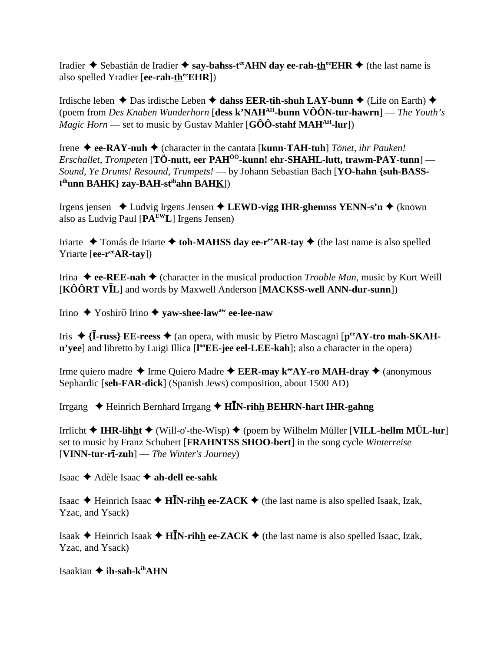Iradier  $\triangle$  Sebastián de Iradier  $\triangle$  say-bahss-t<sup>ee</sup> AHN day ee-rah-th<sup>ee</sup> EHR  $\triangleq$  (the last name is also spelled Yradier [ee-rah-th<sup>ee</sup>EHR])

Irdische leben  $\triangle$  Das irdische Leben  $\triangle$  dahss EER-tih-shuh LAY-bunn  $\triangle$  (Life on Earth)  $\triangle$ (poem from Des Knaben Wunderhorn [dess k'NAH<sup>AH</sup>-bunn  $\widehat{VOON}$ -tur-hawrn] — The Youth's *Magic Horn* — set to music by Gustav Mahler [G $\hat{O}\hat{O}$ -stahf MAH<sup>AH</sup>-lur])

Irene  $\blacklozenge$  ee-RAY-nuh  $\blacklozenge$  (character in the cantata [kunn-TAH-tuh] *Tönet, ihr Pauken! Erschallet, Trompeten* [TÖ-nutt, eer  $PAH^{00}$ -kunn! ehr-SHAHL-lutt, trawm-PAY-tunn] — Sound, Ye Drums! Resound, Trumpets! - by Johann Sebastian Bach [YO-hahn {suh-BASS- $\mathbf{t}^{\text{ih}}$ unn BAHK} zay-BAH-s $\mathbf{t}^{\text{ih}}$ ahn BAHK])

Irgens jensen  $\triangle$  Ludvig Irgens Jensen  $\triangle$  LEWD-vigg IHR-ghennss YENN-s'n  $\triangle$  (known also as Ludvig Paul  $[PA<sup>EW</sup>L]$  Irgens Jensen)

Iriarte  $\triangle$  Tomás de Iriarte  $\triangle$  toh-MAHSS day ee-r<sup>ee</sup>AR-tay  $\triangle$  (the last name is also spelled Yriarte [ee-r<sup>ee</sup>AR-tay])

Irina  $\triangle$  ee-REE-nah  $\triangle$  (character in the musical production *Trouble Man*, music by Kurt Weill  $[K\hat{O}\hat{O}RT V\bar{I}L]$  and words by Maxwell Anderson [MACKSS-well ANN-dur-sunn])

Irino  $\triangle$  Yoshiro Irino  $\triangle$  yaw-shee-law<sup>aw</sup> ee-lee-naw

Iris  $\triangle$  {**I-russ**} **EE-reess**  $\triangle$  (an opera, with music by Pietro Mascagni [ $p^{ee}AY$ -tro mah-SKAHn'yee] and libretto by Luigi Illica [l<sup>oo</sup>EE-jee eel-LEE-kah]; also a character in the opera)

Irme quiero madre  $\triangle$  Irme Quiero Madre  $\triangle$  EER-may k<sup>ee</sup>AY-ro MAH-dray  $\triangle$  (anonymous Sephardic [seh-FAR-dick] (Spanish Jews) composition, about 1500 AD)

Irrgang  $\triangle$  Heinrich Bernhard Irrgang  $\triangle$  H $\bar{I}N$ -rihh BEHRN-hart IHR-gahng

Irrlicht  $\blacklozenge$  IHR-lihht  $\blacklozenge$  (Will-o'-the-Wisp)  $\blacklozenge$  (poem by Wilhelm Müller [VILL-hellm MÜL-lur] set to music by Franz Schubert [FRAHNTSS SHOO-bert] in the song cycle Winterreise  $[VINN-**tur-rī-zuh**]$  — The Winter's Journey)

Isaac ◆ Adèle Isaac ◆ ah-dell ee-sahk

Isaac → Heinrich Isaac → HĪN-rihh ee-ZACK → (the last name is also spelled Isaak, Izak, Yzac, and Ysack)

Isaak **→** Heinrich Isaak ◆ H**IN-rihh ee-ZACK** ◆ (the last name is also spelled Isaac, Izak, Yzac, and Ysack)

Isaakian  $\triangleq$  ih-sah-k<sup>ih</sup>AHN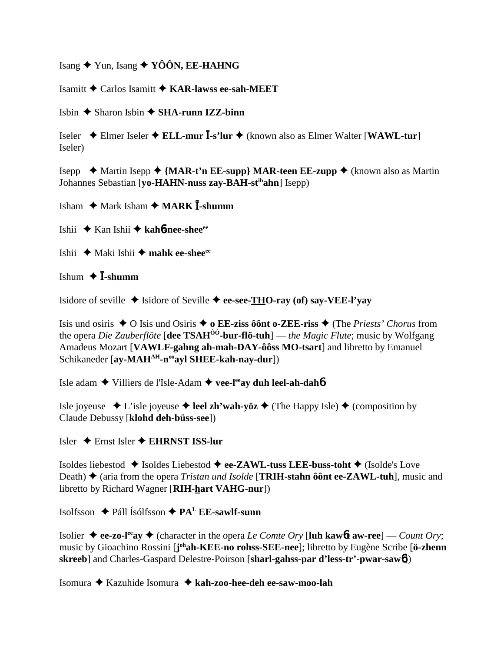Isang  $\bigstar$  Yun, Isang  $\bigstar$  YÔÔN, EE-HAHNG

Isamitt  $\bigstar$  Carlos Isamitt  $\bigstar$  KAR-lawss ee-sah-MEET

Isbin  $\triangle$  Sharon Isbin  $\triangle$  SHA-runn IZZ-binn

Iseler  $\triangle$  Elmer Iseler  $\triangle$  ELL-mur  $\overline{I}$ -s'lur  $\triangle$  (known also as Elmer Walter [WAWL-tur] Iseler)

Isepp  $\triangle$  Martin Isepp  $\triangle$  {MAR-t'n EE-supp} MAR-teen EE-zupp  $\triangle$  (known also as Martin Johannes Sebastian [vo-HAHN-nuss zav-BAH-st<sup>ih</sup>ahn] Isepp)

Isham  $\bigstar$  Mark Isham  $\bigstar$  MARK  $\overline{I}$ -shumm

Ishii  $\bigstar$  Kan Ishii  $\bigstar$  kah**6-nee-shee**<sup>ee</sup>

Ishii ◆ Maki Ishii ◆ mahk ee-shee<sup>ee</sup>

Ishum  $\bigstar$  **Ī**-shumm

Isidore of seville  $\triangle$  Isidore of Seville  $\triangle$  ee-see-THO-ray (of) say-VEE-l'vay

Isis und osiris ◆ O Isis und Osiris ◆ o EE-ziss ôônt o-ZEE-riss ◆ (The Priests' Chorus from the opera *Die Zauberflöte* [dee TSAH<sup> $0\ddot{o}$ -bur-flö-tuh] — *the Magic Flute*; music by Wolfgang</sup> Amadeus Mozart [VAWLF-gahng ah-mah-DAY-ôôss MO-tsart] and libretto by Emanuel Schikaneder [ay-MAH<sup>AH</sup>-n<sup>oo</sup>ayl SHEE-kah-nay-dur])

Isle adam ◆ Villiers de l'Isle-Adam ◆ vee-l<sup>ee</sup>ay duh leel-ah-dahó

Isle joyeuse  $\triangleleft$  L'isle joyeuse  $\triangleleft$  leel zh'wah-yöz  $\triangleleft$  (The Happy Isle)  $\triangleleft$  (composition by Claude Debussy [klohd deh-büss-see])

Isler  $\bigstar$  Ernst Isler  $\bigstar$  EHRNST ISS-lur

Isoldes liebestod  $\triangleq$  Isoldes Liebestod  $\triangleq$  ee-ZAWL-tuss LEE-buss-toht  $\triangleq$  (Isolde's Love Death)  $\triangle$  (aria from the opera *Tristan und Isolde* [TRIH-stahn ôont ee-ZAWL-tuh], music and libretto by Richard Wagner [RIH-hart VAHG-nur])

Isolfsson  $\triangle$  Páll Ísólfsson  $\triangle$  PA<sup>L</sup> EE-sawlf-sunn

Isolier ♦ ee-zo-l<sup>ee</sup>ay ♦ (character in the opera *Le Comte Ory* [luh kaw6t aw-ree] — *Count Ory*; music by Gioachino Rossini [j<sup>oh</sup>ah-KEE-no rohss-SEE-nee]; libretto by Eugène Scribe [ö-zhenn] skreeb] and Charles-Gaspard Delestre-Poirson [sharl-gahss-par d'less-tr'-pwar-saw6])

Isomura **→** Kazuhide Isomura → kah-zoo-hee-deh ee-saw-moo-lah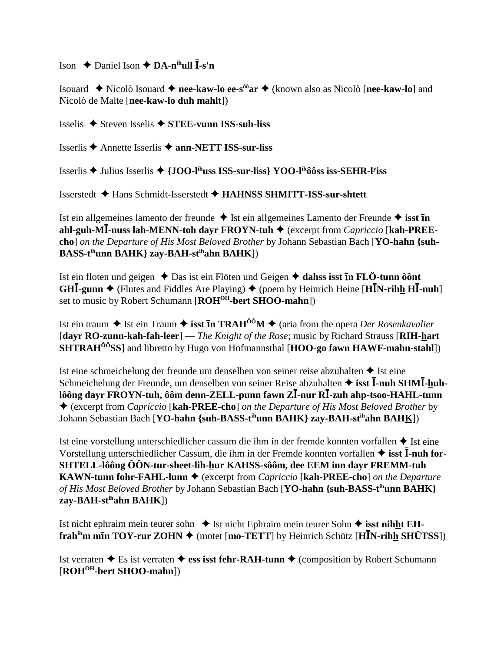Ison  $\triangle$  Daniel Ison  $\triangle$  DA-n<sup>ih</sup>ull  $\overline{I}$ -s'n

Isouard ◆ Nicolò Isouard ◆ nee-kaw-lo ee-s<sup>ôô</sup>ar ◆ (known also as Nicolò [nee-kaw-lo] and Nicolò de Malte [nee-kaw-lo duh mahlt])

Isselis ◆ Steven Isselis ◆ STEE-vunn ISS-suh-liss

Isserlis **→** Annette Isserlis **→ ann-NETT ISS-sur-liss** 

Isserlis ♦ Julius Isserlis ♦  ${100}$ -I<sup>th</sup>uss ISS-sur-liss YOO-I<sup>th</sup>ôôss iss-SEHR-I<sup>y</sup>iss

Isserstedt ◆ Hans Schmidt-Isserstedt ◆ HAHNSS SHMITT-ISS-sur-shtett

Ist ein allgemeines lamento der freunde  $\triangle$  Ist ein allgemeines Lamento der Freunde  $\triangle$  isst **In** ahl-guh-MI-nuss lah-MENN-toh dayr FROYN-tuh  $\blacklozenge$  (excerpt from *Capriccio* [kah-PREEcho] on the Departure of His Most Beloved Brother by Johann Sebastian Bach [YO-hahn {suh-BASS-t<sup>ih</sup>unn BAHK} zay-BAH-st<sup>ih</sup>ahn BAHK])

Ist ein floten und geigen  $\triangle$  Das ist ein Flöten und Geigen  $\triangle$  dahss isst In FLÖ-tunn ô ont GHI-gunn  $\blacklozenge$  (Flutes and Fiddles Are Playing)  $\blacklozenge$  (poem by Heinrich Heine [HIN-rihh HI-nuh] set to music by Robert Schumann [ROH<sup>OH</sup>-bert SHOO-mahn])

Ist ein traum  $\triangle$  Ist ein Traum  $\triangleq$  isst **In TRAH<sup>ôô</sup>M**  $\triangleq$  (aria from the opera *Der Rosenkavalier* **[davr RO-zunn-kah-fah-leer**] — *The Knight of the Rose*; music by Richard Strauss [RIH-hart] **SHTRAH<sup>** $00$ **</sup>SS**] and libretto by Hugo von Hofmannsthal [HOO-go fawn HAWF-mahn-stahl])

Ist eine schmeichelung der freunde um denselben von seiner reise abzuhalten ◆ Ist eine Schmeichelung der Freunde, um denselben von seiner Reise abzuhalten  $\triangleq$  isst  $\overline{I}$ -nuh SHM $\overline{I}$ -huhlôông dayr FROYN-tuh, ôôm denn-ZELL-punn fawn ZĪ-nur RĪ-zuh ahp-tsoo-HAHL-tunn ♦ (excerpt from *Capriccio* [kah-PREE-cho] on the Departure of His Most Beloved Brother by Johann Sebastian Bach [YO-hahn {suh-BASS-t<sup>ih</sup>unn BAHK} zay-BAH-st<sup>ih</sup>ahn BAHK])

Ist eine vorstellung unterschiedlicher cassum die ihm in der fremde konnten vorfallen ◆ Ist eine Vorstellung unterschiedlicher Cassum, die ihm in der Fremde konnten vorfallen  $\triangle$  isst  $\overline{I}$ -nuh for-SHTELL-lôông ÔÔN-tur-sheet-lih-hur KAHSS-sôôm, dee EEM inn dayr FREMM-tuh **KAWN-tunn fohr-FAHL-lunn**  $\blacklozenge$  (excerpt from *Capriccio* [**kah-PREE-cho**] *on the Departure* of His Most Beloved Brother by Johann Sebastian Bach [YO-hahn {suh-BASS-t<sup>ih</sup>unn BAHK} zay-BAH-st<sup>ih</sup>ahn BAHK])

Ist nicht ephraim mein teurer sohn  $\triangle$  Ist nicht Ephraim mein teurer Sohn  $\triangle$  isst nihht EHfrah<sup>ih</sup>m m**In TOY-rur ZOHN**  $\blacklozenge$  (motet [mo-TETT] by Heinrich Schütz [H**I**N-rihh SHÜTSS])

Ist verraten  $\triangle$  Es ist verraten  $\triangle$  ess isst fehr-RAH-tunn  $\triangle$  (composition by Robert Schumann [ROH<sup>OH</sup>-bert SHOO-mahn])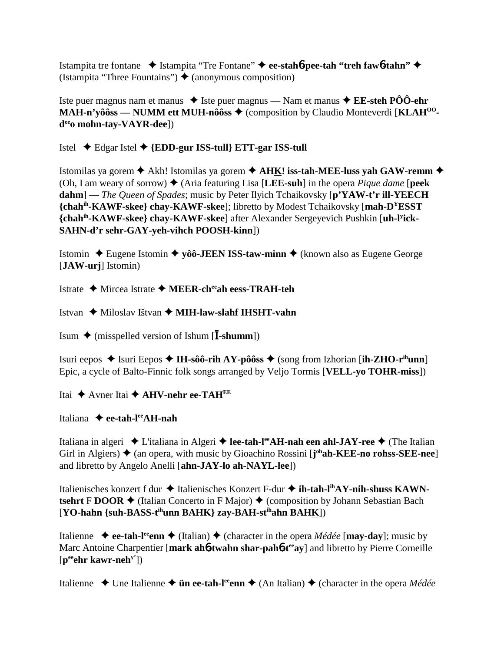Istampita tre fontane Istampita "Tre Fontane" **ee-stah**6**-pee-tah "treh faw**6**-tahn"** (Istampita "Three Fountains")  $\triangle$  (anonymous composition)

Iste puer magnus nam et manus **→** Iste puer magnus — Nam et manus **→ EE-steh PÔÔ-ehr MAH-n'yôôss — NUMM ett MUH-nôôss ♦** (composition by Claudio Monteverdi [KLAH<sup>00</sup>**deeo mohn-tay-VAYR-dee**])

# Istel Edgar Istel **{EDD-gur ISS-tull} ETT-gar ISS-tull**

Istomilas ya gorem Akh! Istomilas ya gorem **AHK! iss-tah-MEE-luss yah GAW-remm** (Oh, I am weary of sorrow)  $\blacklozenge$  (Aria featuring Lisa [LEE-suh] in the opera *Pique dame* [**peek**] **dahm**] — *The Queen of Spades*; music by Peter Ilyich Tchaikovsky [**p'YAW-t'r ill-YEECH {chahih-KAWF-skee} chay-KAWF-skee**]; libretto by Modest Tchaikovsky [**mah-DYESST {chahih-KAWF-skee} chay-KAWF-skee**] after Alexander Sergeyevich Pushkin [**uh-ly ick-SAHN-d'r sehr-GAY-yeh-vihch POOSH-kinn**])

Istomin  $\triangle$  Eugene Istomin  $\triangle$  yôô-JEEN ISS-taw-minn  $\triangle$  (known also as Eugene George [**JAW-urj**] Istomin)

Istrate Mircea Istrate **MEER-cheeah eess-TRAH-teh**

Istvan Miloslav Ištvan **MIH-law-slahf IHSHT-vahn**

**Isum ♦ (misspelled version of Ishum [I-shumm])** 

Isuri eepos  $\triangle$  Isuri Eepos  $\triangle$  **IH-sôô-rih AY-pôôss**  $\triangle$  (song from Izhorian [**ih-ZHO-r**<sup>ih</sup>unn] Epic, a cycle of Balto-Finnic folk songs arranged by Veljo Tormis [**VELL-yo TOHR-miss**])

Itai **→** Avner Itai ◆ AHV-nehr ee-TAH<sup>EE</sup>

Italiana **ee-tah-leeAH-nah**

Italiana in algeri **◆** L'italiana in Algeri ◆ lee-tah-l<sup>ee</sup>AH-nah een ahl-JAY-ree ◆ (The Italian Girl in Algiers)  $\triangle$  (an opera, with music by Gioachino Rossini [**j**<sup>oh</sup>**ah-KEE-no rohss-SEE-nee**] and libretto by Angelo Anelli [**ahn-JAY-lo ah-NAYL-lee**])

Italienisches konzert f dur ◆ Italienisches Konzert F-dur ◆ **ih-tah-l<sup>ih</sup>AY-nih-shuss KAWNtsehrt** F **DOOR**  $\blacklozenge$  (Italian Concerto in F Major)  $\blacklozenge$  (composition by Johann Sebastian Bach [**YO-hahn {suh-BASS-tihunn BAHK} zay-BAH-stihahn BAHK**])

Italienne  $\rightarrow$  ee-tah-l<sup>ee</sup>enn  $\rightarrow$  (Italian)  $\rightarrow$  (character in the opera *Médée* [**may-day**]; music by Marc Antoine Charpentier [mark ah**6**-twahn shar-pah**6**-t<sup>ee</sup>ay] and libretto by Pierre Corneille [**peeehr kawr-nehy'**])

Italienne **→** Une Italienne → **ün ee-tah-l<sup>ee</sup>enn →** (An Italian) → (character in the opera *Médée*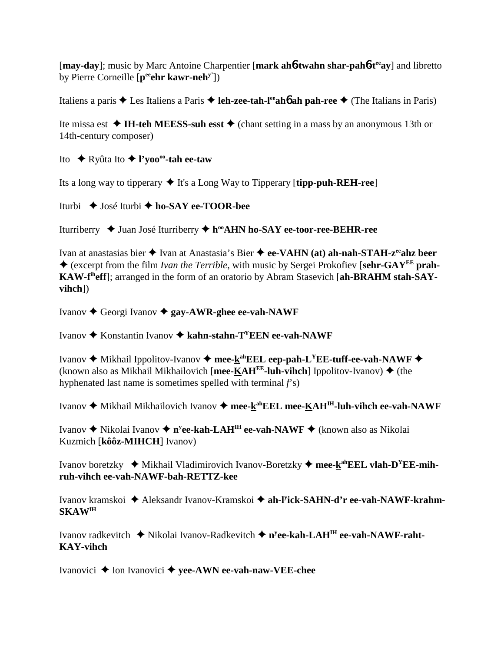[**may-day**]; music by Marc Antoine Charpentier [**mark ah**6**-twahn shar-pah**6**-teeay**] and libretto by Pierre Corneille [**peeehr kawr-nehy'**])

Italiens a paris  $\triangle$  Les Italiens a Paris  $\triangle$  **leh-zee-tah-l<sup>ee</sup>ahó ah pah-ree**  $\triangle$  (The Italians in Paris)

Ite missa est  $\triangleleft$  **IH-teh MEESS-suh esst**  $\triangleleft$  (chant setting in a mass by an anonymous 13th or 14th-century composer)

Ito Ryûta Ito **l'yoooo-tah ee-taw**

Its a long way to tipperary  $\blacklozenge$  It's a Long Way to Tipperary [**tipp-puh-REH-ree**]

Iturbi José Iturbi **ho-SAY ee-TOOR-bee**

Iturriberry ◆ Juan José Iturriberry ◆ h<sup>oo</sup>AHN ho-SAY ee-toor-ree-BEHR-ree

Ivan at anastasias bier **→** Ivan at Anastasia's Bier ◆ ee-VAHN (at) ah-nah-STAH-z<sup>ee</sup>ahz beer (excerpt from the film *Ivan the Terrible*, with music by Sergei Prokofiev [**sehr-GAYEE prah-KAW-fiheff**]; arranged in the form of an oratorio by Abram Stasevich [**ah-BRAHM stah-SAYvihch**])

Ivanov Georgi Ivanov **gay-AWR-ghee ee-vah-NAWF**

Ivanov **→** Konstantin Ivanov **→ kahn-stahn-T<sup>Y</sup>EEN ee-vah-NAWF** 

Ivanov **→** Mikhail Ippolitov-Ivanov → mee-k<sup>ah</sup>EEL eep-pah-L<sup>Y</sup>EE-tuff-ee-vah-NAWF → (known also as Mikhail Mikhailovich [mee-KAH<sup>EE</sup>-luh-vihch] Ippolitov-Ivanov)  $\blacklozenge$  (the hyphenated last name is sometimes spelled with terminal *f*'s)

Ivanov **→** Mikhail Mikhailovich Ivanov → mee-k<sup>ah</sup>EEL mee-KAH<sup>IH</sup>-luh-vihch ee-vah-NAWF

Ivanov Nikolai Ivanov **ny ee-kah-LAHIH ee-vah-NAWF**  (known also as Nikolai Kuzmich [**kôôz-MIHCH**] Ivanov)

Ivanov boretzky ◆ Mikhail Vladimirovich Ivanov-Boretzky ◆ mee-k<sup>ah</sup>EEL vlah-D<sup>Y</sup>EE-mih**ruh-vihch ee-vah-NAWF-bah-RETTZ-kee**

Ivanov kramskoi Aleksandr Ivanov-Kramskoi **ah-ly ick-SAHN-d'r ee-vah-NAWF-krahm-SKAWIH**

Ivanov radkevitch ◆ Nikolai Ivanov-Radkevitch ◆ n<sup>y</sup>ee-kah-LAH<sup>IH</sup> ee-vah-NAWF-raht-**KAY-vihch**

Ivanovici **→** Ion Ivanovici **→ yee-AWN ee-vah-naw-VEE-chee**